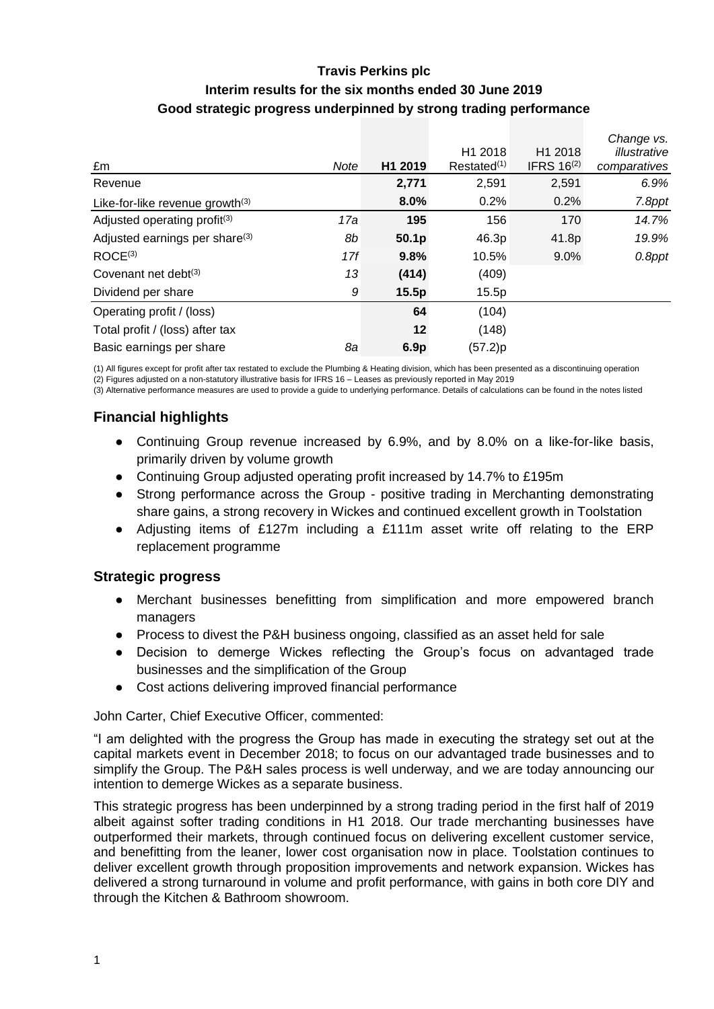## **Travis Perkins plc Interim results for the six months ended 30 June 2019 Good strategic progress underpinned by strong trading performance**

|                                            |      |                   |                     |                     | Change vs.   |
|--------------------------------------------|------|-------------------|---------------------|---------------------|--------------|
|                                            |      |                   | H <sub>1</sub> 2018 | H <sub>1</sub> 2018 | illustrative |
| £m                                         | Note | H1 2019           | $Restated^{(1)}$    | IFRS $16(2)$        | comparatives |
| Revenue                                    |      | 2,771             | 2,591               | 2,591               | 6.9%         |
| Like-for-like revenue growth $(3)$         |      | 8.0%              | 0.2%                | 0.2%                | 7.8ppt       |
| Adjusted operating profit <sup>(3)</sup>   | 17a  | 195               | 156                 | 170                 | 14.7%        |
| Adjusted earnings per share <sup>(3)</sup> | 8b   | 50.1 <sub>p</sub> | 46.3p               | 41.8p               | 19.9%        |
| ROCE <sup>(3)</sup>                        | 17f  | 9.8%              | 10.5%               | 9.0%                | 0.8ppt       |
| Covenant net debt $(3)$                    | 13   | (414)             | (409)               |                     |              |
| Dividend per share                         | 9    | 15.5p             | 15.5p               |                     |              |
| Operating profit / (loss)                  |      | 64                | (104)               |                     |              |
| Total profit / (loss) after tax            |      | $12 \,$           | (148)               |                     |              |
| Basic earnings per share                   | 8а   | 6.9 <sub>p</sub>  | (57.2)p             |                     |              |

(1) All figures except for profit after tax restated to exclude the Plumbing & Heating division, which has been presented as a discontinuing operation (2) Figures adjusted on a non-statutory illustrative basis for IFRS 16 – Leases as previously reported in May 2019

(3) Alternative performance measures are used to provide a guide to underlying performance. Details of calculations can be found in the notes listed

## **Financial highlights**

- Continuing Group revenue increased by 6.9%, and by 8.0% on a like-for-like basis, primarily driven by volume growth
- Continuing Group adjusted operating profit increased by 14.7% to £195m
- Strong performance across the Group positive trading in Merchanting demonstrating share gains, a strong recovery in Wickes and continued excellent growth in Toolstation
- Adjusting items of £127m including a £111m asset write off relating to the ERP replacement programme

#### **Strategic progress**

- Merchant businesses benefitting from simplification and more empowered branch managers
- Process to divest the P&H business ongoing, classified as an asset held for sale
- Decision to demerge Wickes reflecting the Group's focus on advantaged trade businesses and the simplification of the Group
- Cost actions delivering improved financial performance

John Carter, Chief Executive Officer, commented:

"I am delighted with the progress the Group has made in executing the strategy set out at the capital markets event in December 2018; to focus on our advantaged trade businesses and to simplify the Group. The P&H sales process is well underway, and we are today announcing our intention to demerge Wickes as a separate business.

This strategic progress has been underpinned by a strong trading period in the first half of 2019 albeit against softer trading conditions in H1 2018. Our trade merchanting businesses have outperformed their markets, through continued focus on delivering excellent customer service, and benefitting from the leaner, lower cost organisation now in place. Toolstation continues to deliver excellent growth through proposition improvements and network expansion. Wickes has delivered a strong turnaround in volume and profit performance, with gains in both core DIY and through the Kitchen & Bathroom showroom.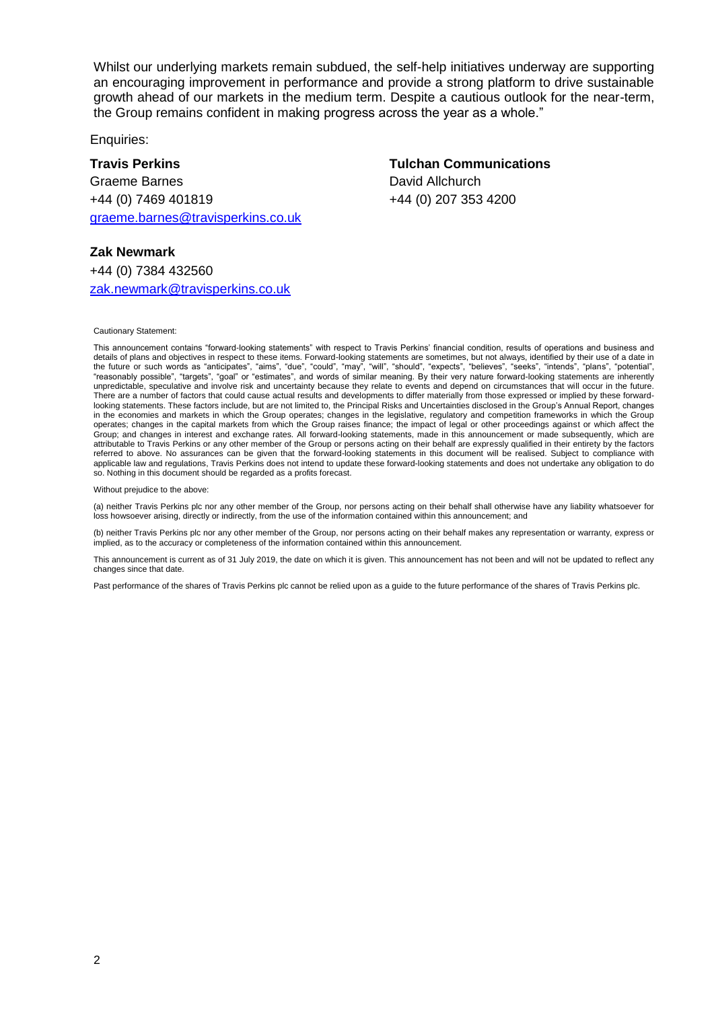Whilst our underlying markets remain subdued, the self-help initiatives underway are supporting an encouraging improvement in performance and provide a strong platform to drive sustainable growth ahead of our markets in the medium term. Despite a cautious outlook for the near-term, the Group remains confident in making progress across the year as a whole."

Enquiries:

**Travis Perkins Tulchan Communications** Graeme Barnes **David Allchurch** +44 (0) 7469 401819 +44 (0) 207 353 4200 [graeme.barnes@travisperkins.co.uk](mailto:graeme.barnes@travisperkins.co.uk)

#### **Zak Newmark**

+44 (0) 7384 432560 [zak.newmark@travisperkins.co.uk](mailto:zak.newmark@travisperkins.co.uk)

Cautionary Statement:

This announcement contains "forward-looking statements" with respect to Travis Perkins' financial condition, results of operations and business and details of plans and objectives in respect to these items. Forward-looking statements are sometimes, but not always, identified by their use of a date in the future or such words as "anticipates", "aims", "due", "could", "may", "will", "should", "expects", "believes", "seeks", "intends", "plans", "potential", "reasonably possible", "targets", "goal" or "estimates", and words of similar meaning. By their very nature forward-looking statements are inherently unpredictable, speculative and involve risk and uncertainty because they relate to events and depend on circumstances that will occur in the future. There are a number of factors that could cause actual results and developments to differ materially from those expressed or implied by these forwardlooking statements. These factors include, but are not limited to, the Principal Risks and Uncertainties disclosed in the Group's Annual Report, changes in the economies and markets in which the Group operates; changes in the legislative, regulatory and competition frameworks in which the Group operates; changes in the capital markets from which the Group raises finance; the impact of legal or other proceedings against or which affect the Group; and changes in interest and exchange rates. All forward-looking statements, made in this announcement or made subsequently, which are attributable to Travis Perkins or any other member of the Group or persons acting on their behalf are expressly qualified in their entirety by the factors referred to above. No assurances can be given that the forward-looking statements in this document will be realised. Subject to compliance with applicable law and regulations, Travis Perkins does not intend to update these forward-looking statements and does not undertake any obligation to do so. Nothing in this document should be regarded as a profits forecast.

Without prejudice to the above

(a) neither Travis Perkins plc nor any other member of the Group, nor persons acting on their behalf shall otherwise have any liability whatsoever for loss howsoever arising, directly or indirectly, from the use of the information contained within this announcement; and

(b) neither Travis Perkins plc nor any other member of the Group, nor persons acting on their behalf makes any representation or warranty, express or implied, as to the accuracy or completeness of the information contained within this announcement.

This announcement is current as of 31 July 2019, the date on which it is given. This announcement has not been and will not be updated to reflect any changes since that date.

Past performance of the shares of Travis Perkins plc cannot be relied upon as a guide to the future performance of the shares of Travis Perkins plc.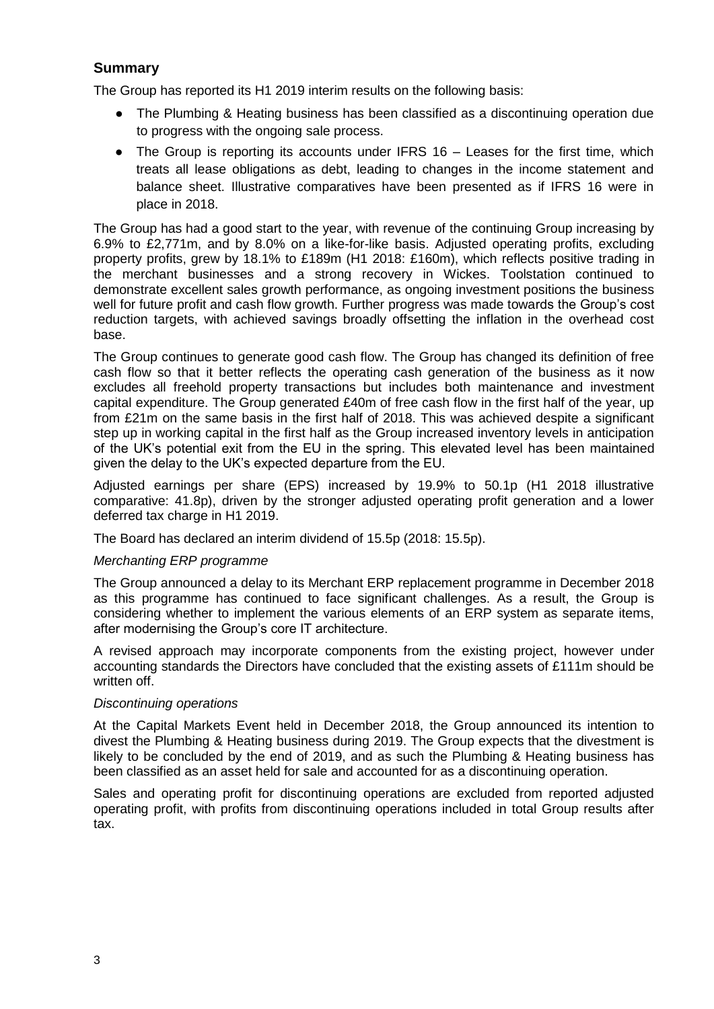## **Summary**

The Group has reported its H1 2019 interim results on the following basis:

- The Plumbing & Heating business has been classified as a discontinuing operation due to progress with the ongoing sale process.
- $\bullet$  The Group is reporting its accounts under IFRS 16 Leases for the first time, which treats all lease obligations as debt, leading to changes in the income statement and balance sheet. Illustrative comparatives have been presented as if IFRS 16 were in place in 2018.

The Group has had a good start to the year, with revenue of the continuing Group increasing by 6.9% to £2,771m, and by 8.0% on a like-for-like basis. Adjusted operating profits, excluding property profits, grew by 18.1% to £189m (H1 2018: £160m), which reflects positive trading in the merchant businesses and a strong recovery in Wickes. Toolstation continued to demonstrate excellent sales growth performance, as ongoing investment positions the business well for future profit and cash flow growth. Further progress was made towards the Group's cost reduction targets, with achieved savings broadly offsetting the inflation in the overhead cost base.

The Group continues to generate good cash flow. The Group has changed its definition of free cash flow so that it better reflects the operating cash generation of the business as it now excludes all freehold property transactions but includes both maintenance and investment capital expenditure. The Group generated £40m of free cash flow in the first half of the year, up from £21m on the same basis in the first half of 2018. This was achieved despite a significant step up in working capital in the first half as the Group increased inventory levels in anticipation of the UK's potential exit from the EU in the spring. This elevated level has been maintained given the delay to the UK's expected departure from the EU.

Adjusted earnings per share (EPS) increased by 19.9% to 50.1p (H1 2018 illustrative comparative: 41.8p), driven by the stronger adjusted operating profit generation and a lower deferred tax charge in H1 2019.

The Board has declared an interim dividend of 15.5p (2018: 15.5p).

#### *Merchanting ERP programme*

The Group announced a delay to its Merchant ERP replacement programme in December 2018 as this programme has continued to face significant challenges. As a result, the Group is considering whether to implement the various elements of an ERP system as separate items, after modernising the Group's core IT architecture.

A revised approach may incorporate components from the existing project, however under accounting standards the Directors have concluded that the existing assets of £111m should be written off.

#### *Discontinuing operations*

At the Capital Markets Event held in December 2018, the Group announced its intention to divest the Plumbing & Heating business during 2019. The Group expects that the divestment is likely to be concluded by the end of 2019, and as such the Plumbing & Heating business has been classified as an asset held for sale and accounted for as a discontinuing operation.

Sales and operating profit for discontinuing operations are excluded from reported adjusted operating profit, with profits from discontinuing operations included in total Group results after tax.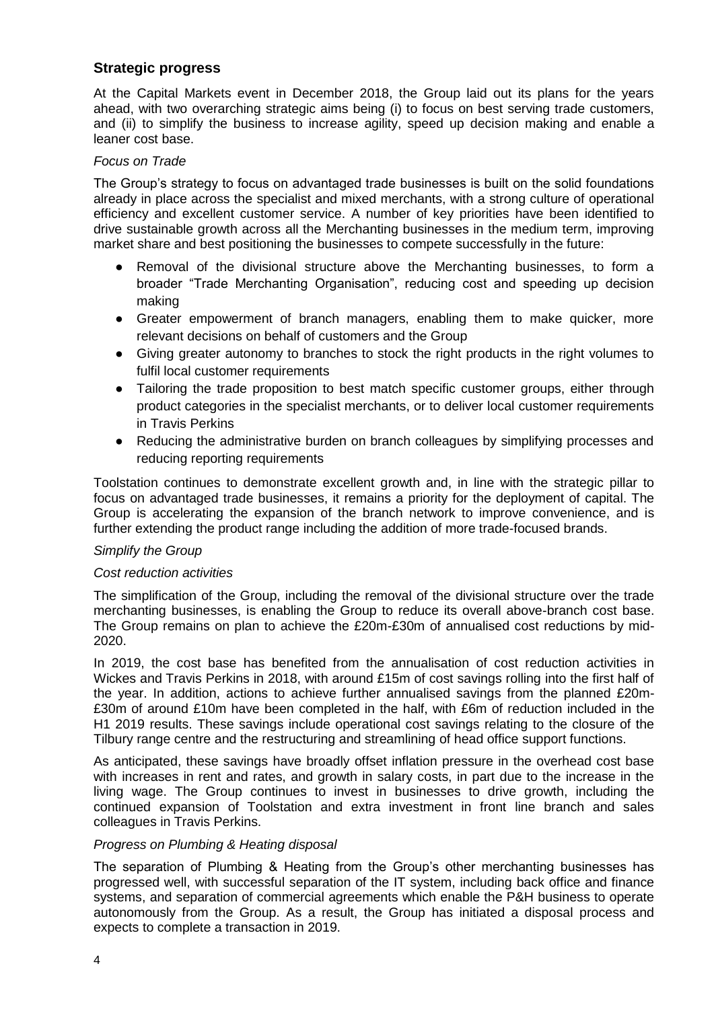## **Strategic progress**

At the Capital Markets event in December 2018, the Group laid out its plans for the years ahead, with two overarching strategic aims being (i) to focus on best serving trade customers, and (ii) to simplify the business to increase agility, speed up decision making and enable a leaner cost base.

#### *Focus on Trade*

The Group's strategy to focus on advantaged trade businesses is built on the solid foundations already in place across the specialist and mixed merchants, with a strong culture of operational efficiency and excellent customer service. A number of key priorities have been identified to drive sustainable growth across all the Merchanting businesses in the medium term, improving market share and best positioning the businesses to compete successfully in the future:

- Removal of the divisional structure above the Merchanting businesses, to form a broader "Trade Merchanting Organisation", reducing cost and speeding up decision making
- Greater empowerment of branch managers, enabling them to make quicker, more relevant decisions on behalf of customers and the Group
- Giving greater autonomy to branches to stock the right products in the right volumes to fulfil local customer requirements
- Tailoring the trade proposition to best match specific customer groups, either through product categories in the specialist merchants, or to deliver local customer requirements in Travis Perkins
- Reducing the administrative burden on branch colleagues by simplifying processes and reducing reporting requirements

Toolstation continues to demonstrate excellent growth and, in line with the strategic pillar to focus on advantaged trade businesses, it remains a priority for the deployment of capital. The Group is accelerating the expansion of the branch network to improve convenience, and is further extending the product range including the addition of more trade-focused brands.

#### *Simplify the Group*

#### *Cost reduction activities*

The simplification of the Group, including the removal of the divisional structure over the trade merchanting businesses, is enabling the Group to reduce its overall above-branch cost base. The Group remains on plan to achieve the £20m-£30m of annualised cost reductions by mid-2020.

In 2019, the cost base has benefited from the annualisation of cost reduction activities in Wickes and Travis Perkins in 2018, with around £15m of cost savings rolling into the first half of the year. In addition, actions to achieve further annualised savings from the planned £20m- £30m of around £10m have been completed in the half, with £6m of reduction included in the H1 2019 results. These savings include operational cost savings relating to the closure of the Tilbury range centre and the restructuring and streamlining of head office support functions.

As anticipated, these savings have broadly offset inflation pressure in the overhead cost base with increases in rent and rates, and growth in salary costs, in part due to the increase in the living wage. The Group continues to invest in businesses to drive growth, including the continued expansion of Toolstation and extra investment in front line branch and sales colleagues in Travis Perkins.

#### *Progress on Plumbing & Heating disposal*

The separation of Plumbing & Heating from the Group's other merchanting businesses has progressed well, with successful separation of the IT system, including back office and finance systems, and separation of commercial agreements which enable the P&H business to operate autonomously from the Group. As a result, the Group has initiated a disposal process and expects to complete a transaction in 2019.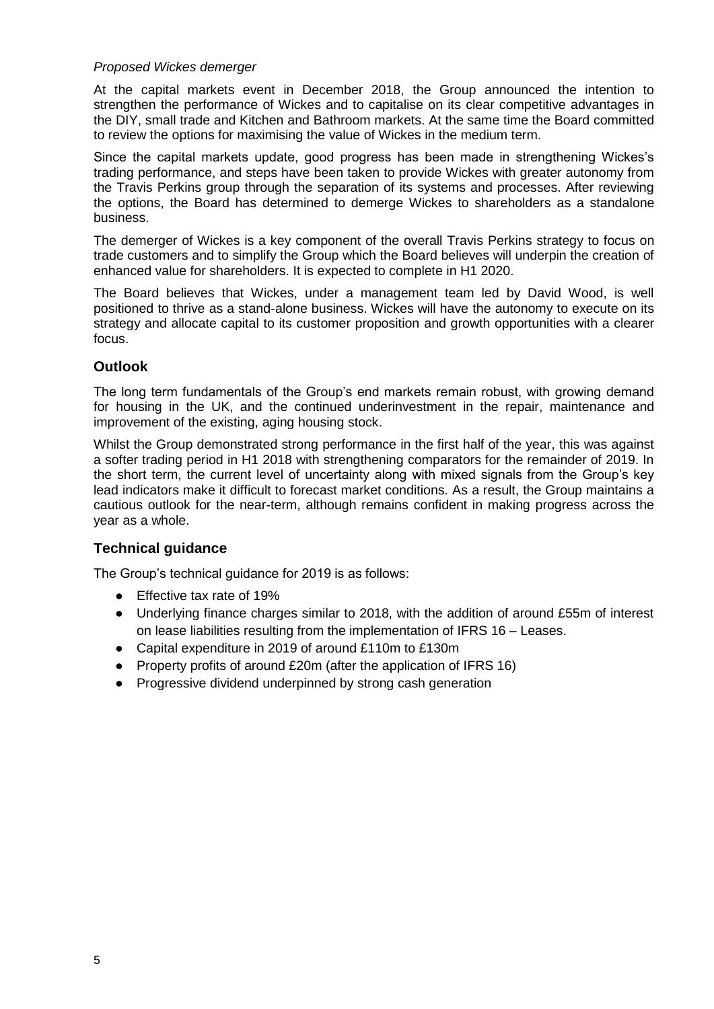#### *Proposed Wickes demerger*

At the capital markets event in December 2018, the Group announced the intention to strengthen the performance of Wickes and to capitalise on its clear competitive advantages in the DIY, small trade and Kitchen and Bathroom markets. At the same time the Board committed to review the options for maximising the value of Wickes in the medium term.

Since the capital markets update, good progress has been made in strengthening Wickes's trading performance, and steps have been taken to provide Wickes with greater autonomy from the Travis Perkins group through the separation of its systems and processes. After reviewing the options, the Board has determined to demerge Wickes to shareholders as a standalone business.

The demerger of Wickes is a key component of the overall Travis Perkins strategy to focus on trade customers and to simplify the Group which the Board believes will underpin the creation of enhanced value for shareholders. It is expected to complete in H1 2020.

The Board believes that Wickes, under a management team led by David Wood, is well positioned to thrive as a stand-alone business. Wickes will have the autonomy to execute on its strategy and allocate capital to its customer proposition and growth opportunities with a clearer focus.

#### **Outlook**

The long term fundamentals of the Group's end markets remain robust, with growing demand for housing in the UK, and the continued underinvestment in the repair, maintenance and improvement of the existing, aging housing stock.

Whilst the Group demonstrated strong performance in the first half of the year, this was against a softer trading period in H1 2018 with strengthening comparators for the remainder of 2019. In the short term, the current level of uncertainty along with mixed signals from the Group's key lead indicators make it difficult to forecast market conditions. As a result, the Group maintains a cautious outlook for the near-term, although remains confident in making progress across the year as a whole.

#### **Technical guidance**

The Group's technical guidance for 2019 is as follows:

- Effective tax rate of 19%
- Underlying finance charges similar to 2018, with the addition of around £55m of interest on lease liabilities resulting from the implementation of IFRS 16 – Leases.
- Capital expenditure in 2019 of around £110m to £130m
- Property profits of around £20m (after the application of IFRS 16)
- Progressive dividend underpinned by strong cash generation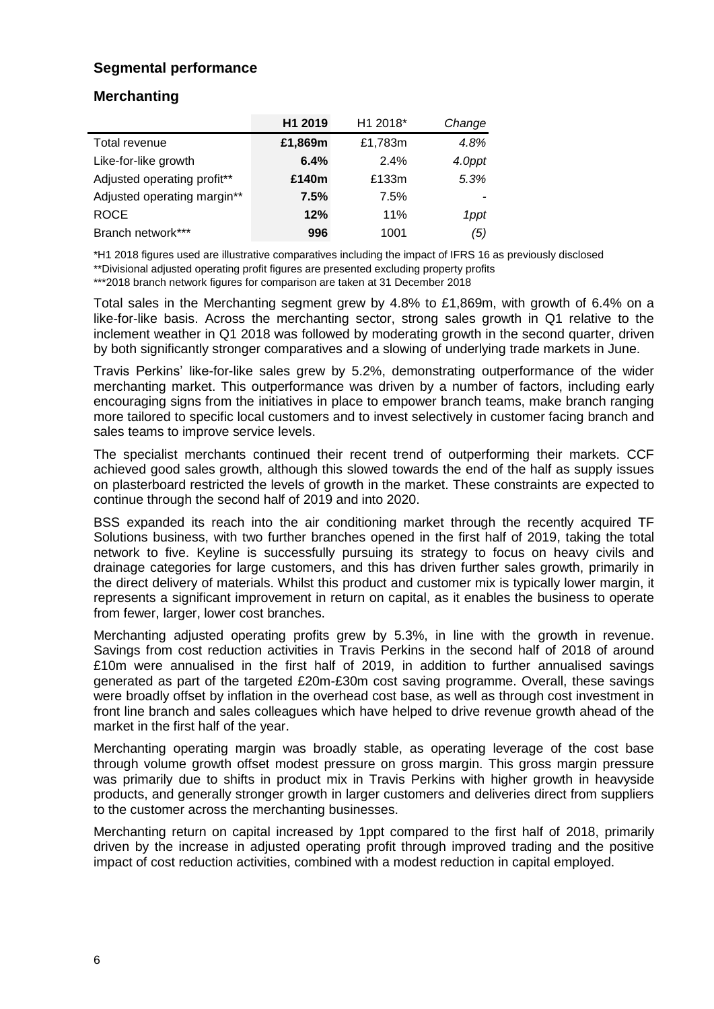## **Segmental performance**

## **Merchanting**

|                             | H1 2019 | H1 2018* | Change |
|-----------------------------|---------|----------|--------|
| Total revenue               | £1,869m | £1,783m  | 4.8%   |
| Like-for-like growth        | 6.4%    | 2.4%     | 4.0ppt |
| Adjusted operating profit** | £140m   | £133m    | 5.3%   |
| Adjusted operating margin** | 7.5%    | 7.5%     |        |
| <b>ROCE</b>                 | 12%     | 11%      | 1ppt   |
| Branch network***           | 996     | 1001     | (5)    |

\*H1 2018 figures used are illustrative comparatives including the impact of IFRS 16 as previously disclosed \*\*Divisional adjusted operating profit figures are presented excluding property profits

\*\*\*2018 branch network figures for comparison are taken at 31 December 2018

Total sales in the Merchanting segment grew by 4.8% to £1,869m, with growth of 6.4% on a like-for-like basis. Across the merchanting sector, strong sales growth in Q1 relative to the inclement weather in Q1 2018 was followed by moderating growth in the second quarter, driven by both significantly stronger comparatives and a slowing of underlying trade markets in June.

Travis Perkins' like-for-like sales grew by 5.2%, demonstrating outperformance of the wider merchanting market. This outperformance was driven by a number of factors, including early encouraging signs from the initiatives in place to empower branch teams, make branch ranging more tailored to specific local customers and to invest selectively in customer facing branch and sales teams to improve service levels.

The specialist merchants continued their recent trend of outperforming their markets. CCF achieved good sales growth, although this slowed towards the end of the half as supply issues on plasterboard restricted the levels of growth in the market. These constraints are expected to continue through the second half of 2019 and into 2020.

BSS expanded its reach into the air conditioning market through the recently acquired TF Solutions business, with two further branches opened in the first half of 2019, taking the total network to five. Keyline is successfully pursuing its strategy to focus on heavy civils and drainage categories for large customers, and this has driven further sales growth, primarily in the direct delivery of materials. Whilst this product and customer mix is typically lower margin, it represents a significant improvement in return on capital, as it enables the business to operate from fewer, larger, lower cost branches.

Merchanting adjusted operating profits grew by 5.3%, in line with the growth in revenue. Savings from cost reduction activities in Travis Perkins in the second half of 2018 of around £10m were annualised in the first half of 2019, in addition to further annualised savings generated as part of the targeted £20m-£30m cost saving programme. Overall, these savings were broadly offset by inflation in the overhead cost base, as well as through cost investment in front line branch and sales colleagues which have helped to drive revenue growth ahead of the market in the first half of the year.

Merchanting operating margin was broadly stable, as operating leverage of the cost base through volume growth offset modest pressure on gross margin. This gross margin pressure was primarily due to shifts in product mix in Travis Perkins with higher growth in heavyside products, and generally stronger growth in larger customers and deliveries direct from suppliers to the customer across the merchanting businesses.

Merchanting return on capital increased by 1ppt compared to the first half of 2018, primarily driven by the increase in adjusted operating profit through improved trading and the positive impact of cost reduction activities, combined with a modest reduction in capital employed.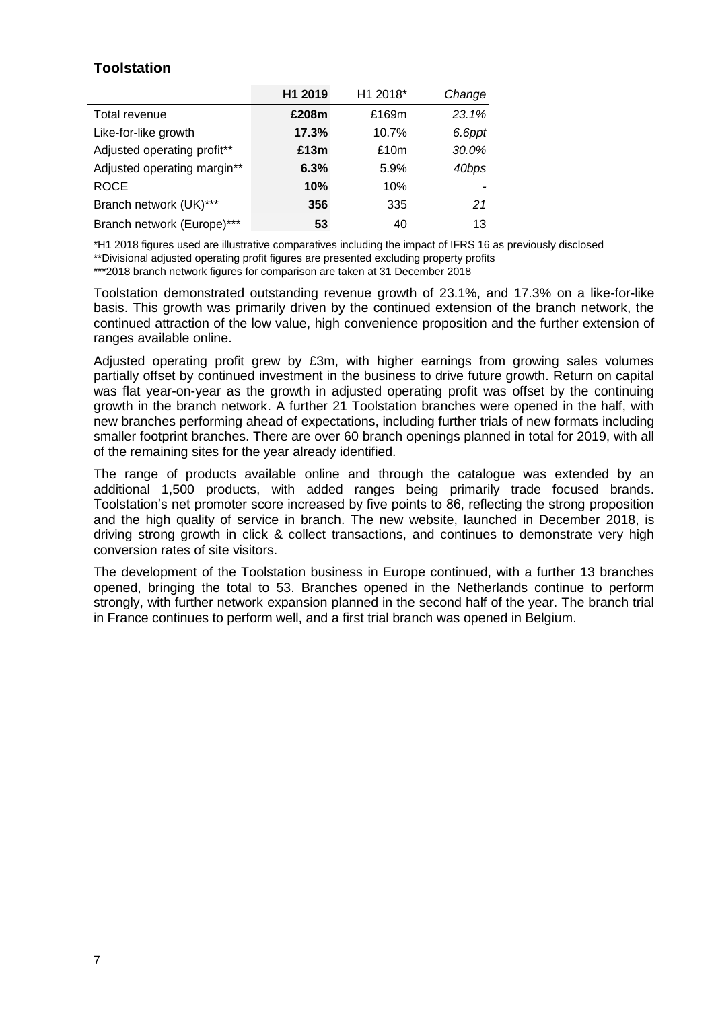## **Toolstation**

|                             | H1 2019 | H1 2018* | Change |
|-----------------------------|---------|----------|--------|
| Total revenue               | £208m   | £169m    | 23.1%  |
| Like-for-like growth        | 17.3%   | 10.7%    | 6.6ppt |
| Adjusted operating profit** | £13m    | £10m     | 30.0%  |
| Adjusted operating margin** | 6.3%    | 5.9%     | 40bps  |
| <b>ROCE</b>                 | 10%     | 10%      |        |
| Branch network (UK)***      | 356     | 335      | 21     |
| Branch network (Europe)***  | 53      | 40       | 13     |

\*H1 2018 figures used are illustrative comparatives including the impact of IFRS 16 as previously disclosed

\*\*Divisional adjusted operating profit figures are presented excluding property profits

\*\*\*2018 branch network figures for comparison are taken at 31 December 2018

Toolstation demonstrated outstanding revenue growth of 23.1%, and 17.3% on a like-for-like basis. This growth was primarily driven by the continued extension of the branch network, the continued attraction of the low value, high convenience proposition and the further extension of ranges available online.

Adjusted operating profit grew by £3m, with higher earnings from growing sales volumes partially offset by continued investment in the business to drive future growth. Return on capital was flat year-on-year as the growth in adjusted operating profit was offset by the continuing growth in the branch network. A further 21 Toolstation branches were opened in the half, with new branches performing ahead of expectations, including further trials of new formats including smaller footprint branches. There are over 60 branch openings planned in total for 2019, with all of the remaining sites for the year already identified.

The range of products available online and through the catalogue was extended by an additional 1,500 products, with added ranges being primarily trade focused brands. Toolstation's net promoter score increased by five points to 86, reflecting the strong proposition and the high quality of service in branch. The new website, launched in December 2018, is driving strong growth in click & collect transactions, and continues to demonstrate very high conversion rates of site visitors.

The development of the Toolstation business in Europe continued, with a further 13 branches opened, bringing the total to 53. Branches opened in the Netherlands continue to perform strongly, with further network expansion planned in the second half of the year. The branch trial in France continues to perform well, and a first trial branch was opened in Belgium.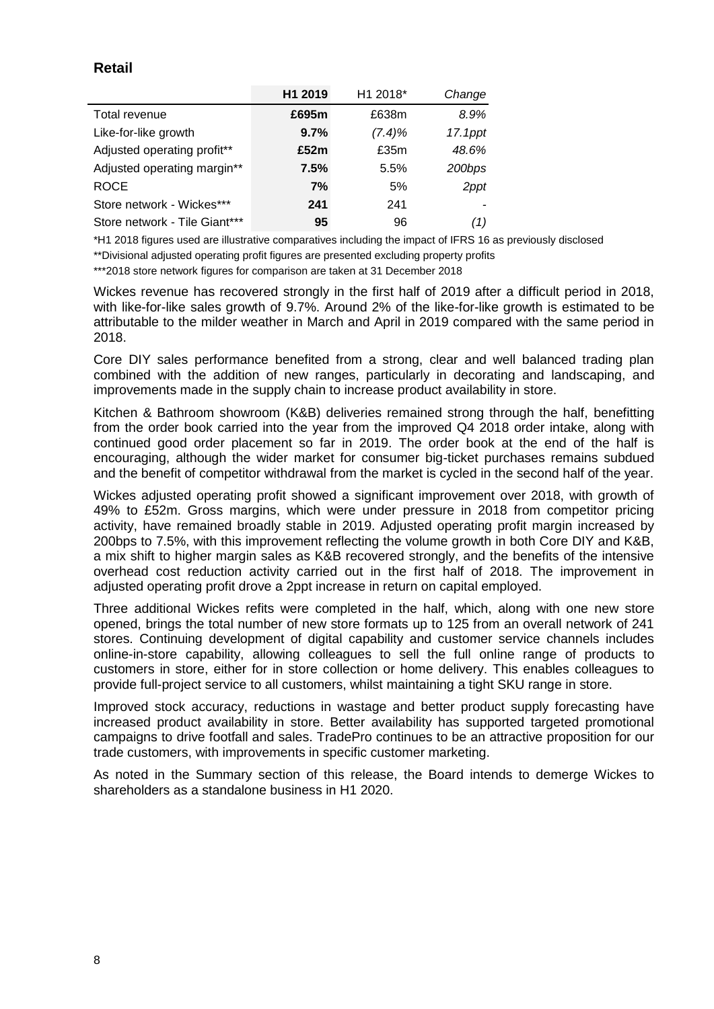## **Retail**

|                               | H1 2019 | H1 2018*  | Change  |
|-------------------------------|---------|-----------|---------|
| Total revenue                 | £695m   | £638m     | 8.9%    |
| Like-for-like growth          | 9.7%    | $(7.4)\%$ | 17.1ppt |
| Adjusted operating profit**   | £52m    | £35m      | 48.6%   |
| Adjusted operating margin**   | 7.5%    | 5.5%      | 200bps  |
| <b>ROCE</b>                   | 7%      | 5%        | 2ppt    |
| Store network - Wickes***     | 241     | 241       |         |
| Store network - Tile Giant*** | 95      | 96        | (1)     |

\*H1 2018 figures used are illustrative comparatives including the impact of IFRS 16 as previously disclosed

\*\*Divisional adjusted operating profit figures are presented excluding property profits

\*\*\*2018 store network figures for comparison are taken at 31 December 2018

Wickes revenue has recovered strongly in the first half of 2019 after a difficult period in 2018, with like-for-like sales growth of 9.7%. Around 2% of the like-for-like growth is estimated to be attributable to the milder weather in March and April in 2019 compared with the same period in 2018.

Core DIY sales performance benefited from a strong, clear and well balanced trading plan combined with the addition of new ranges, particularly in decorating and landscaping, and improvements made in the supply chain to increase product availability in store.

Kitchen & Bathroom showroom (K&B) deliveries remained strong through the half, benefitting from the order book carried into the year from the improved Q4 2018 order intake, along with continued good order placement so far in 2019. The order book at the end of the half is encouraging, although the wider market for consumer big-ticket purchases remains subdued and the benefit of competitor withdrawal from the market is cycled in the second half of the year.

Wickes adjusted operating profit showed a significant improvement over 2018, with growth of 49% to £52m. Gross margins, which were under pressure in 2018 from competitor pricing activity, have remained broadly stable in 2019. Adjusted operating profit margin increased by 200bps to 7.5%, with this improvement reflecting the volume growth in both Core DIY and K&B, a mix shift to higher margin sales as K&B recovered strongly, and the benefits of the intensive overhead cost reduction activity carried out in the first half of 2018. The improvement in adjusted operating profit drove a 2ppt increase in return on capital employed.

Three additional Wickes refits were completed in the half, which, along with one new store opened, brings the total number of new store formats up to 125 from an overall network of 241 stores. Continuing development of digital capability and customer service channels includes online-in-store capability, allowing colleagues to sell the full online range of products to customers in store, either for in store collection or home delivery. This enables colleagues to provide full-project service to all customers, whilst maintaining a tight SKU range in store.

Improved stock accuracy, reductions in wastage and better product supply forecasting have increased product availability in store. Better availability has supported targeted promotional campaigns to drive footfall and sales. TradePro continues to be an attractive proposition for our trade customers, with improvements in specific customer marketing.

As noted in the Summary section of this release, the Board intends to demerge Wickes to shareholders as a standalone business in H1 2020.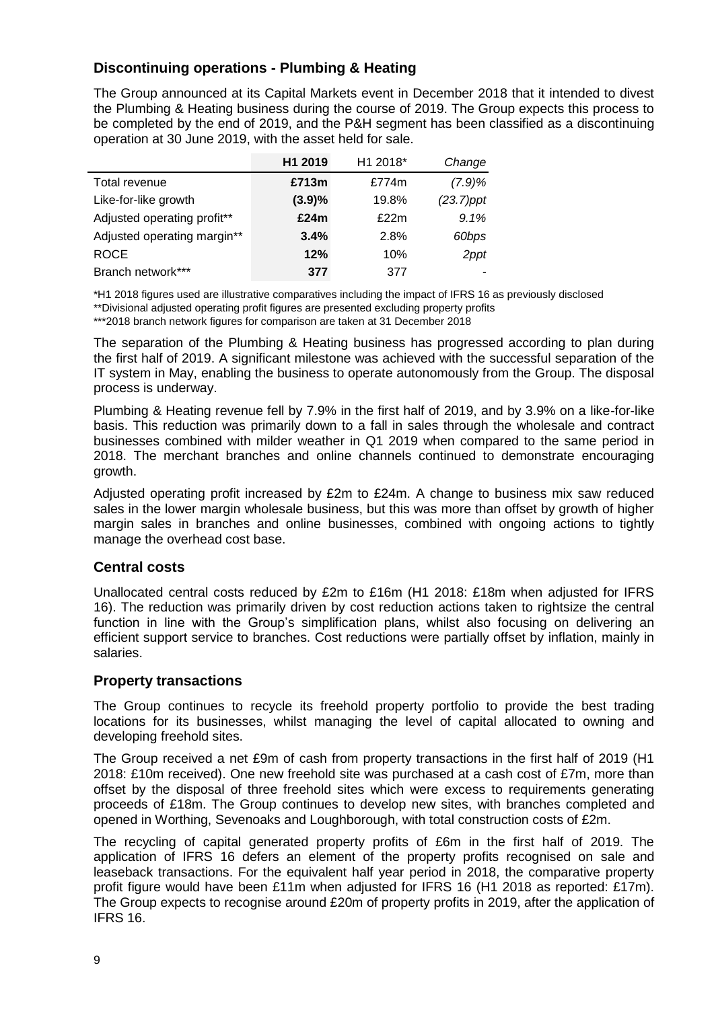## **Discontinuing operations - Plumbing & Heating**

The Group announced at its Capital Markets event in December 2018 that it intended to divest the Plumbing & Heating business during the course of 2019. The Group expects this process to be completed by the end of 2019, and the P&H segment has been classified as a discontinuing operation at 30 June 2019, with the asset held for sale.

|                             | H1 2019 | H1 2018* | Change       |
|-----------------------------|---------|----------|--------------|
| Total revenue               | £713m   | £774m    | (7.9)%       |
| Like-for-like growth        | (3.9)%  | 19.8%    | $(23.7)$ ppt |
| Adjusted operating profit** | £24m    | £22m     | 9.1%         |
| Adjusted operating margin** | 3.4%    | 2.8%     | 60bps        |
| <b>ROCE</b>                 | 12%     | 10%      | 2ppt         |
| Branch network***           | 377     | 377      |              |

\*H1 2018 figures used are illustrative comparatives including the impact of IFRS 16 as previously disclosed

\*\*Divisional adjusted operating profit figures are presented excluding property profits

\*\*\*2018 branch network figures for comparison are taken at 31 December 2018

The separation of the Plumbing & Heating business has progressed according to plan during the first half of 2019. A significant milestone was achieved with the successful separation of the IT system in May, enabling the business to operate autonomously from the Group. The disposal process is underway.

Plumbing & Heating revenue fell by 7.9% in the first half of 2019, and by 3.9% on a like-for-like basis. This reduction was primarily down to a fall in sales through the wholesale and contract businesses combined with milder weather in Q1 2019 when compared to the same period in 2018. The merchant branches and online channels continued to demonstrate encouraging growth.

Adjusted operating profit increased by £2m to £24m. A change to business mix saw reduced sales in the lower margin wholesale business, but this was more than offset by growth of higher margin sales in branches and online businesses, combined with ongoing actions to tightly manage the overhead cost base.

## **Central costs**

Unallocated central costs reduced by £2m to £16m (H1 2018: £18m when adjusted for IFRS 16). The reduction was primarily driven by cost reduction actions taken to rightsize the central function in line with the Group's simplification plans, whilst also focusing on delivering an efficient support service to branches. Cost reductions were partially offset by inflation, mainly in salaries.

## **Property transactions**

The Group continues to recycle its freehold property portfolio to provide the best trading locations for its businesses, whilst managing the level of capital allocated to owning and developing freehold sites.

The Group received a net £9m of cash from property transactions in the first half of 2019 (H1 2018: £10m received). One new freehold site was purchased at a cash cost of £7m, more than offset by the disposal of three freehold sites which were excess to requirements generating proceeds of £18m. The Group continues to develop new sites, with branches completed and opened in Worthing, Sevenoaks and Loughborough, with total construction costs of £2m.

The recycling of capital generated property profits of £6m in the first half of 2019. The application of IFRS 16 defers an element of the property profits recognised on sale and leaseback transactions. For the equivalent half year period in 2018, the comparative property profit figure would have been £11m when adjusted for IFRS 16 (H1 2018 as reported: £17m). The Group expects to recognise around £20m of property profits in 2019, after the application of IFRS 16.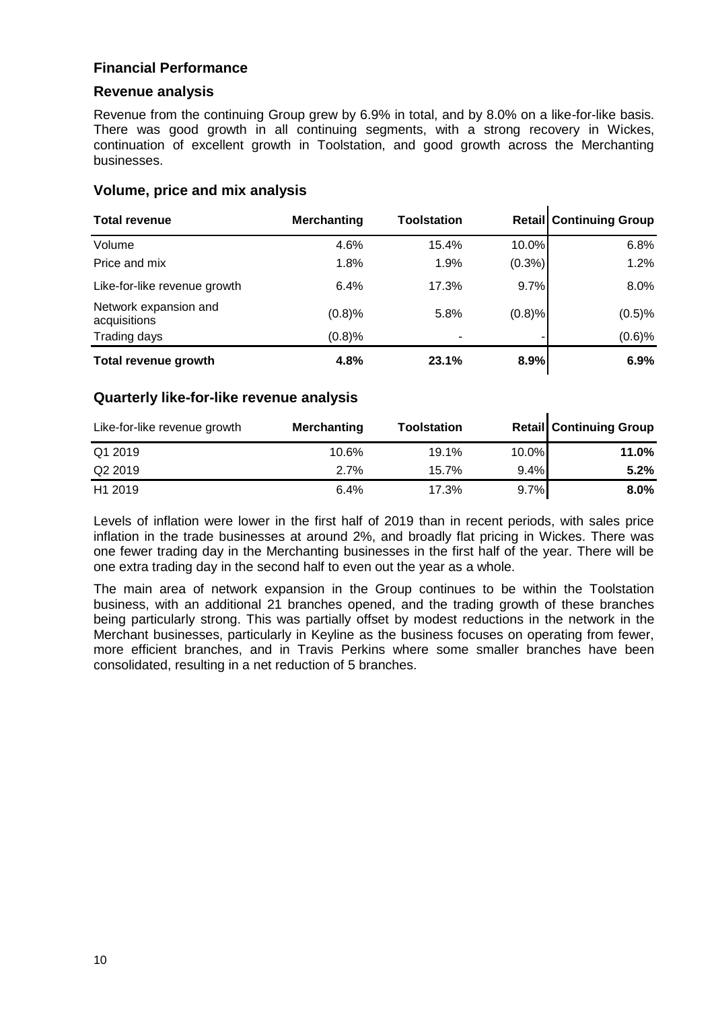## **Financial Performance**

#### **Revenue analysis**

Revenue from the continuing Group grew by 6.9% in total, and by 8.0% on a like-for-like basis. There was good growth in all continuing segments, with a strong recovery in Wickes, continuation of excellent growth in Toolstation, and good growth across the Merchanting businesses.

 $\mathbf{r}$ 

 $\mathbf{r}$ 

#### **Volume, price and mix analysis**

| <b>Total revenue</b>                  | <b>Merchanting</b> | <b>Toolstation</b> |           | <b>Retail Continuing Group</b> |
|---------------------------------------|--------------------|--------------------|-----------|--------------------------------|
| Volume                                | 4.6%               | 15.4%              | 10.0%     | 6.8%                           |
| Price and mix                         | 1.8%               | 1.9%               | $(0.3\%)$ | 1.2%                           |
| Like-for-like revenue growth          | 6.4%               | 17.3%              | 9.7%      | 8.0%                           |
| Network expansion and<br>acquisitions | (0.8)%             | 5.8%               | (0.8)%    | (0.5)%                         |
| Trading days                          | (0.8)%             |                    |           | (0.6)%                         |
| Total revenue growth                  | 4.8%               | 23.1%              | 8.9%      | 6.9%                           |

#### **Quarterly like-for-like revenue analysis**

| Like-for-like revenue growth | <b>Merchanting</b> | <b>Toolstation</b> |       | <b>Retail Continuing Group</b> |
|------------------------------|--------------------|--------------------|-------|--------------------------------|
| Q1 2019                      | 10.6%              | 19.1%              | 10.0% | 11.0%                          |
| Q <sub>2</sub> 2019          | 2.7%               | 15.7%              | 9.4%  | 5.2%                           |
| H <sub>1</sub> 2019          | 6.4%               | 17.3%              | 9.7%  | $8.0\%$                        |

Levels of inflation were lower in the first half of 2019 than in recent periods, with sales price inflation in the trade businesses at around 2%, and broadly flat pricing in Wickes. There was one fewer trading day in the Merchanting businesses in the first half of the year. There will be one extra trading day in the second half to even out the year as a whole.

The main area of network expansion in the Group continues to be within the Toolstation business, with an additional 21 branches opened, and the trading growth of these branches being particularly strong. This was partially offset by modest reductions in the network in the Merchant businesses, particularly in Keyline as the business focuses on operating from fewer, more efficient branches, and in Travis Perkins where some smaller branches have been consolidated, resulting in a net reduction of 5 branches.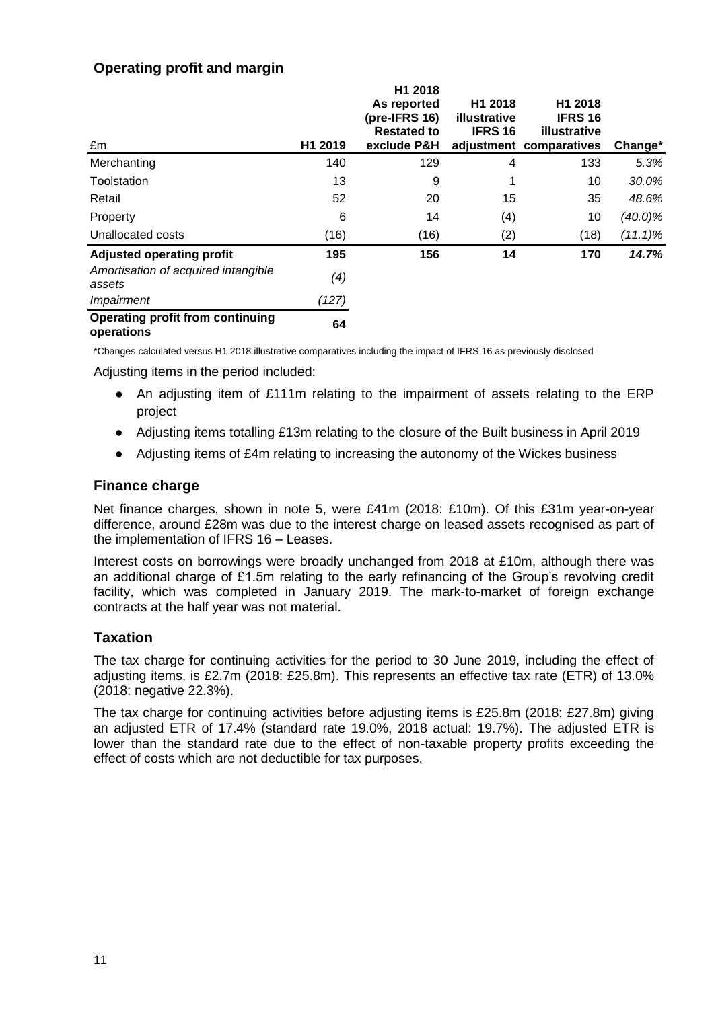## **Operating profit and margin**

| £m                                                    | H1 2019 | H1 2018<br>As reported<br>(pre-IFRS 16)<br><b>Restated to</b><br>exclude P&H | H <sub>1</sub> 2018<br><b>illustrative</b><br><b>IFRS 16</b> | H <sub>1</sub> 2018<br><b>IFRS 16</b><br>illustrative<br>adjustment comparatives | Change*    |
|-------------------------------------------------------|---------|------------------------------------------------------------------------------|--------------------------------------------------------------|----------------------------------------------------------------------------------|------------|
| Merchanting                                           | 140     | 129                                                                          | 4                                                            | 133                                                                              | 5.3%       |
| Toolstation                                           | 13      | 9                                                                            |                                                              | 10                                                                               | 30.0%      |
| Retail                                                | 52      | 20                                                                           | 15                                                           | 35                                                                               | 48.6%      |
| Property                                              | 6       | 14                                                                           | (4)                                                          | 10                                                                               | $(40.0)\%$ |
| Unallocated costs                                     | (16)    | (16)                                                                         | (2)                                                          | (18)                                                                             | $(11.1)\%$ |
| <b>Adjusted operating profit</b>                      | 195     | 156                                                                          | 14                                                           | 170                                                                              | 14.7%      |
| Amortisation of acquired intangible<br>assets         | (4)     |                                                                              |                                                              |                                                                                  |            |
| Impairment                                            | (127)   |                                                                              |                                                              |                                                                                  |            |
| <b>Operating profit from continuing</b><br>operations | 64      |                                                                              |                                                              |                                                                                  |            |

\*Changes calculated versus H1 2018 illustrative comparatives including the impact of IFRS 16 as previously disclosed

Adjusting items in the period included:

- An adjusting item of £111m relating to the impairment of assets relating to the ERP project
- Adjusting items totalling £13m relating to the closure of the Built business in April 2019
- Adjusting items of £4m relating to increasing the autonomy of the Wickes business

## **Finance charge**

Net finance charges, shown in note 5, were £41m (2018: £10m). Of this £31m year-on-year difference, around £28m was due to the interest charge on leased assets recognised as part of the implementation of IFRS 16 – Leases.

Interest costs on borrowings were broadly unchanged from 2018 at £10m, although there was an additional charge of £1.5m relating to the early refinancing of the Group's revolving credit facility, which was completed in January 2019. The mark-to-market of foreign exchange contracts at the half year was not material.

## **Taxation**

The tax charge for continuing activities for the period to 30 June 2019, including the effect of adjusting items, is £2.7m (2018: £25.8m). This represents an effective tax rate (ETR) of 13.0% (2018: negative 22.3%).

The tax charge for continuing activities before adjusting items is £25.8m (2018: £27.8m) giving an adjusted ETR of 17.4% (standard rate 19.0%, 2018 actual: 19.7%). The adjusted ETR is lower than the standard rate due to the effect of non-taxable property profits exceeding the effect of costs which are not deductible for tax purposes.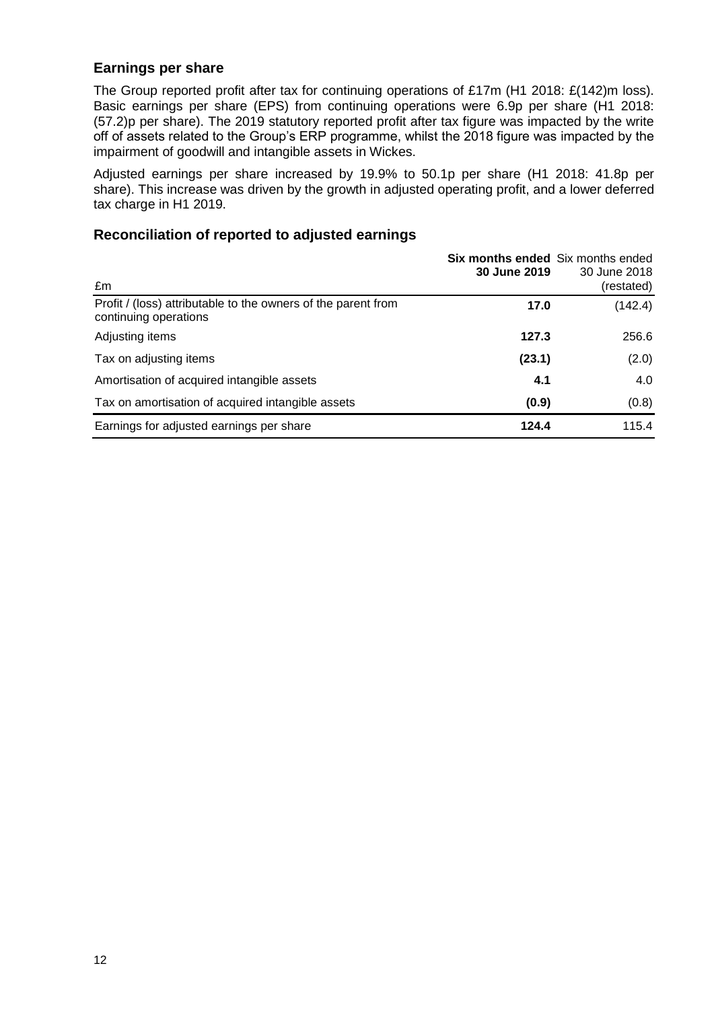## **Earnings per share**

The Group reported profit after tax for continuing operations of £17m (H1 2018: £(142)m loss). Basic earnings per share (EPS) from continuing operations were 6.9p per share (H1 2018: (57.2)p per share). The 2019 statutory reported profit after tax figure was impacted by the write off of assets related to the Group's ERP programme, whilst the 2018 figure was impacted by the impairment of goodwill and intangible assets in Wickes.

Adjusted earnings per share increased by 19.9% to 50.1p per share (H1 2018: 41.8p per share). This increase was driven by the growth in adjusted operating profit, and a lower deferred tax charge in H1 2019.

## **Reconciliation of reported to adjusted earnings**

| £m                                                                                     | <b>Six months ended</b> Six months ended<br>30 June 2019 | 30 June 2018<br>(restated) |
|----------------------------------------------------------------------------------------|----------------------------------------------------------|----------------------------|
| Profit / (loss) attributable to the owners of the parent from<br>continuing operations | 17.0                                                     | (142.4)                    |
| Adjusting items                                                                        | 127.3                                                    | 256.6                      |
| Tax on adjusting items                                                                 | (23.1)                                                   | (2.0)                      |
| Amortisation of acquired intangible assets                                             | 4.1                                                      | 4.0                        |
| Tax on amortisation of acquired intangible assets                                      | (0.9)                                                    | (0.8)                      |
| Earnings for adjusted earnings per share                                               | 124.4                                                    | 115.4                      |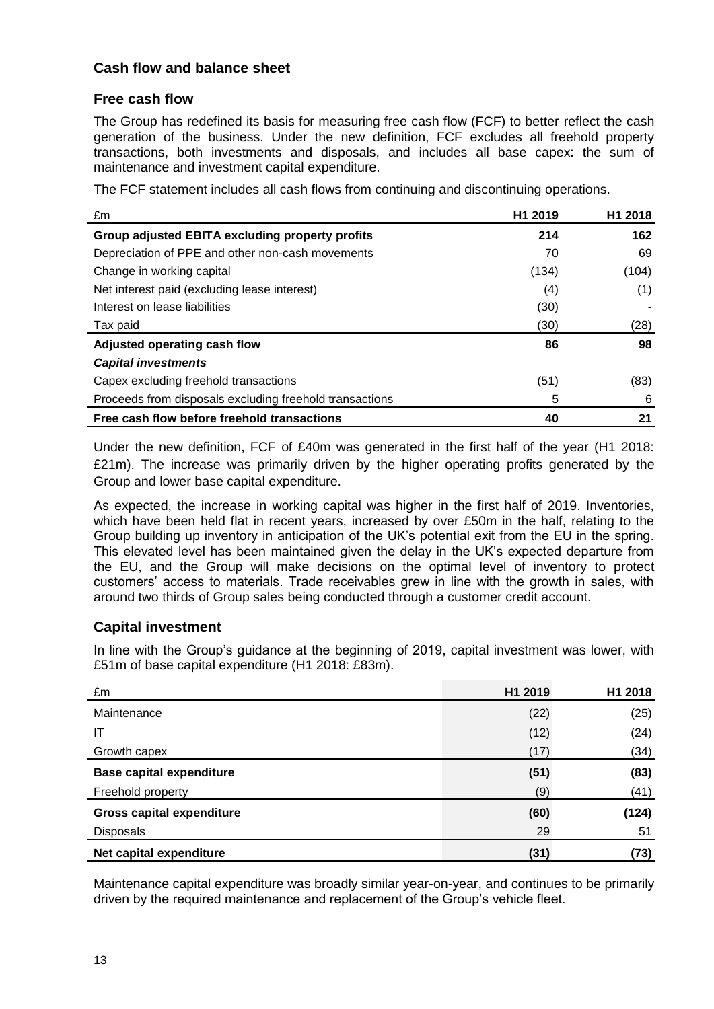## **Cash flow and balance sheet**

## **Free cash flow**

The Group has redefined its basis for measuring free cash flow (FCF) to better reflect the cash generation of the business. Under the new definition, FCF excludes all freehold property transactions, both investments and disposals, and includes all base capex: the sum of maintenance and investment capital expenditure.

The FCF statement includes all cash flows from continuing and discontinuing operations.

| £m                                                      | H <sub>1</sub> 2019 | H <sub>1</sub> 2018 |
|---------------------------------------------------------|---------------------|---------------------|
| Group adjusted EBITA excluding property profits         | 214                 | 162                 |
| Depreciation of PPE and other non-cash movements        | 70                  | 69                  |
| Change in working capital                               | (134)               | (104)               |
| Net interest paid (excluding lease interest)            | (4)                 | (1)                 |
| Interest on lease liabilities                           | (30)                |                     |
| Tax paid                                                | (30)                | (28)                |
| Adjusted operating cash flow                            | 86                  | 98                  |
| <b>Capital investments</b>                              |                     |                     |
| Capex excluding freehold transactions                   | (51)                | (83)                |
| Proceeds from disposals excluding freehold transactions | 5                   | 6                   |
| Free cash flow before freehold transactions             | 40                  | 21                  |

Under the new definition, FCF of £40m was generated in the first half of the year (H1 2018: £21m). The increase was primarily driven by the higher operating profits generated by the Group and lower base capital expenditure.

As expected, the increase in working capital was higher in the first half of 2019. Inventories, which have been held flat in recent years, increased by over £50m in the half, relating to the Group building up inventory in anticipation of the UK's potential exit from the EU in the spring. This elevated level has been maintained given the delay in the UK's expected departure from the EU, and the Group will make decisions on the optimal level of inventory to protect customers' access to materials. Trade receivables grew in line with the growth in sales, with around two thirds of Group sales being conducted through a customer credit account.

## **Capital investment**

In line with the Group's guidance at the beginning of 2019, capital investment was lower, with £51m of base capital expenditure (H1 2018: £83m).

| £m                               | H1 2019 | H1 2018 |
|----------------------------------|---------|---------|
| Maintenance                      | (22)    | (25)    |
| IT                               | (12)    | (24)    |
| Growth capex                     | (17)    | (34)    |
| <b>Base capital expenditure</b>  | (51)    | (83)    |
| Freehold property                | (9)     | (41)    |
| <b>Gross capital expenditure</b> | (60)    | (124)   |
| <b>Disposals</b>                 | 29      | 51      |
| Net capital expenditure          | (31)    | (73)    |

Maintenance capital expenditure was broadly similar year-on-year, and continues to be primarily driven by the required maintenance and replacement of the Group's vehicle fleet.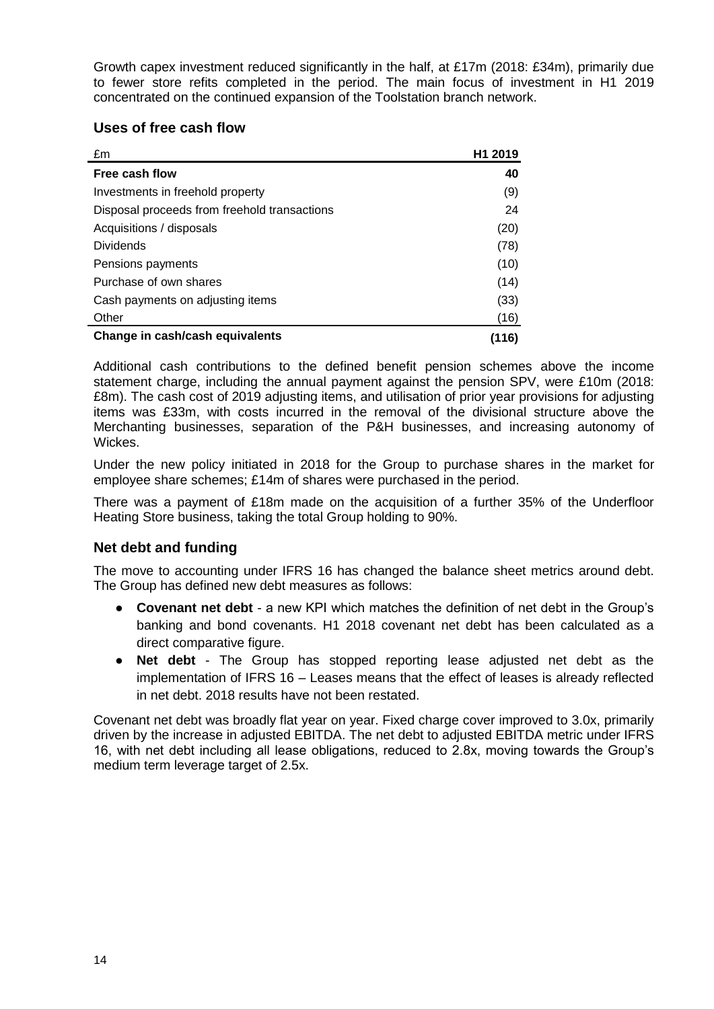Growth capex investment reduced significantly in the half, at £17m (2018: £34m), primarily due to fewer store refits completed in the period. The main focus of investment in H1 2019 concentrated on the continued expansion of the Toolstation branch network.

## **Uses of free cash flow**

| £m                                           | H <sub>1</sub> 2019 |
|----------------------------------------------|---------------------|
| Free cash flow                               | 40                  |
| Investments in freehold property             | (9)                 |
| Disposal proceeds from freehold transactions | 24                  |
| Acquisitions / disposals                     | (20)                |
| <b>Dividends</b>                             | (78)                |
| Pensions payments                            | (10)                |
| Purchase of own shares                       | (14)                |
| Cash payments on adjusting items             | (33)                |
| Other                                        | (16)                |
| Change in cash/cash equivalents              | (116)               |

Additional cash contributions to the defined benefit pension schemes above the income statement charge, including the annual payment against the pension SPV, were £10m (2018: £8m). The cash cost of 2019 adjusting items, and utilisation of prior year provisions for adjusting items was £33m, with costs incurred in the removal of the divisional structure above the Merchanting businesses, separation of the P&H businesses, and increasing autonomy of Wickes.

Under the new policy initiated in 2018 for the Group to purchase shares in the market for employee share schemes; £14m of shares were purchased in the period.

There was a payment of £18m made on the acquisition of a further 35% of the Underfloor Heating Store business, taking the total Group holding to 90%.

## **Net debt and funding**

The move to accounting under IFRS 16 has changed the balance sheet metrics around debt. The Group has defined new debt measures as follows:

- **Covenant net debt** a new KPI which matches the definition of net debt in the Group's banking and bond covenants. H1 2018 covenant net debt has been calculated as a direct comparative figure.
- Net debt The Group has stopped reporting lease adjusted net debt as the implementation of IFRS 16 – Leases means that the effect of leases is already reflected in net debt. 2018 results have not been restated.

Covenant net debt was broadly flat year on year. Fixed charge cover improved to 3.0x, primarily driven by the increase in adjusted EBITDA. The net debt to adjusted EBITDA metric under IFRS 16, with net debt including all lease obligations, reduced to 2.8x, moving towards the Group's medium term leverage target of 2.5x.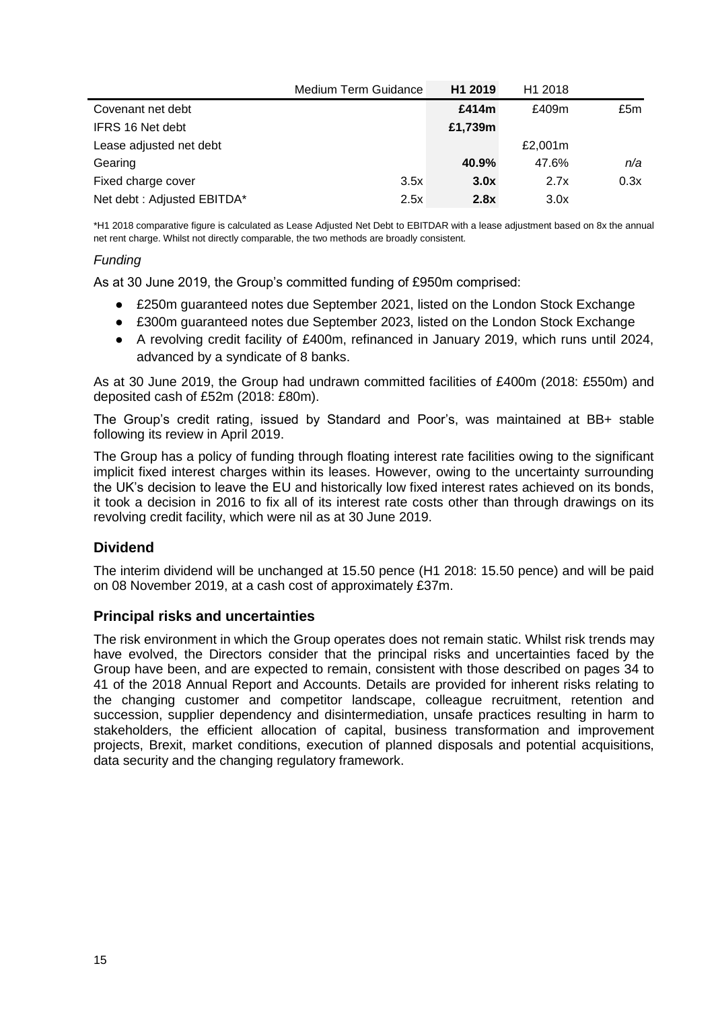|                            | Medium Term Guidance | H <sub>1</sub> 2019 | H1 2018 |      |
|----------------------------|----------------------|---------------------|---------|------|
| Covenant net debt          |                      | £414m               | £409m   | £5m  |
| IFRS 16 Net debt           |                      | £1,739m             |         |      |
| Lease adjusted net debt    |                      |                     | £2,001m |      |
| Gearing                    |                      | 40.9%               | 47.6%   | n/a  |
| Fixed charge cover         | 3.5x                 | 3.0x                | 2.7x    | 0.3x |
| Net debt: Adjusted EBITDA* | 2.5x                 | 2.8x                | 3.0x    |      |

\*H1 2018 comparative figure is calculated as Lease Adjusted Net Debt to EBITDAR with a lease adjustment based on 8x the annual net rent charge. Whilst not directly comparable, the two methods are broadly consistent.

#### *Funding*

As at 30 June 2019, the Group's committed funding of £950m comprised:

- £250m guaranteed notes due September 2021, listed on the London Stock Exchange
- £300m guaranteed notes due September 2023, listed on the London Stock Exchange
- A revolving credit facility of £400m, refinanced in January 2019, which runs until 2024, advanced by a syndicate of 8 banks.

As at 30 June 2019, the Group had undrawn committed facilities of £400m (2018: £550m) and deposited cash of £52m (2018: £80m).

The Group's credit rating, issued by Standard and Poor's, was maintained at BB+ stable following its review in April 2019.

The Group has a policy of funding through floating interest rate facilities owing to the significant implicit fixed interest charges within its leases. However, owing to the uncertainty surrounding the UK's decision to leave the EU and historically low fixed interest rates achieved on its bonds, it took a decision in 2016 to fix all of its interest rate costs other than through drawings on its revolving credit facility, which were nil as at 30 June 2019.

## **Dividend**

The interim dividend will be unchanged at 15.50 pence (H1 2018: 15.50 pence) and will be paid on 08 November 2019, at a cash cost of approximately £37m.

#### **Principal risks and uncertainties**

The risk environment in which the Group operates does not remain static. Whilst risk trends may have evolved, the Directors consider that the principal risks and uncertainties faced by the Group have been, and are expected to remain, consistent with those described on pages 34 to 41 of the 2018 Annual Report and Accounts. Details are provided for inherent risks relating to the changing customer and competitor landscape, colleague recruitment, retention and succession, supplier dependency and disintermediation, unsafe practices resulting in harm to stakeholders, the efficient allocation of capital, business transformation and improvement projects, Brexit, market conditions, execution of planned disposals and potential acquisitions, data security and the changing regulatory framework.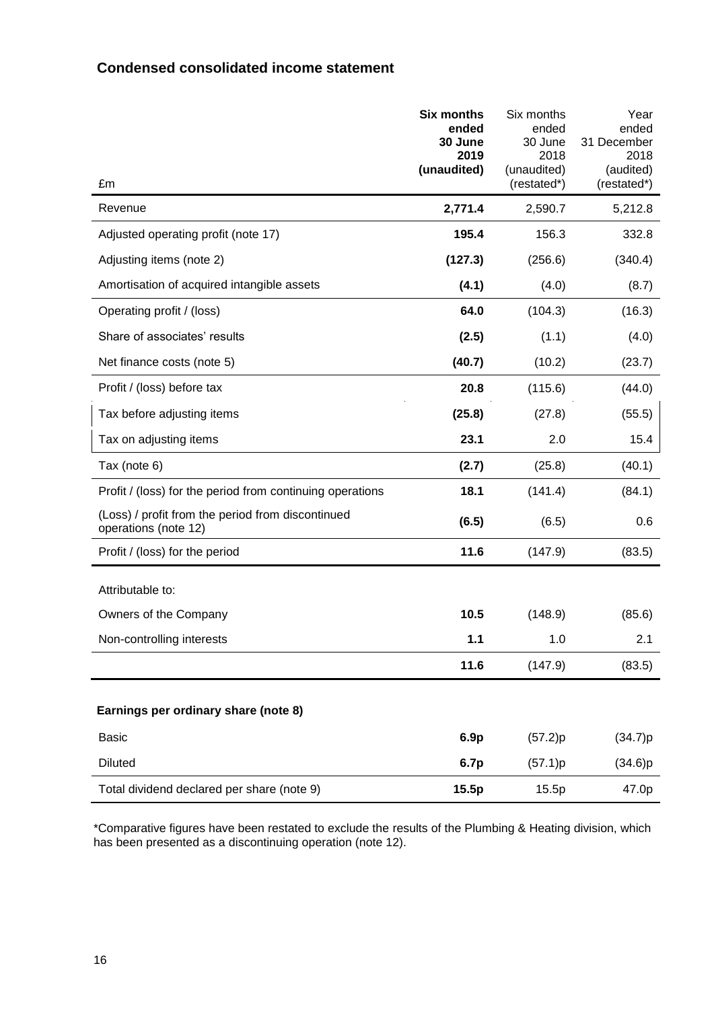## **Condensed consolidated income statement**

| £m                                                                        | <b>Six months</b><br>ended<br>30 June<br>2019<br>(unaudited) | Six months<br>ended<br>30 June<br>2018<br>(unaudited)<br>(restated*) | Year<br>ended<br>31 December<br>2018<br>(audited)<br>(restated*) |
|---------------------------------------------------------------------------|--------------------------------------------------------------|----------------------------------------------------------------------|------------------------------------------------------------------|
| Revenue                                                                   | 2,771.4                                                      | 2,590.7                                                              | 5,212.8                                                          |
| Adjusted operating profit (note 17)                                       | 195.4                                                        | 156.3                                                                | 332.8                                                            |
| Adjusting items (note 2)                                                  | (127.3)                                                      | (256.6)                                                              | (340.4)                                                          |
| Amortisation of acquired intangible assets                                | (4.1)                                                        | (4.0)                                                                | (8.7)                                                            |
| Operating profit / (loss)                                                 | 64.0                                                         | (104.3)                                                              | (16.3)                                                           |
| Share of associates' results                                              | (2.5)                                                        | (1.1)                                                                | (4.0)                                                            |
| Net finance costs (note 5)                                                | (40.7)                                                       | (10.2)                                                               | (23.7)                                                           |
| Profit / (loss) before tax                                                | 20.8                                                         | (115.6)                                                              | (44.0)                                                           |
| Tax before adjusting items                                                | (25.8)                                                       | (27.8)                                                               | (55.5)                                                           |
| Tax on adjusting items                                                    | 23.1                                                         | 2.0                                                                  | 15.4                                                             |
| Tax (note 6)                                                              | (2.7)                                                        | (25.8)                                                               | (40.1)                                                           |
| Profit / (loss) for the period from continuing operations                 | 18.1                                                         | (141.4)                                                              | (84.1)                                                           |
| (Loss) / profit from the period from discontinued<br>operations (note 12) | (6.5)                                                        | (6.5)                                                                | 0.6                                                              |
| Profit / (loss) for the period                                            | 11.6                                                         | (147.9)                                                              | (83.5)                                                           |
| Attributable to:                                                          |                                                              |                                                                      |                                                                  |
| Owners of the Company                                                     | 10.5                                                         | (148.9)                                                              | (85.6)                                                           |
| Non-controlling interests                                                 | 1.1                                                          | 1.0                                                                  | 2.1                                                              |
|                                                                           | 11.6                                                         | (147.9)                                                              | (83.5)                                                           |
| Earnings per ordinary share (note 8)                                      |                                                              |                                                                      |                                                                  |
| <b>Basic</b>                                                              | 6.9p                                                         | (57.2)p                                                              | (34.7)p                                                          |
| <b>Diluted</b>                                                            | 6.7p                                                         | (57.1)p                                                              | (34.6)p                                                          |
| Total dividend declared per share (note 9)                                | 15.5p                                                        | 15.5p                                                                | 47.0p                                                            |

\*Comparative figures have been restated to exclude the results of the Plumbing & Heating division, which has been presented as a discontinuing operation (note 12).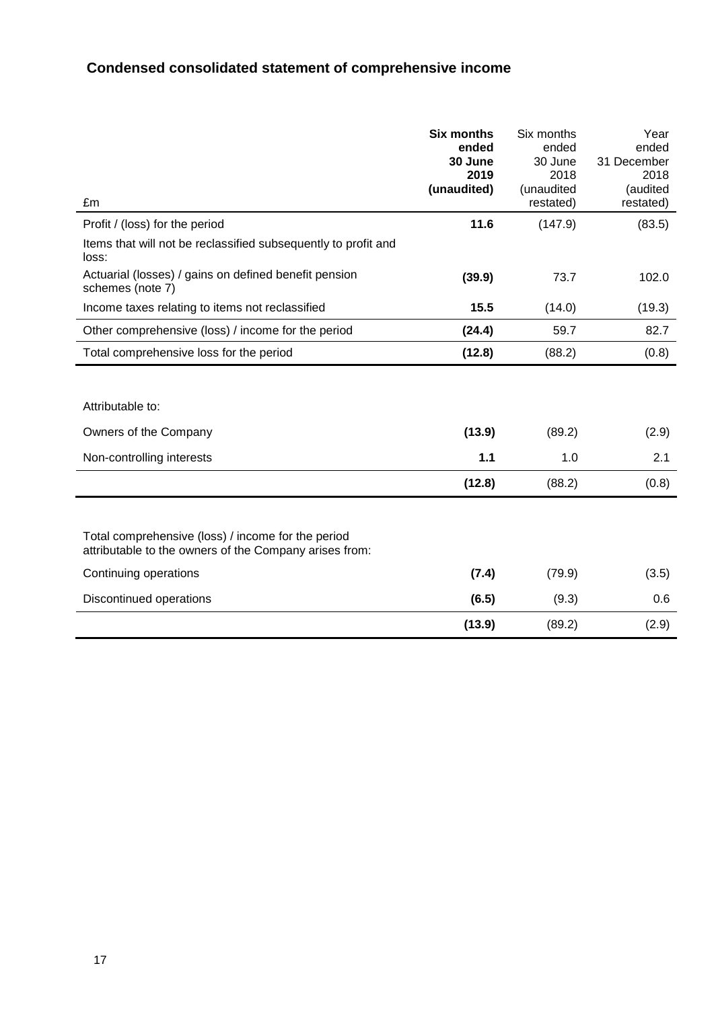# **Condensed consolidated statement of comprehensive income**

|                                                                                                              | <b>Six months</b> | Six months | Year        |
|--------------------------------------------------------------------------------------------------------------|-------------------|------------|-------------|
|                                                                                                              | ended             | ended      | ended       |
|                                                                                                              | 30 June           | 30 June    | 31 December |
|                                                                                                              | 2019              | 2018       | 2018        |
|                                                                                                              | (unaudited)       | (unaudited | (audited    |
| £m                                                                                                           |                   | restated)  | restated)   |
| Profit / (loss) for the period                                                                               | 11.6              | (147.9)    | (83.5)      |
| Items that will not be reclassified subsequently to profit and<br>loss:                                      |                   |            |             |
| Actuarial (losses) / gains on defined benefit pension<br>schemes (note 7)                                    | (39.9)            | 73.7       | 102.0       |
| Income taxes relating to items not reclassified                                                              | 15.5              | (14.0)     | (19.3)      |
| Other comprehensive (loss) / income for the period                                                           | (24.4)            | 59.7       | 82.7        |
| Total comprehensive loss for the period                                                                      | (12.8)            | (88.2)     | (0.8)       |
| Attributable to:                                                                                             |                   |            |             |
| Owners of the Company                                                                                        | (13.9)            | (89.2)     | (2.9)       |
| Non-controlling interests                                                                                    | 1.1               | 1.0        | 2.1         |
|                                                                                                              | (12.8)            | (88.2)     | (0.8)       |
|                                                                                                              |                   |            |             |
| Total comprehensive (loss) / income for the period<br>attributable to the owners of the Company arises from: |                   |            |             |
| Continuing operations                                                                                        | (7.4)             | (79.9)     | (3.5)       |
| Discontinued operations                                                                                      | (6.5)             | (9.3)      | 0.6         |
|                                                                                                              | (13.9)            | (89.2)     | (2.9)       |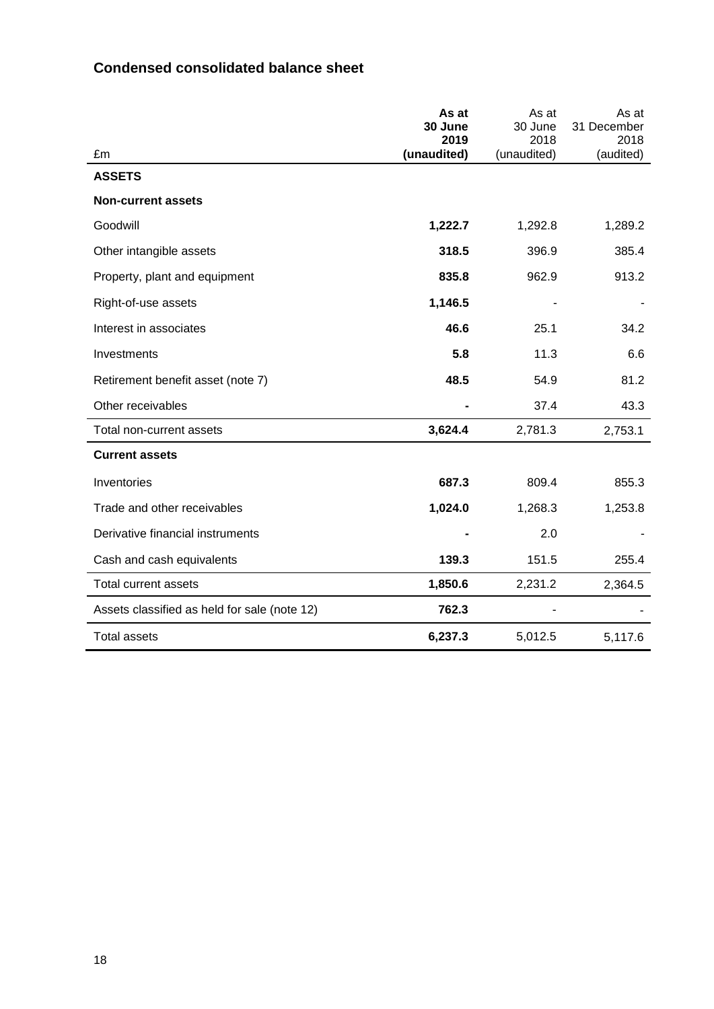|                                              | As at<br>30 June<br>2019 | As at<br>30 June<br>2018 | As at<br>31 December<br>2018 |
|----------------------------------------------|--------------------------|--------------------------|------------------------------|
| £m                                           | (unaudited)              | (unaudited)              | (audited)                    |
| <b>ASSETS</b>                                |                          |                          |                              |
| <b>Non-current assets</b>                    |                          |                          |                              |
| Goodwill                                     | 1,222.7                  | 1,292.8                  | 1,289.2                      |
| Other intangible assets                      | 318.5                    | 396.9                    | 385.4                        |
| Property, plant and equipment                | 835.8                    | 962.9                    | 913.2                        |
| Right-of-use assets                          | 1,146.5                  |                          |                              |
| Interest in associates                       | 46.6                     | 25.1                     | 34.2                         |
| Investments                                  | 5.8                      | 11.3                     | 6.6                          |
| Retirement benefit asset (note 7)            | 48.5                     | 54.9                     | 81.2                         |
| Other receivables                            |                          | 37.4                     | 43.3                         |
| Total non-current assets                     | 3,624.4                  | 2,781.3                  | 2,753.1                      |
| <b>Current assets</b>                        |                          |                          |                              |
| Inventories                                  | 687.3                    | 809.4                    | 855.3                        |
| Trade and other receivables                  | 1,024.0                  | 1,268.3                  | 1,253.8                      |
| Derivative financial instruments             |                          | 2.0                      |                              |
| Cash and cash equivalents                    | 139.3                    | 151.5                    | 255.4                        |
| <b>Total current assets</b>                  | 1,850.6                  | 2,231.2                  | 2,364.5                      |
| Assets classified as held for sale (note 12) | 762.3                    |                          |                              |
| <b>Total assets</b>                          | 6,237.3                  | 5,012.5                  | 5,117.6                      |

## **Condensed consolidated balance sheet**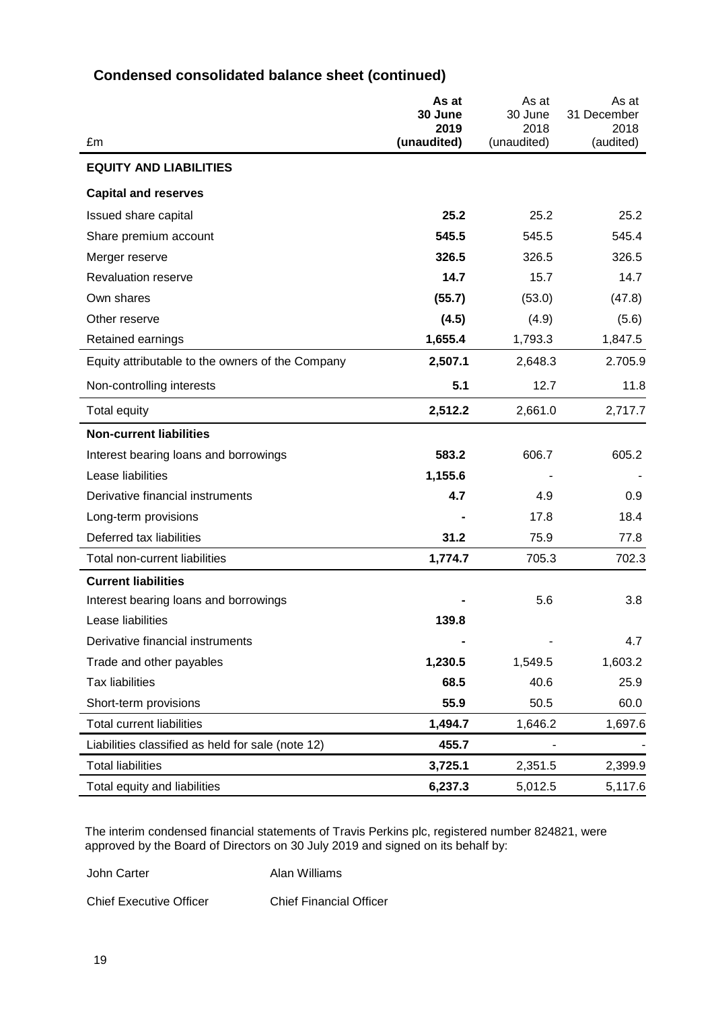| £m                                                | As at<br>30 June<br>2019<br>(unaudited) | As at<br>30 June<br>2018<br>(unaudited) | As at<br>31 December<br>2018<br>(audited) |
|---------------------------------------------------|-----------------------------------------|-----------------------------------------|-------------------------------------------|
| <b>EQUITY AND LIABILITIES</b>                     |                                         |                                         |                                           |
| <b>Capital and reserves</b>                       |                                         |                                         |                                           |
| Issued share capital                              | 25.2                                    | 25.2                                    | 25.2                                      |
| Share premium account                             | 545.5                                   | 545.5                                   | 545.4                                     |
| Merger reserve                                    | 326.5                                   | 326.5                                   | 326.5                                     |
| <b>Revaluation reserve</b>                        | 14.7                                    | 15.7                                    | 14.7                                      |
| Own shares                                        | (55.7)                                  | (53.0)                                  | (47.8)                                    |
| Other reserve                                     | (4.5)                                   | (4.9)                                   | (5.6)                                     |
| Retained earnings                                 | 1,655.4                                 | 1,793.3                                 | 1,847.5                                   |
| Equity attributable to the owners of the Company  | 2,507.1                                 | 2,648.3                                 | 2.705.9                                   |
| Non-controlling interests                         | 5.1                                     | 12.7                                    | 11.8                                      |
| Total equity                                      | 2,512.2                                 | 2,661.0                                 | 2,717.7                                   |
| <b>Non-current liabilities</b>                    |                                         |                                         |                                           |
| Interest bearing loans and borrowings             | 583.2                                   | 606.7                                   | 605.2                                     |
| Lease liabilities                                 | 1,155.6                                 |                                         |                                           |
| Derivative financial instruments                  | 4.7                                     | 4.9                                     | 0.9                                       |
| Long-term provisions                              |                                         | 17.8                                    | 18.4                                      |
| Deferred tax liabilities                          | 31.2                                    | 75.9                                    | 77.8                                      |
| Total non-current liabilities                     | 1,774.7                                 | 705.3                                   | 702.3                                     |
| <b>Current liabilities</b>                        |                                         |                                         |                                           |
| Interest bearing loans and borrowings             |                                         | 5.6                                     | 3.8                                       |
| Lease liabilities                                 | 139.8                                   |                                         |                                           |
| Derivative financial instruments                  |                                         |                                         | 4.7                                       |
| Trade and other payables                          | 1,230.5                                 | 1,549.5                                 | 1,603.2                                   |
| <b>Tax liabilities</b>                            | 68.5                                    | 40.6                                    | 25.9                                      |
| Short-term provisions                             | 55.9                                    | 50.5                                    | 60.0                                      |
| <b>Total current liabilities</b>                  | 1,494.7                                 | 1,646.2                                 | 1,697.6                                   |
| Liabilities classified as held for sale (note 12) | 455.7                                   |                                         |                                           |
| <b>Total liabilities</b>                          | 3,725.1                                 | 2,351.5                                 | 2,399.9                                   |
| Total equity and liabilities                      | 6,237.3                                 | 5,012.5                                 | 5,117.6                                   |

## **Condensed consolidated balance sheet (continued)**

The interim condensed financial statements of Travis Perkins plc, registered number 824821, were approved by the Board of Directors on 30 July 2019 and signed on its behalf by:

John Carter **Alan Williams** 

Chief Executive Officer Chief Financial Officer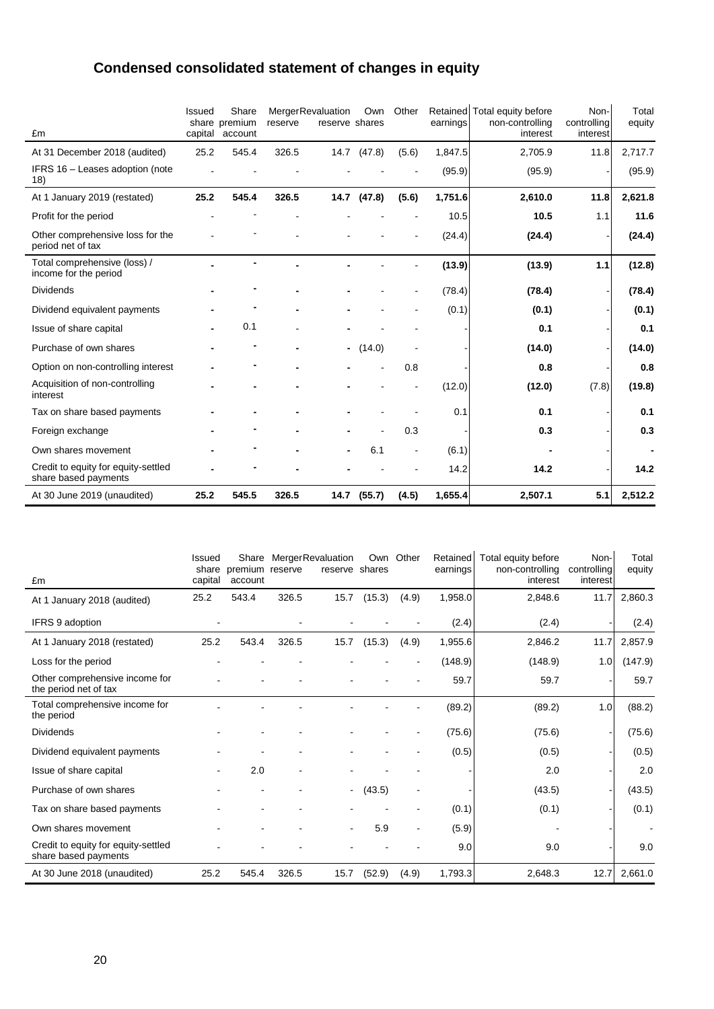# **Condensed consolidated statement of changes in equity**

|                                                             | Issued | Share<br>share premium | reserve | <b>MergerRevaluation</b><br>reserve shares | Own         | Other                    | earnings | Retained Total equity before<br>non-controlling | Non-<br>controlling | Total<br>equity |
|-------------------------------------------------------------|--------|------------------------|---------|--------------------------------------------|-------------|--------------------------|----------|-------------------------------------------------|---------------------|-----------------|
| £m                                                          |        | capital account        |         |                                            |             |                          |          | interest                                        | interest            |                 |
| At 31 December 2018 (audited)                               | 25.2   | 545.4                  | 326.5   |                                            | 14.7 (47.8) | (5.6)                    | 1,847.5  | 2,705.9                                         | 11.8                | 2,717.7         |
| IFRS 16 - Leases adoption (note<br>18)                      |        |                        |         |                                            |             |                          | (95.9)   | (95.9)                                          |                     | (95.9)          |
| At 1 January 2019 (restated)                                | 25.2   | 545.4                  | 326.5   |                                            | 14.7 (47.8) | (5.6)                    | 1,751.6  | 2,610.0                                         | 11.8                | 2,621.8         |
| Profit for the period                                       |        |                        |         |                                            |             |                          | 10.5     | 10.5                                            | 1.1                 | 11.6            |
| Other comprehensive loss for the<br>period net of tax       |        |                        |         |                                            |             |                          | (24.4)   | (24.4)                                          |                     | (24.4)          |
| Total comprehensive (loss) /<br>income for the period       |        |                        |         |                                            |             |                          | (13.9)   | (13.9)                                          | 1.1                 | (12.8)          |
| <b>Dividends</b>                                            |        |                        |         |                                            |             |                          | (78.4)   | (78.4)                                          |                     | (78.4)          |
| Dividend equivalent payments                                |        |                        |         |                                            |             |                          | (0.1)    | (0.1)                                           |                     | (0.1)           |
| Issue of share capital                                      |        | 0.1                    |         |                                            |             |                          |          | 0.1                                             |                     | 0.1             |
| Purchase of own shares                                      |        |                        |         |                                            | (14.0)      |                          |          | (14.0)                                          |                     | (14.0)          |
| Option on non-controlling interest                          |        |                        |         |                                            |             | 0.8                      |          | 0.8                                             |                     | 0.8             |
| Acquisition of non-controlling<br>interest                  |        |                        |         |                                            |             |                          | (12.0)   | (12.0)                                          | (7.8)               | (19.8)          |
| Tax on share based payments                                 |        |                        |         |                                            |             |                          | 0.1      | 0.1                                             |                     | 0.1             |
| Foreign exchange                                            |        |                        |         |                                            |             | 0.3                      |          | 0.3                                             |                     | 0.3             |
| Own shares movement                                         |        |                        |         |                                            | 6.1         | $\overline{\phantom{a}}$ | (6.1)    |                                                 |                     |                 |
| Credit to equity for equity-settled<br>share based payments |        |                        |         |                                            |             |                          | 14.2     | 14.2                                            |                     | 14.2            |
| At 30 June 2019 (unaudited)                                 | 25.2   | 545.5                  | 326.5   | 14.7                                       | (55.7)      | (4.5)                    | 1,655.4  | 2,507.1                                         | 5.1                 | 2,512.2         |

| £m                                                          | Issued<br>share<br>capital | premium reserve<br>account |       | Share MergerRevaluation<br>reserve shares |        | Own Other                | Retained<br>earnings | Total equity before<br>non-controlling<br>interest | Non-<br>controlling<br>interest | Total<br>equity |
|-------------------------------------------------------------|----------------------------|----------------------------|-------|-------------------------------------------|--------|--------------------------|----------------------|----------------------------------------------------|---------------------------------|-----------------|
| At 1 January 2018 (audited)                                 | 25.2                       | 543.4                      | 326.5 | 15.7                                      | (15.3) | (4.9)                    | 1,958.0              | 2,848.6                                            | 11.7                            | 2,860.3         |
| IFRS 9 adoption                                             |                            |                            |       |                                           |        |                          | (2.4)                | (2.4)                                              |                                 | (2.4)           |
| At 1 January 2018 (restated)                                | 25.2                       | 543.4                      | 326.5 | 15.7                                      | (15.3) | (4.9)                    | 1,955.6              | 2,846.2                                            | 11.7                            | 2,857.9         |
| Loss for the period                                         |                            |                            |       |                                           |        |                          | (148.9)              | (148.9)                                            | 1.0                             | (147.9)         |
| Other comprehensive income for<br>the period net of tax     |                            |                            |       |                                           |        |                          | 59.7                 | 59.7                                               |                                 | 59.7            |
| Total comprehensive income for<br>the period                |                            |                            |       |                                           |        |                          | (89.2)               | (89.2)                                             | 1.0                             | (88.2)          |
| <b>Dividends</b>                                            |                            |                            |       |                                           |        |                          | (75.6)               | (75.6)                                             |                                 | (75.6)          |
| Dividend equivalent payments                                |                            |                            |       |                                           |        |                          | (0.5)                | (0.5)                                              |                                 | (0.5)           |
| Issue of share capital                                      |                            | 2.0                        |       |                                           |        |                          |                      | 2.0                                                |                                 | 2.0             |
| Purchase of own shares                                      |                            |                            |       | $\sim$                                    | (43.5) |                          |                      | (43.5)                                             |                                 | (43.5)          |
| Tax on share based payments                                 |                            |                            |       |                                           |        |                          | (0.1)                | (0.1)                                              |                                 | (0.1)           |
| Own shares movement                                         |                            |                            |       |                                           | 5.9    | $\overline{\phantom{a}}$ | (5.9)                |                                                    |                                 |                 |
| Credit to equity for equity-settled<br>share based payments |                            |                            |       |                                           |        |                          | 9.0                  | 9.0                                                |                                 | 9.0             |
| At 30 June 2018 (unaudited)                                 | 25.2                       | 545.4                      | 326.5 | 15.7                                      | (52.9) | (4.9)                    | 1,793.3              | 2,648.3                                            | 12.7                            | 2,661.0         |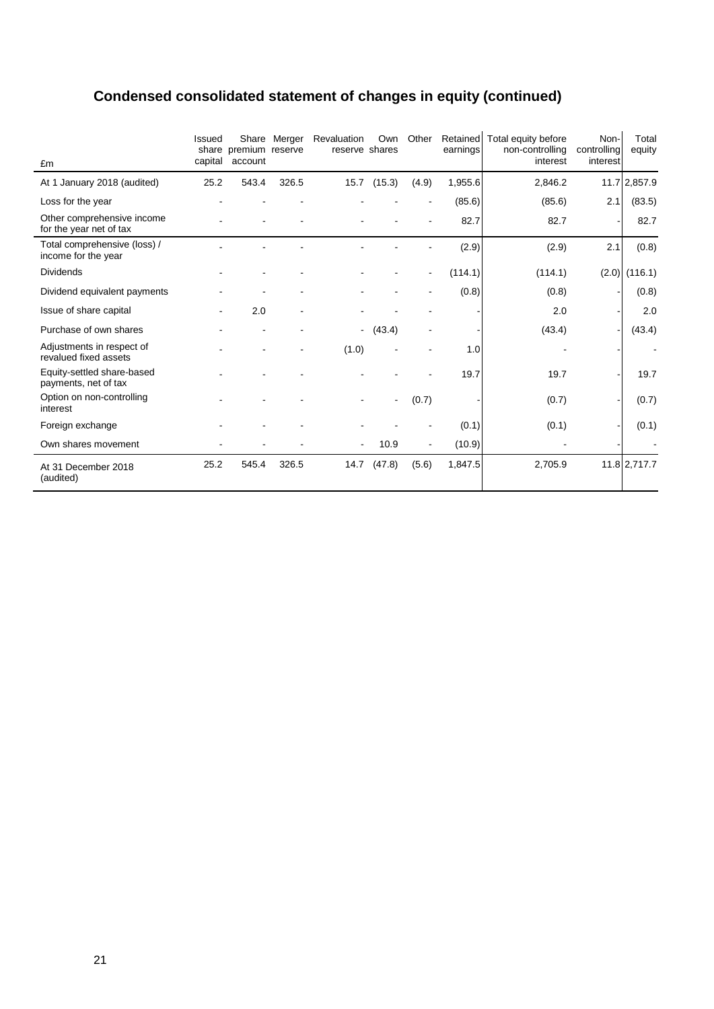# **Condensed consolidated statement of changes in equity (continued)**

| £m                                                    | <b>Issued</b> | share premium reserve<br>capital account | Share Merger | Revaluation<br>reserve shares | Own            | Other          | Retained<br>earnings | Total equity before<br>non-controlling<br>interest | Non-<br>controlling<br>interest | Total<br>equity |
|-------------------------------------------------------|---------------|------------------------------------------|--------------|-------------------------------|----------------|----------------|----------------------|----------------------------------------------------|---------------------------------|-----------------|
| At 1 January 2018 (audited)                           | 25.2          | 543.4                                    | 326.5        | 15.7                          | (15.3)         | (4.9)          | 1,955.6              | 2,846.2                                            |                                 | 11.7 2,857.9    |
| Loss for the year                                     |               |                                          |              |                               |                |                | (85.6)               | (85.6)                                             | 2.1                             | (83.5)          |
| Other comprehensive income<br>for the year net of tax |               |                                          |              |                               |                |                | 82.7                 | 82.7                                               |                                 | 82.7            |
| Total comprehensive (loss) /<br>income for the year   |               |                                          |              |                               |                |                | (2.9)                | (2.9)                                              | 2.1                             | (0.8)           |
| <b>Dividends</b>                                      |               |                                          |              |                               |                |                | (114.1)              | (114.1)                                            | (2.0)                           | (116.1)         |
| Dividend equivalent payments                          |               |                                          |              |                               |                |                | (0.8)                | (0.8)                                              |                                 | (0.8)           |
| Issue of share capital                                |               | 2.0                                      |              |                               |                |                |                      | 2.0                                                |                                 | 2.0             |
| Purchase of own shares                                |               |                                          |              | ۰                             | (43.4)         |                |                      | (43.4)                                             |                                 | (43.4)          |
| Adjustments in respect of<br>revalued fixed assets    |               |                                          |              | (1.0)                         |                |                | 1.0                  |                                                    |                                 |                 |
| Equity-settled share-based<br>payments, net of tax    |               |                                          |              |                               |                |                | 19.7                 | 19.7                                               |                                 | 19.7            |
| Option on non-controlling<br>interest                 |               |                                          |              |                               | $\blacksquare$ | (0.7)          |                      | (0.7)                                              |                                 | (0.7)           |
| Foreign exchange                                      |               |                                          |              |                               |                |                | (0.1)                | (0.1)                                              |                                 | (0.1)           |
| Own shares movement                                   |               |                                          |              | $\blacksquare$                | 10.9           | $\blacksquare$ | (10.9)               |                                                    |                                 |                 |
| At 31 December 2018<br>(audited)                      | 25.2          | 545.4                                    | 326.5        | 14.7                          | (47.8)         | (5.6)          | 1,847.5              | 2,705.9                                            |                                 | 11.8 2,717.7    |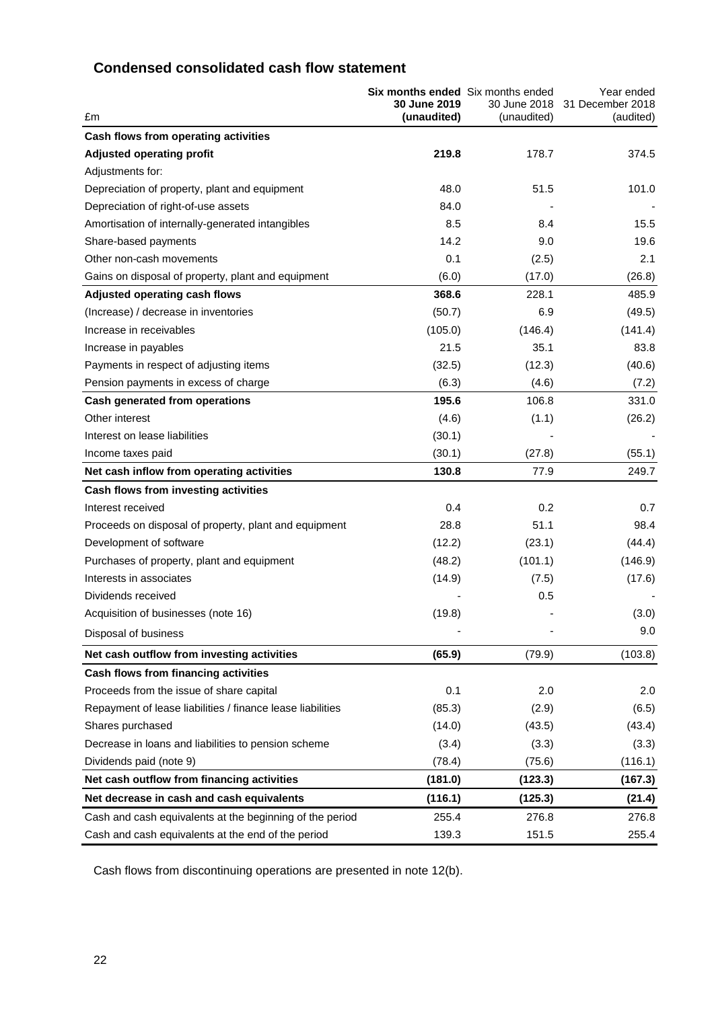## **Condensed consolidated cash flow statement**

| £m                                                         | Six months ended Six months ended<br>30 June 2019<br>(unaudited) | 30 June 2018<br>(unaudited) | Year ended<br>31 December 2018<br>(audited) |
|------------------------------------------------------------|------------------------------------------------------------------|-----------------------------|---------------------------------------------|
| Cash flows from operating activities                       |                                                                  |                             |                                             |
| <b>Adjusted operating profit</b>                           | 219.8                                                            | 178.7                       | 374.5                                       |
| Adjustments for:                                           |                                                                  |                             |                                             |
| Depreciation of property, plant and equipment              | 48.0                                                             | 51.5                        | 101.0                                       |
| Depreciation of right-of-use assets                        | 84.0                                                             |                             |                                             |
| Amortisation of internally-generated intangibles           | 8.5                                                              | 8.4                         | 15.5                                        |
| Share-based payments                                       | 14.2                                                             | 9.0                         | 19.6                                        |
| Other non-cash movements                                   | 0.1                                                              | (2.5)                       | 2.1                                         |
| Gains on disposal of property, plant and equipment         | (6.0)                                                            | (17.0)                      | (26.8)                                      |
| <b>Adjusted operating cash flows</b>                       | 368.6                                                            | 228.1                       | 485.9                                       |
| (Increase) / decrease in inventories                       | (50.7)                                                           | 6.9                         | (49.5)                                      |
| Increase in receivables                                    | (105.0)                                                          | (146.4)                     | (141.4)                                     |
| Increase in payables                                       | 21.5                                                             | 35.1                        | 83.8                                        |
| Payments in respect of adjusting items                     | (32.5)                                                           | (12.3)                      | (40.6)                                      |
| Pension payments in excess of charge                       | (6.3)                                                            | (4.6)                       | (7.2)                                       |
| Cash generated from operations                             | 195.6                                                            | 106.8                       | 331.0                                       |
| Other interest                                             | (4.6)                                                            | (1.1)                       | (26.2)                                      |
| Interest on lease liabilities                              | (30.1)                                                           |                             |                                             |
| Income taxes paid                                          | (30.1)                                                           | (27.8)                      | (55.1)                                      |
| Net cash inflow from operating activities                  | 130.8                                                            | 77.9                        | 249.7                                       |
| Cash flows from investing activities                       |                                                                  |                             |                                             |
| Interest received                                          | 0.4                                                              | 0.2                         | 0.7                                         |
| Proceeds on disposal of property, plant and equipment      | 28.8                                                             | 51.1                        | 98.4                                        |
| Development of software                                    | (12.2)                                                           | (23.1)                      | (44.4)                                      |
| Purchases of property, plant and equipment                 | (48.2)                                                           | (101.1)                     | (146.9)                                     |
| Interests in associates                                    | (14.9)                                                           | (7.5)                       | (17.6)                                      |
| Dividends received                                         |                                                                  | 0.5                         |                                             |
| Acquisition of businesses (note 16)                        | (19.8)                                                           |                             | (3.0)                                       |
| Disposal of business                                       |                                                                  |                             | 9.0                                         |
| Net cash outflow from investing activities                 | (65.9)                                                           | (79.9)                      | (103.8)                                     |
| Cash flows from financing activities                       |                                                                  |                             |                                             |
| Proceeds from the issue of share capital                   | 0.1                                                              | 2.0                         | 2.0                                         |
| Repayment of lease liabilities / finance lease liabilities | (85.3)                                                           | (2.9)                       | (6.5)                                       |
| Shares purchased                                           | (14.0)                                                           | (43.5)                      | (43.4)                                      |
| Decrease in loans and liabilities to pension scheme        | (3.4)                                                            | (3.3)                       | (3.3)                                       |
| Dividends paid (note 9)                                    | (78.4)                                                           | (75.6)                      | (116.1)                                     |
| Net cash outflow from financing activities                 | (181.0)                                                          | (123.3)                     | (167.3)                                     |
| Net decrease in cash and cash equivalents                  | (116.1)                                                          | (125.3)                     | (21.4)                                      |
| Cash and cash equivalents at the beginning of the period   | 255.4                                                            | 276.8                       | 276.8                                       |
| Cash and cash equivalents at the end of the period         | 139.3                                                            | 151.5                       | 255.4                                       |

Cash flows from discontinuing operations are presented in note 12(b).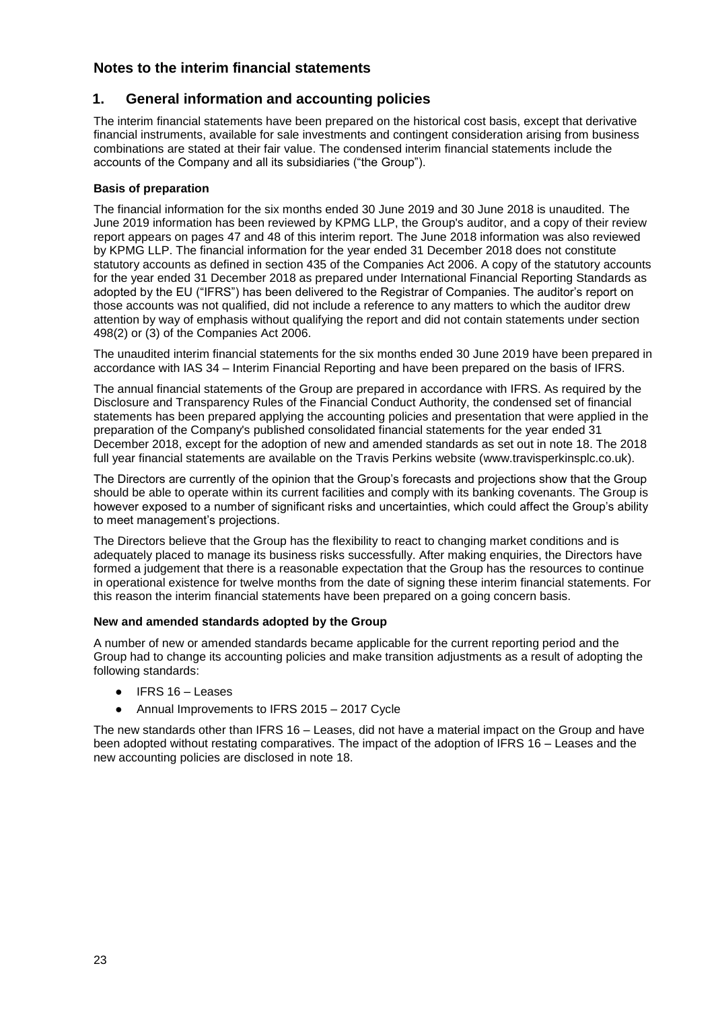## **1. General information and accounting policies**

The interim financial statements have been prepared on the historical cost basis, except that derivative financial instruments, available for sale investments and contingent consideration arising from business combinations are stated at their fair value. The condensed interim financial statements include the accounts of the Company and all its subsidiaries ("the Group").

#### **Basis of preparation**

The financial information for the six months ended 30 June 2019 and 30 June 2018 is unaudited. The June 2019 information has been reviewed by KPMG LLP, the Group's auditor, and a copy of their review report appears on pages 47 and 48 of this interim report. The June 2018 information was also reviewed by KPMG LLP. The financial information for the year ended 31 December 2018 does not constitute statutory accounts as defined in section 435 of the Companies Act 2006. A copy of the statutory accounts for the year ended 31 December 2018 as prepared under International Financial Reporting Standards as adopted by the EU ("IFRS") has been delivered to the Registrar of Companies. The auditor's report on those accounts was not qualified, did not include a reference to any matters to which the auditor drew attention by way of emphasis without qualifying the report and did not contain statements under section 498(2) or (3) of the Companies Act 2006.

The unaudited interim financial statements for the six months ended 30 June 2019 have been prepared in accordance with IAS 34 – Interim Financial Reporting and have been prepared on the basis of IFRS.

The annual financial statements of the Group are prepared in accordance with IFRS. As required by the Disclosure and Transparency Rules of the Financial Conduct Authority, the condensed set of financial statements has been prepared applying the accounting policies and presentation that were applied in the preparation of the Company's published consolidated financial statements for the year ended 31 December 2018, except for the adoption of new and amended standards as set out in note 18. The 2018 full year financial statements are available on the Travis Perkins website [\(www.travisperkinsplc.co.](http://www.travisperkinsplc.com/)uk).

The Directors are currently of the opinion that the Group's forecasts and projections show that the Group should be able to operate within its current facilities and comply with its banking covenants. The Group is however exposed to a number of significant risks and uncertainties, which could affect the Group's ability to meet management's projections.

The Directors believe that the Group has the flexibility to react to changing market conditions and is adequately placed to manage its business risks successfully. After making enquiries, the Directors have formed a judgement that there is a reasonable expectation that the Group has the resources to continue in operational existence for twelve months from the date of signing these interim financial statements. For this reason the interim financial statements have been prepared on a going concern basis.

#### **New and amended standards adopted by the Group**

A number of new or amended standards became applicable for the current reporting period and the Group had to change its accounting policies and make transition adjustments as a result of adopting the following standards:

- IFRS 16 Leases
- Annual Improvements to IFRS 2015 2017 Cycle

The new standards other than IFRS 16 – Leases, did not have a material impact on the Group and have been adopted without restating comparatives. The impact of the adoption of IFRS 16 – Leases and the new accounting policies are disclosed in note 18.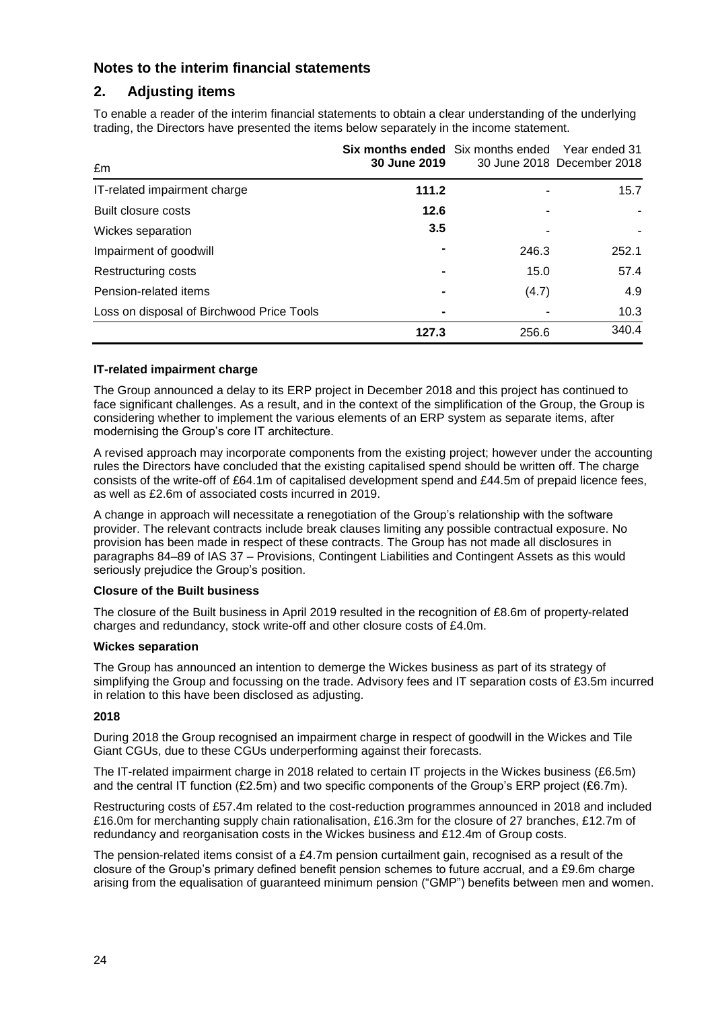## **2. Adjusting items**

To enable a reader of the interim financial statements to obtain a clear understanding of the underlying trading, the Directors have presented the items below separately in the income statement.

| £m                                        | <b>Six months ended</b> Six months ended<br>30 June 2019 |       | Year ended 31<br>30 June 2018 December 2018 |
|-------------------------------------------|----------------------------------------------------------|-------|---------------------------------------------|
| IT-related impairment charge              | 111.2                                                    |       | 15.7                                        |
| Built closure costs                       | 12.6                                                     |       |                                             |
| Wickes separation                         | 3.5                                                      |       |                                             |
| Impairment of goodwill                    |                                                          | 246.3 | 252.1                                       |
| Restructuring costs                       |                                                          | 15.0  | 57.4                                        |
| Pension-related items                     |                                                          | (4.7) | 4.9                                         |
| Loss on disposal of Birchwood Price Tools | ۰                                                        |       | 10.3                                        |
|                                           | 127.3                                                    | 256.6 | 340.4                                       |

#### **IT-related impairment charge**

The Group announced a delay to its ERP project in December 2018 and this project has continued to face significant challenges. As a result, and in the context of the simplification of the Group, the Group is considering whether to implement the various elements of an ERP system as separate items, after modernising the Group's core IT architecture.

A revised approach may incorporate components from the existing project; however under the accounting rules the Directors have concluded that the existing capitalised spend should be written off. The charge consists of the write-off of £64.1m of capitalised development spend and £44.5m of prepaid licence fees, as well as £2.6m of associated costs incurred in 2019.

A change in approach will necessitate a renegotiation of the Group's relationship with the software provider. The relevant contracts include break clauses limiting any possible contractual exposure. No provision has been made in respect of these contracts. The Group has not made all disclosures in paragraphs 84–89 of IAS 37 – Provisions, Contingent Liabilities and Contingent Assets as this would seriously prejudice the Group's position.

#### **Closure of the Built business**

The closure of the Built business in April 2019 resulted in the recognition of £8.6m of property-related charges and redundancy, stock write-off and other closure costs of £4.0m.

#### **Wickes separation**

The Group has announced an intention to demerge the Wickes business as part of its strategy of simplifying the Group and focussing on the trade. Advisory fees and IT separation costs of £3.5m incurred in relation to this have been disclosed as adjusting.

#### **2018**

During 2018 the Group recognised an impairment charge in respect of goodwill in the Wickes and Tile Giant CGUs, due to these CGUs underperforming against their forecasts.

The IT-related impairment charge in 2018 related to certain IT projects in the Wickes business (£6.5m) and the central IT function (£2.5m) and two specific components of the Group's ERP project (£6.7m).

Restructuring costs of £57.4m related to the cost-reduction programmes announced in 2018 and included £16.0m for merchanting supply chain rationalisation, £16.3m for the closure of 27 branches, £12.7m of redundancy and reorganisation costs in the Wickes business and £12.4m of Group costs.

The pension-related items consist of a £4.7m pension curtailment gain, recognised as a result of the closure of the Group's primary defined benefit pension schemes to future accrual, and a £9.6m charge arising from the equalisation of guaranteed minimum pension ("GMP") benefits between men and women.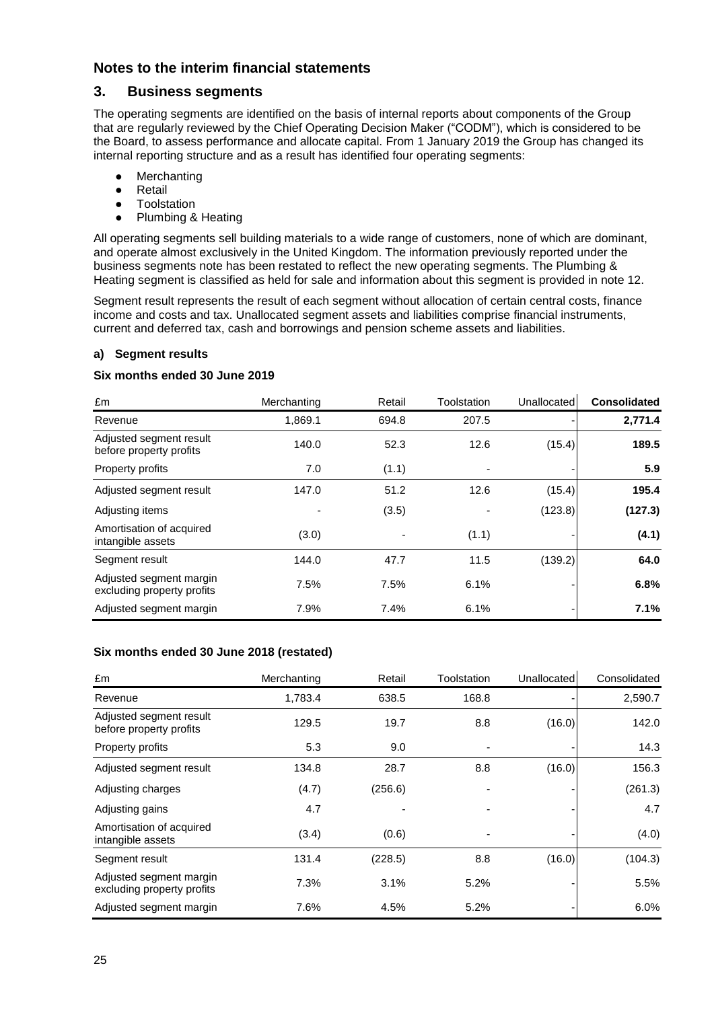#### **3. Business segments**

The operating segments are identified on the basis of internal reports about components of the Group that are regularly reviewed by the Chief Operating Decision Maker ("CODM"), which is considered to be the Board, to assess performance and allocate capital. From 1 January 2019 the Group has changed its internal reporting structure and as a result has identified four operating segments:

- Merchanting
- Retail
- Toolstation
- Plumbing & Heating

All operating segments sell building materials to a wide range of customers, none of which are dominant, and operate almost exclusively in the United Kingdom. The information previously reported under the business segments note has been restated to reflect the new operating segments. The Plumbing & Heating segment is classified as held for sale and information about this segment is provided in note 12.

Segment result represents the result of each segment without allocation of certain central costs, finance income and costs and tax. Unallocated segment assets and liabilities comprise financial instruments, current and deferred tax, cash and borrowings and pension scheme assets and liabilities.

#### **a) Segment results**

#### **Six months ended 30 June 2019**

| £m                                                    | Merchanting | Retail | Toolstation | Unallocated | <b>Consolidated</b> |
|-------------------------------------------------------|-------------|--------|-------------|-------------|---------------------|
| Revenue                                               | 1.869.1     | 694.8  | 207.5       |             | 2,771.4             |
| Adjusted segment result<br>before property profits    | 140.0       | 52.3   | 12.6        | (15.4)      | 189.5               |
| Property profits                                      | 7.0         | (1.1)  |             |             | 5.9                 |
| Adjusted segment result                               | 147.0       | 51.2   | 12.6        | (15.4)      | 195.4               |
| Adjusting items                                       |             | (3.5)  |             | (123.8)     | (127.3)             |
| Amortisation of acquired<br>intangible assets         | (3.0)       |        | (1.1)       |             | (4.1)               |
| Segment result                                        | 144.0       | 47.7   | 11.5        | (139.2)     | 64.0                |
| Adjusted segment margin<br>excluding property profits | 7.5%        | 7.5%   | 6.1%        |             | 6.8%                |
| Adjusted segment margin                               | 7.9%        | 7.4%   | 6.1%        |             | 7.1%                |

#### **Six months ended 30 June 2018 (restated)**

| £m                                                    | Merchanting | Retail  | Toolstation | Unallocated | Consolidated |
|-------------------------------------------------------|-------------|---------|-------------|-------------|--------------|
| Revenue                                               | 1,783.4     | 638.5   | 168.8       |             | 2,590.7      |
| Adjusted segment result<br>before property profits    | 129.5       | 19.7    | 8.8         | (16.0)      | 142.0        |
| Property profits                                      | 5.3         | 9.0     |             |             | 14.3         |
| Adjusted segment result                               | 134.8       | 28.7    | 8.8         | (16.0)      | 156.3        |
| Adjusting charges                                     | (4.7)       | (256.6) |             |             | (261.3)      |
| Adjusting gains                                       | 4.7         |         |             |             | 4.7          |
| Amortisation of acquired<br>intangible assets         | (3.4)       | (0.6)   |             |             | (4.0)        |
| Segment result                                        | 131.4       | (228.5) | 8.8         | (16.0)      | (104.3)      |
| Adjusted segment margin<br>excluding property profits | 7.3%        | 3.1%    | 5.2%        |             | 5.5%         |
| Adjusted segment margin                               | 7.6%        | 4.5%    | 5.2%        |             | 6.0%         |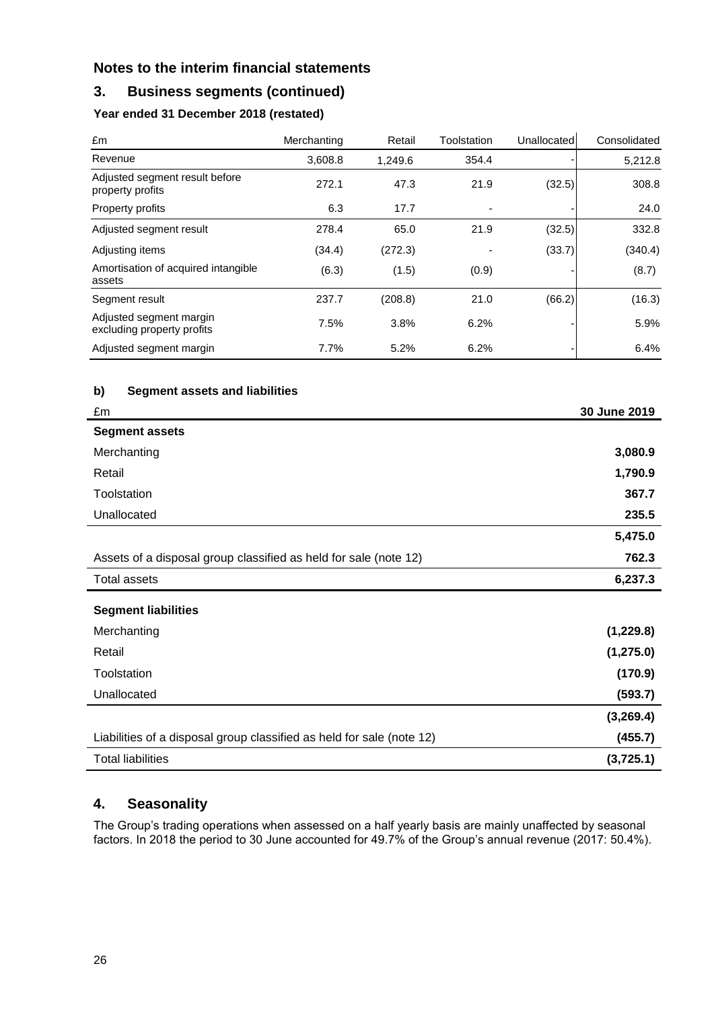## **3. Business segments (continued)**

## **Year ended 31 December 2018 (restated)**

| £m                                                    | Merchanting | Retail  | Toolstation | Unallocated | Consolidated |
|-------------------------------------------------------|-------------|---------|-------------|-------------|--------------|
| Revenue                                               | 3,608.8     | 1,249.6 | 354.4       |             | 5,212.8      |
| Adjusted segment result before<br>property profits    | 272.1       | 47.3    | 21.9        | (32.5)      | 308.8        |
| Property profits                                      | 6.3         | 17.7    | ٠           |             | 24.0         |
| Adjusted segment result                               | 278.4       | 65.0    | 21.9        | (32.5)      | 332.8        |
| Adjusting items                                       | (34.4)      | (272.3) |             | (33.7)      | (340.4)      |
| Amortisation of acquired intangible<br>assets         | (6.3)       | (1.5)   | (0.9)       |             | (8.7)        |
| Segment result                                        | 237.7       | (208.8) | 21.0        | (66.2)      | (16.3)       |
| Adjusted segment margin<br>excluding property profits | 7.5%        | 3.8%    | 6.2%        |             | 5.9%         |
| Adjusted segment margin                               | 7.7%        | 5.2%    | 6.2%        |             | 6.4%         |

#### **b) Segment assets and liabilities**

| £m                                                                    | 30 June 2019 |
|-----------------------------------------------------------------------|--------------|
| <b>Segment assets</b>                                                 |              |
| Merchanting                                                           | 3,080.9      |
| Retail                                                                | 1,790.9      |
| Toolstation                                                           | 367.7        |
| Unallocated                                                           | 235.5        |
|                                                                       | 5,475.0      |
| Assets of a disposal group classified as held for sale (note 12)      | 762.3        |
| <b>Total assets</b>                                                   | 6,237.3      |
| <b>Segment liabilities</b>                                            |              |
| Merchanting                                                           | (1, 229.8)   |
| Retail                                                                | (1, 275.0)   |
| Toolstation                                                           | (170.9)      |
| Unallocated                                                           | (593.7)      |
|                                                                       | (3,269.4)    |
| Liabilities of a disposal group classified as held for sale (note 12) | (455.7)      |
| <b>Total liabilities</b>                                              | (3,725.1)    |

## **4. Seasonality**

The Group's trading operations when assessed on a half yearly basis are mainly unaffected by seasonal factors. In 2018 the period to 30 June accounted for 49.7% of the Group's annual revenue (2017: 50.4%).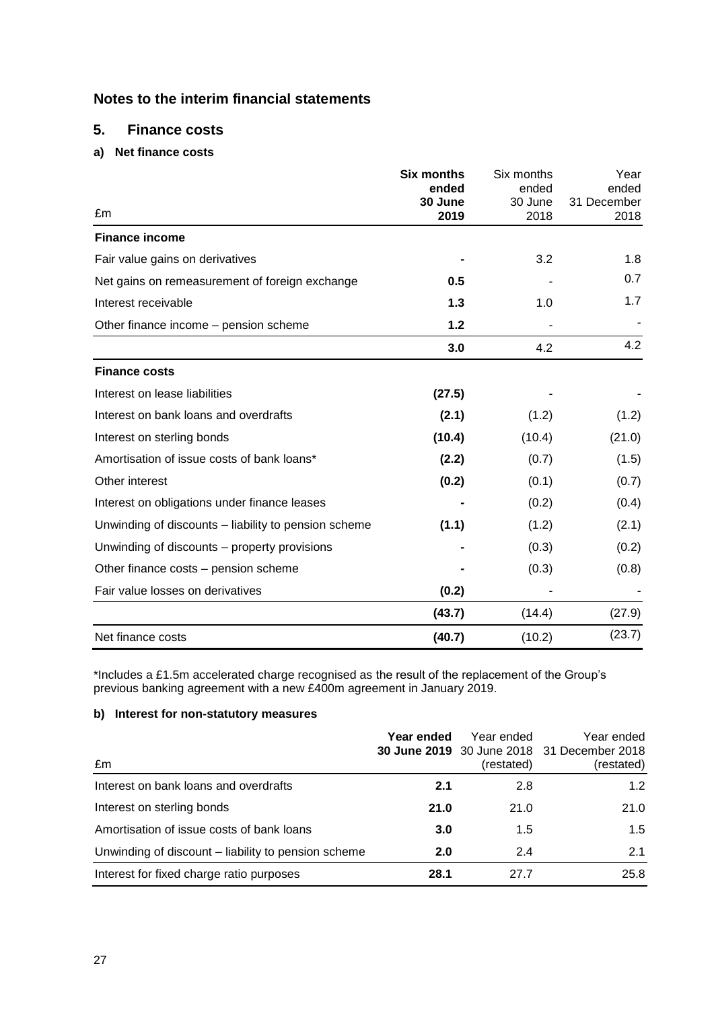#### **5. Finance costs**

#### **a) Net finance costs**

|                                                      | <b>Six months</b> | Six months       | Year                 |
|------------------------------------------------------|-------------------|------------------|----------------------|
|                                                      | ended<br>30 June  | ended<br>30 June | ended<br>31 December |
| £m                                                   | 2019              | 2018             | 2018                 |
| <b>Finance income</b>                                |                   |                  |                      |
| Fair value gains on derivatives                      |                   | 3.2              | 1.8                  |
| Net gains on remeasurement of foreign exchange       | 0.5               |                  | 0.7                  |
| Interest receivable                                  | 1.3               | 1.0              | 1.7                  |
| Other finance income - pension scheme                | $1.2$             |                  |                      |
|                                                      | 3.0               | 4.2              | 4.2                  |
| <b>Finance costs</b>                                 |                   |                  |                      |
| Interest on lease liabilities                        | (27.5)            |                  |                      |
| Interest on bank loans and overdrafts                | (2.1)             | (1.2)            | (1.2)                |
| Interest on sterling bonds                           | (10.4)            | (10.4)           | (21.0)               |
| Amortisation of issue costs of bank loans*           | (2.2)             | (0.7)            | (1.5)                |
| Other interest                                       | (0.2)             | (0.1)            | (0.7)                |
| Interest on obligations under finance leases         |                   | (0.2)            | (0.4)                |
| Unwinding of discounts – liability to pension scheme | (1.1)             | (1.2)            | (2.1)                |
| Unwinding of discounts – property provisions         |                   | (0.3)            | (0.2)                |
| Other finance costs – pension scheme                 |                   | (0.3)            | (0.8)                |
| Fair value losses on derivatives                     | (0.2)             |                  |                      |
|                                                      | (43.7)            | (14.4)           | (27.9)               |
| Net finance costs                                    | (40.7)            | (10.2)           | (23.7)               |

\*Includes a £1.5m accelerated charge recognised as the result of the replacement of the Group's previous banking agreement with a new £400m agreement in January 2019.

#### **b) Interest for non-statutory measures**

| £m                                                  | Year ended | Year ended<br>(restated) | Year ended<br>30 June 2019 30 June 2018 31 December 2018<br>(restated) |
|-----------------------------------------------------|------------|--------------------------|------------------------------------------------------------------------|
| Interest on bank loans and overdrafts               | 2.1        | 2.8                      | 1.2                                                                    |
| Interest on sterling bonds                          | 21.0       | 21.0                     | 21.0                                                                   |
| Amortisation of issue costs of bank loans           | 3.0        | 1.5                      | 1.5                                                                    |
| Unwinding of discount – liability to pension scheme | 2.0        | 2.4                      | 2.1                                                                    |
| Interest for fixed charge ratio purposes            | 28.1       | 27.7                     | 25.8                                                                   |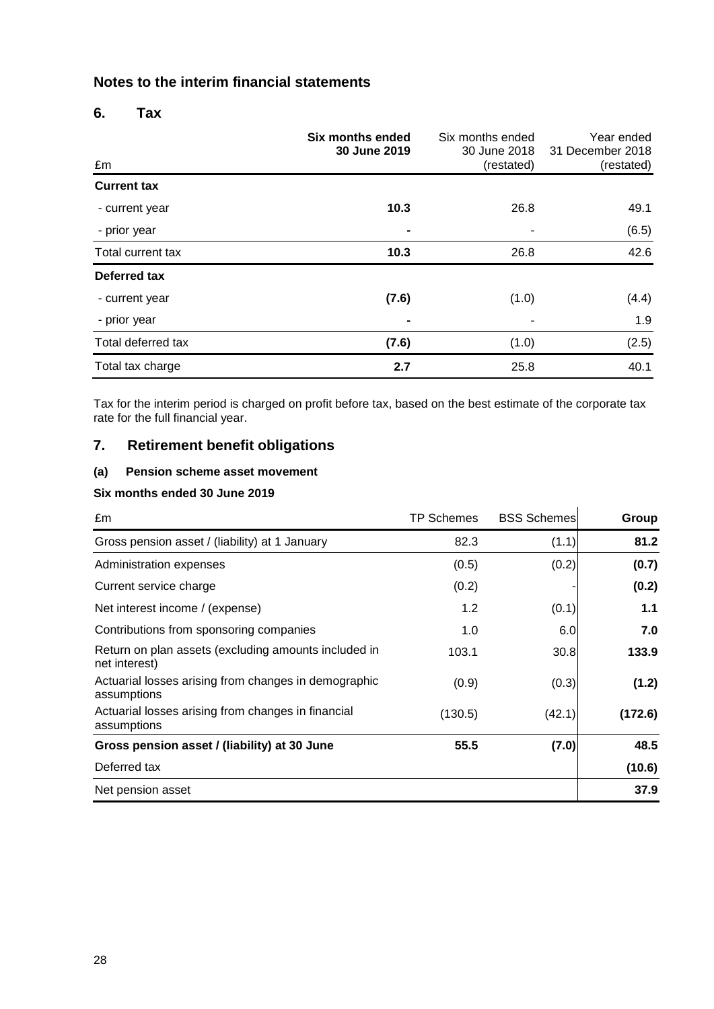#### **6. Tax**

| £m                 | Six months ended<br>30 June 2019 | Six months ended<br>30 June 2018<br>(restated) | Year ended<br>31 December 2018<br>(restated) |
|--------------------|----------------------------------|------------------------------------------------|----------------------------------------------|
| <b>Current tax</b> |                                  |                                                |                                              |
| - current year     | 10.3                             | 26.8                                           | 49.1                                         |
| - prior year       |                                  | ۰                                              | (6.5)                                        |
| Total current tax  | 10.3                             | 26.8                                           | 42.6                                         |
| Deferred tax       |                                  |                                                |                                              |
| - current year     | (7.6)                            | (1.0)                                          | (4.4)                                        |
| - prior year       |                                  |                                                | 1.9                                          |
| Total deferred tax | (7.6)                            | (1.0)                                          | (2.5)                                        |
| Total tax charge   | 2.7                              | 25.8                                           | 40.1                                         |

Tax for the interim period is charged on profit before tax, based on the best estimate of the corporate tax rate for the full financial year.

## **7. Retirement benefit obligations**

#### **(a) Pension scheme asset movement**

#### **Six months ended 30 June 2019**

| £m                                                                    | TP Schemes | <b>BSS Schemes</b> | Group   |
|-----------------------------------------------------------------------|------------|--------------------|---------|
| Gross pension asset / (liability) at 1 January                        | 82.3       | (1.1)              | 81.2    |
| Administration expenses                                               | (0.5)      | (0.2)              | (0.7)   |
| Current service charge                                                | (0.2)      |                    | (0.2)   |
| Net interest income / (expense)                                       | 1.2        | (0.1)              | 1.1     |
| Contributions from sponsoring companies                               | 1.0        | 6.0                | 7.0     |
| Return on plan assets (excluding amounts included in<br>net interest) | 103.1      | 30.8               | 133.9   |
| Actuarial losses arising from changes in demographic<br>assumptions   | (0.9)      | (0.3)              | (1.2)   |
| Actuarial losses arising from changes in financial<br>assumptions     | (130.5)    | (42.1)             | (172.6) |
| Gross pension asset / (liability) at 30 June                          | 55.5       | (7.0)              | 48.5    |
| Deferred tax                                                          |            |                    | (10.6)  |
| Net pension asset                                                     |            |                    | 37.9    |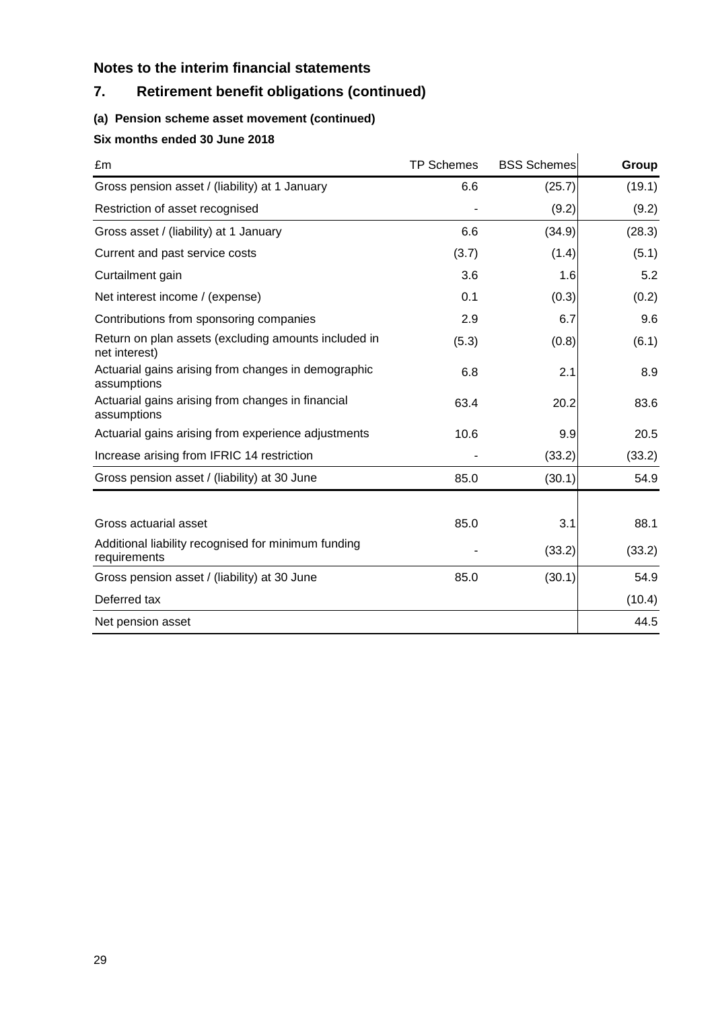## **7. Retirement benefit obligations (continued)**

## **(a) Pension scheme asset movement (continued)**

## **Six months ended 30 June 2018**

| £m                                                                    | <b>TP Schemes</b> | <b>BSS Schemes</b> | Group  |
|-----------------------------------------------------------------------|-------------------|--------------------|--------|
| Gross pension asset / (liability) at 1 January                        | 6.6               | (25.7)             | (19.1) |
| Restriction of asset recognised                                       |                   | (9.2)              | (9.2)  |
| Gross asset / (liability) at 1 January                                | 6.6               | (34.9)             | (28.3) |
| Current and past service costs                                        | (3.7)             | (1.4)              | (5.1)  |
| Curtailment gain                                                      | 3.6               | 1.6                | 5.2    |
| Net interest income / (expense)                                       | 0.1               | (0.3)              | (0.2)  |
| Contributions from sponsoring companies                               | 2.9               | 6.7                | 9.6    |
| Return on plan assets (excluding amounts included in<br>net interest) | (5.3)             | (0.8)              | (6.1)  |
| Actuarial gains arising from changes in demographic<br>assumptions    | 6.8               | 2.1                | 8.9    |
| Actuarial gains arising from changes in financial<br>assumptions      | 63.4              | 20.2               | 83.6   |
| Actuarial gains arising from experience adjustments                   | 10.6              | 9.9                | 20.5   |
| Increase arising from IFRIC 14 restriction                            |                   | (33.2)             | (33.2) |
| Gross pension asset / (liability) at 30 June                          | 85.0              | (30.1)             | 54.9   |
| Gross actuarial asset                                                 | 85.0              | 3.1                | 88.1   |
| Additional liability recognised for minimum funding<br>requirements   |                   | (33.2)             | (33.2) |
| Gross pension asset / (liability) at 30 June                          | 85.0              | (30.1)             | 54.9   |
| Deferred tax                                                          |                   |                    | (10.4) |
| Net pension asset                                                     |                   |                    | 44.5   |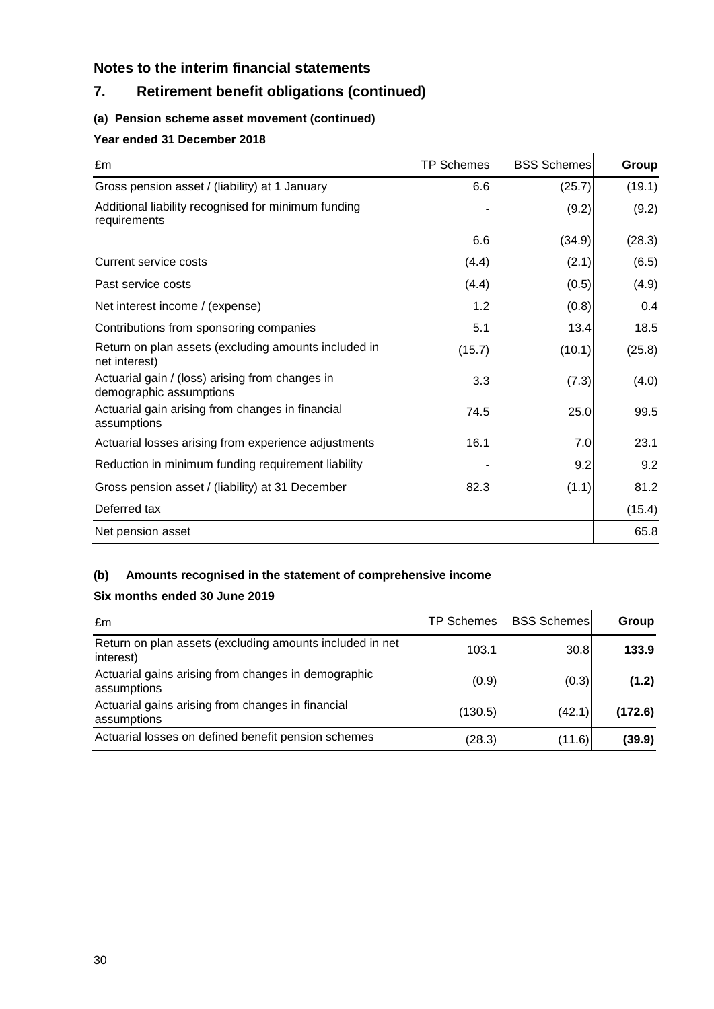## **7. Retirement benefit obligations (continued)**

## **(a) Pension scheme asset movement (continued)**

## **Year ended 31 December 2018**

| £m                                                                         | <b>TP Schemes</b> | <b>BSS Schemes</b> | Group  |
|----------------------------------------------------------------------------|-------------------|--------------------|--------|
| Gross pension asset / (liability) at 1 January                             | 6.6               | (25.7)             | (19.1) |
| Additional liability recognised for minimum funding<br>requirements        |                   | (9.2)              | (9.2)  |
|                                                                            | 6.6               | (34.9)             | (28.3) |
| Current service costs                                                      | (4.4)             | (2.1)              | (6.5)  |
| Past service costs                                                         | (4.4)             | (0.5)              | (4.9)  |
| Net interest income / (expense)                                            | 1.2               | (0.8)              | 0.4    |
| Contributions from sponsoring companies                                    | 5.1               | 13.4               | 18.5   |
| Return on plan assets (excluding amounts included in<br>net interest)      | (15.7)            | (10.1)             | (25.8) |
| Actuarial gain / (loss) arising from changes in<br>demographic assumptions | 3.3               | (7.3)              | (4.0)  |
| Actuarial gain arising from changes in financial<br>assumptions            | 74.5              | 25.0               | 99.5   |
| Actuarial losses arising from experience adjustments                       | 16.1              | 7.0                | 23.1   |
| Reduction in minimum funding requirement liability                         |                   | 9.2                | 9.2    |
| Gross pension asset / (liability) at 31 December                           | 82.3              | (1.1)              | 81.2   |
| Deferred tax                                                               |                   |                    | (15.4) |
| Net pension asset                                                          |                   |                    | 65.8   |

#### **(b) Amounts recognised in the statement of comprehensive income**

#### **Six months ended 30 June 2019**

| £m                                                                    | TP Schemes | <b>BSS Schemes</b> | Group   |
|-----------------------------------------------------------------------|------------|--------------------|---------|
| Return on plan assets (excluding amounts included in net<br>interest) | 103.1      | 30.8               | 133.9   |
| Actuarial gains arising from changes in demographic<br>assumptions    | (0.9)      | (0.3)              | (1.2)   |
| Actuarial gains arising from changes in financial<br>assumptions      | (130.5)    | (42.1)             | (172.6) |
| Actuarial losses on defined benefit pension schemes                   | (28.3)     | (11.6)             | (39.9)  |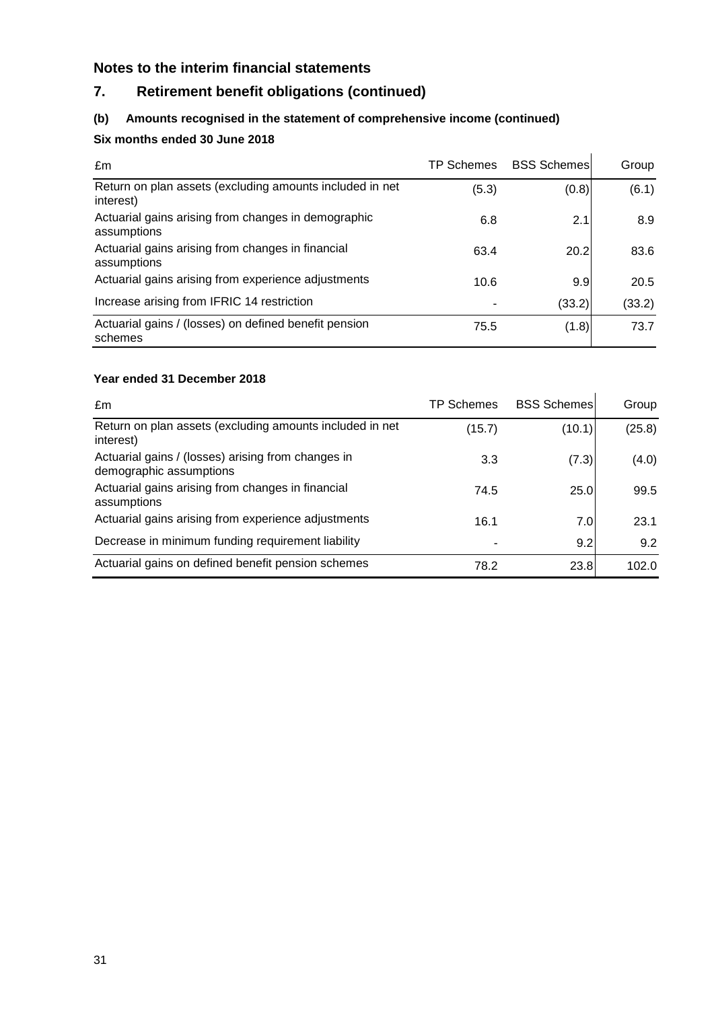## **7. Retirement benefit obligations (continued)**

#### **(b) Amounts recognised in the statement of comprehensive income (continued)**

## **Six months ended 30 June 2018**

| £m                                                                    | TP Schemes | <b>BSS Schemes</b> | Group  |
|-----------------------------------------------------------------------|------------|--------------------|--------|
| Return on plan assets (excluding amounts included in net<br>interest) | (5.3)      | (0.8)              | (6.1)  |
| Actuarial gains arising from changes in demographic<br>assumptions    | 6.8        | 2.1                | 8.9    |
| Actuarial gains arising from changes in financial<br>assumptions      | 63.4       | 20.2               | 83.6   |
| Actuarial gains arising from experience adjustments                   | 10.6       | 9.9                | 20.5   |
| Increase arising from IFRIC 14 restriction                            |            | (33.2)             | (33.2) |
| Actuarial gains / (losses) on defined benefit pension<br>schemes      | 75.5       | (1.8)              | 73.7   |

#### **Year ended 31 December 2018**

| £m                                                                            | <b>TP Schemes</b> | <b>BSS Schemes</b> | Group  |
|-------------------------------------------------------------------------------|-------------------|--------------------|--------|
| Return on plan assets (excluding amounts included in net<br>interest)         | (15.7)            | (10.1)             | (25.8) |
| Actuarial gains / (losses) arising from changes in<br>demographic assumptions | 3.3               | (7.3)              | (4.0)  |
| Actuarial gains arising from changes in financial<br>assumptions              | 74.5              | 25.0               | 99.5   |
| Actuarial gains arising from experience adjustments                           | 16.1              | 7.0                | 23.1   |
| Decrease in minimum funding requirement liability                             |                   | 9.2                | 9.2    |
| Actuarial gains on defined benefit pension schemes                            | 78.2              | 23.8               | 102.0  |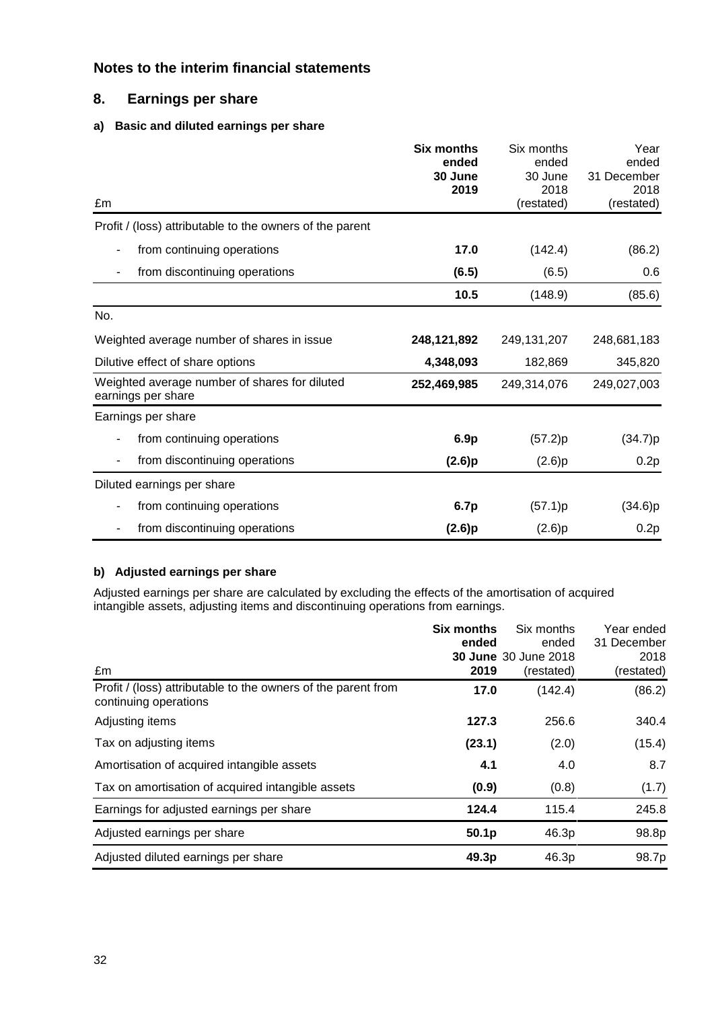## **8. Earnings per share**

#### **a) Basic and diluted earnings per share**

|                                                                     | <b>Six months</b><br>ended | Six months<br>ended | Year<br>ended      |
|---------------------------------------------------------------------|----------------------------|---------------------|--------------------|
|                                                                     | 30 June                    | 30 June             | 31 December        |
| £m                                                                  | 2019                       | 2018<br>(restated)  | 2018<br>(restated) |
| Profit / (loss) attributable to the owners of the parent            |                            |                     |                    |
| from continuing operations<br>۰                                     | 17.0                       | (142.4)             | (86.2)             |
| from discontinuing operations<br>٠                                  | (6.5)                      | (6.5)               | 0.6                |
|                                                                     | 10.5                       | (148.9)             | (85.6)             |
| No.                                                                 |                            |                     |                    |
| Weighted average number of shares in issue                          | 248,121,892                | 249, 131, 207       | 248,681,183        |
| Dilutive effect of share options                                    | 4,348,093                  | 182,869             | 345,820            |
| Weighted average number of shares for diluted<br>earnings per share | 252,469,985                | 249,314,076         | 249,027,003        |
| Earnings per share                                                  |                            |                     |                    |
| from continuing operations                                          | 6.9p                       | (57.2)p             | (34.7)p            |
| from discontinuing operations<br>٠                                  | (2.6)p                     | (2.6)p              | 0.2p               |
| Diluted earnings per share                                          |                            |                     |                    |
| from continuing operations<br>۰                                     | 6.7p                       | (57.1)p             | (34.6)p            |
| from discontinuing operations                                       | (2.6)p                     | (2.6)p              | 0.2p               |

#### **b) Adjusted earnings per share**

Adjusted earnings per share are calculated by excluding the effects of the amortisation of acquired intangible assets, adjusting items and discontinuing operations from earnings.

|                                                                                        | <b>Six months</b><br>ended | Six months<br>ended<br><b>30 June 30 June 2018</b> | Year ended<br>31 December<br>2018 |
|----------------------------------------------------------------------------------------|----------------------------|----------------------------------------------------|-----------------------------------|
| £m                                                                                     | 2019                       | (restated)                                         | (restated)                        |
| Profit / (loss) attributable to the owners of the parent from<br>continuing operations | 17.0                       | (142.4)                                            | (86.2)                            |
| Adjusting items                                                                        | 127.3                      | 256.6                                              | 340.4                             |
| Tax on adjusting items                                                                 | (23.1)                     | (2.0)                                              | (15.4)                            |
| Amortisation of acquired intangible assets                                             | 4.1                        | 4.0                                                | 8.7                               |
| Tax on amortisation of acquired intangible assets                                      | (0.9)                      | (0.8)                                              | (1.7)                             |
| Earnings for adjusted earnings per share                                               | 124.4                      | 115.4                                              | 245.8                             |
| Adjusted earnings per share                                                            | 50.1 <sub>p</sub>          | 46.3p                                              | 98.8p                             |
| Adjusted diluted earnings per share                                                    | 49.3p                      | 46.3p                                              | 98.7p                             |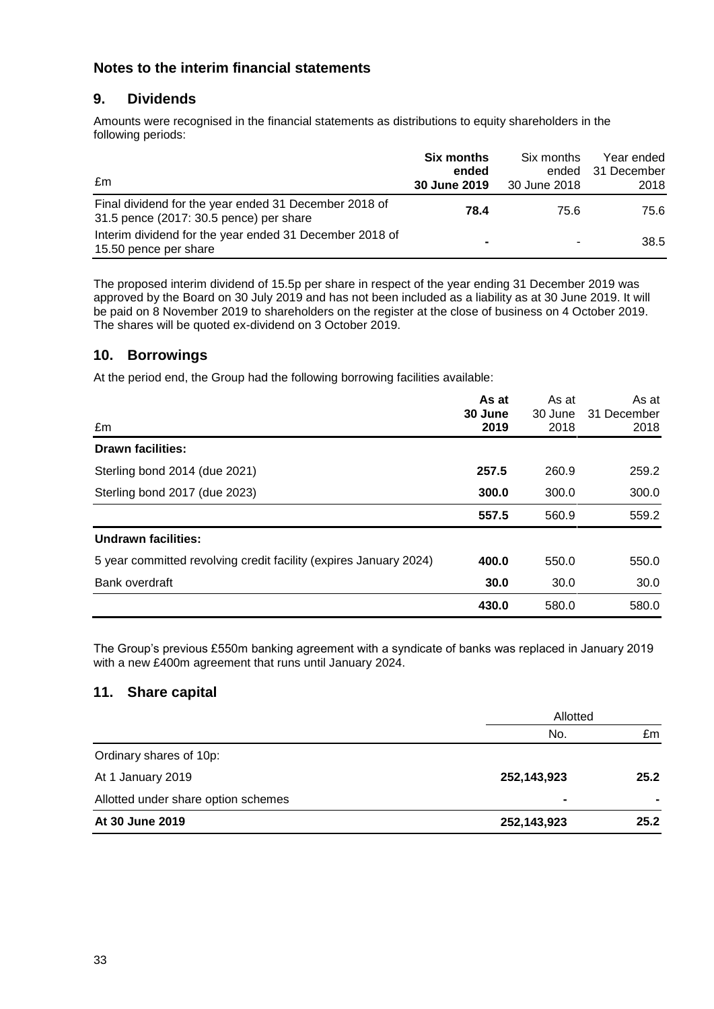## **9. Dividends**

Amounts were recognised in the financial statements as distributions to equity shareholders in the following periods:

| £m                                                                                               | <b>Six months</b><br>ended<br>30 June 2019 | Six months<br>ended<br>30 June 2018 | Year ended<br>31 December<br>2018 |
|--------------------------------------------------------------------------------------------------|--------------------------------------------|-------------------------------------|-----------------------------------|
| Final dividend for the year ended 31 December 2018 of<br>31.5 pence (2017: 30.5 pence) per share | 78.4                                       | 75.6                                | 75.6                              |
| Interim dividend for the year ended 31 December 2018 of<br>15.50 pence per share                 | $\blacksquare$                             |                                     | 38.5                              |

The proposed interim dividend of 15.5p per share in respect of the year ending 31 December 2019 was approved by the Board on 30 July 2019 and has not been included as a liability as at 30 June 2019. It will be paid on 8 November 2019 to shareholders on the register at the close of business on 4 October 2019. The shares will be quoted ex-dividend on 3 October 2019.

## **10. Borrowings**

At the period end, the Group had the following borrowing facilities available:

|                                                                   | As at   | As at   | As at       |
|-------------------------------------------------------------------|---------|---------|-------------|
|                                                                   | 30 June | 30 June | 31 December |
| £m                                                                | 2019    | 2018    | 2018        |
| <b>Drawn facilities:</b>                                          |         |         |             |
| Sterling bond 2014 (due 2021)                                     | 257.5   | 260.9   | 259.2       |
| Sterling bond 2017 (due 2023)                                     | 300.0   | 300.0   | 300.0       |
|                                                                   | 557.5   | 560.9   | 559.2       |
| Undrawn facilities:                                               |         |         |             |
| 5 year committed revolving credit facility (expires January 2024) | 400.0   | 550.0   | 550.0       |
| Bank overdraft                                                    | 30.0    | 30.0    | 30.0        |
|                                                                   | 430.0   | 580.0   | 580.0       |

The Group's previous £550m banking agreement with a syndicate of banks was replaced in January 2019 with a new £400m agreement that runs until January 2024.

## **11. Share capital**

|                                     | Allotted       |                |  |
|-------------------------------------|----------------|----------------|--|
|                                     | No.            | £m             |  |
| Ordinary shares of 10p:             |                |                |  |
| At 1 January 2019                   | 252,143,923    | 25.2           |  |
| Allotted under share option schemes | $\blacksquare$ | $\blacksquare$ |  |
| At 30 June 2019                     | 252,143,923    | 25.2           |  |
|                                     |                |                |  |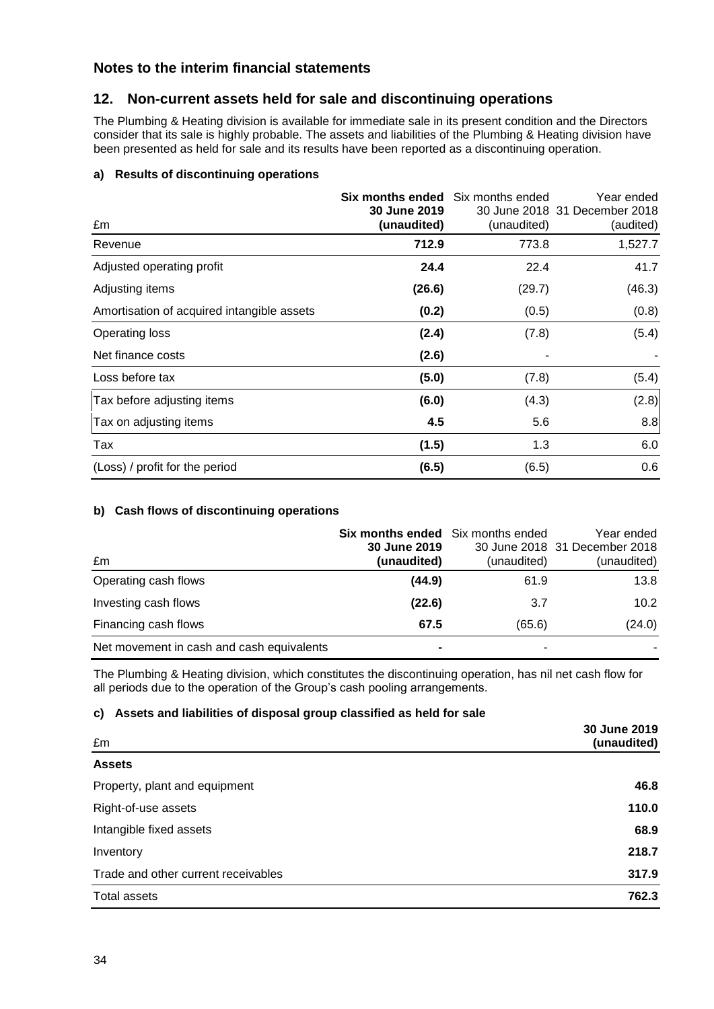## **12. Non-current assets held for sale and discontinuing operations**

The Plumbing & Heating division is available for immediate sale in its present condition and the Directors consider that its sale is highly probable. The assets and liabilities of the Plumbing & Heating division have been presented as held for sale and its results have been reported as a discontinuing operation.

#### **a) Results of discontinuing operations**

| £m                                         | <b>Six months ended</b> Six months ended<br>30 June 2019<br>(unaudited) | (unaudited) | Year ended<br>30 June 2018 31 December 2018<br>(audited) |
|--------------------------------------------|-------------------------------------------------------------------------|-------------|----------------------------------------------------------|
| Revenue                                    | 712.9                                                                   | 773.8       | 1,527.7                                                  |
| Adjusted operating profit                  | 24.4                                                                    | 22.4        | 41.7                                                     |
| Adjusting items                            | (26.6)                                                                  | (29.7)      | (46.3)                                                   |
| Amortisation of acquired intangible assets | (0.2)                                                                   | (0.5)       | (0.8)                                                    |
| <b>Operating loss</b>                      | (2.4)                                                                   | (7.8)       | (5.4)                                                    |
| Net finance costs                          | (2.6)                                                                   |             |                                                          |
| Loss before tax                            | (5.0)                                                                   | (7.8)       | (5.4)                                                    |
| Tax before adjusting items                 | (6.0)                                                                   | (4.3)       | (2.8)                                                    |
| Tax on adjusting items                     | 4.5                                                                     | 5.6         | 8.8                                                      |
| Tax                                        | (1.5)                                                                   | 1.3         | 6.0                                                      |
| (Loss) / profit for the period             | (6.5)                                                                   | (6.5)       | 0.6                                                      |

#### **b) Cash flows of discontinuing operations**

| £m                                        | Six months ended Six months ended<br>30 June 2019<br>(unaudited) | (unaudited) | Year ended<br>30 June 2018 31 December 2018<br>(unaudited) |
|-------------------------------------------|------------------------------------------------------------------|-------------|------------------------------------------------------------|
| Operating cash flows                      | (44.9)                                                           | 61.9        | 13.8                                                       |
| Investing cash flows                      | (22.6)                                                           | 3.7         | 10.2 <sub>2</sub>                                          |
| Financing cash flows                      | 67.5                                                             | (65.6)      | (24.0)                                                     |
| Net movement in cash and cash equivalents |                                                                  | ۰           |                                                            |

The Plumbing & Heating division, which constitutes the discontinuing operation, has nil net cash flow for all periods due to the operation of the Group's cash pooling arrangements.

#### **c) Assets and liabilities of disposal group classified as held for sale**

| £m                                  | 30 June 2019<br>(unaudited) |
|-------------------------------------|-----------------------------|
| <b>Assets</b>                       |                             |
| Property, plant and equipment       | 46.8                        |
| Right-of-use assets                 | 110.0                       |
| Intangible fixed assets             | 68.9                        |
| Inventory                           | 218.7                       |
| Trade and other current receivables | 317.9                       |
| Total assets                        | 762.3                       |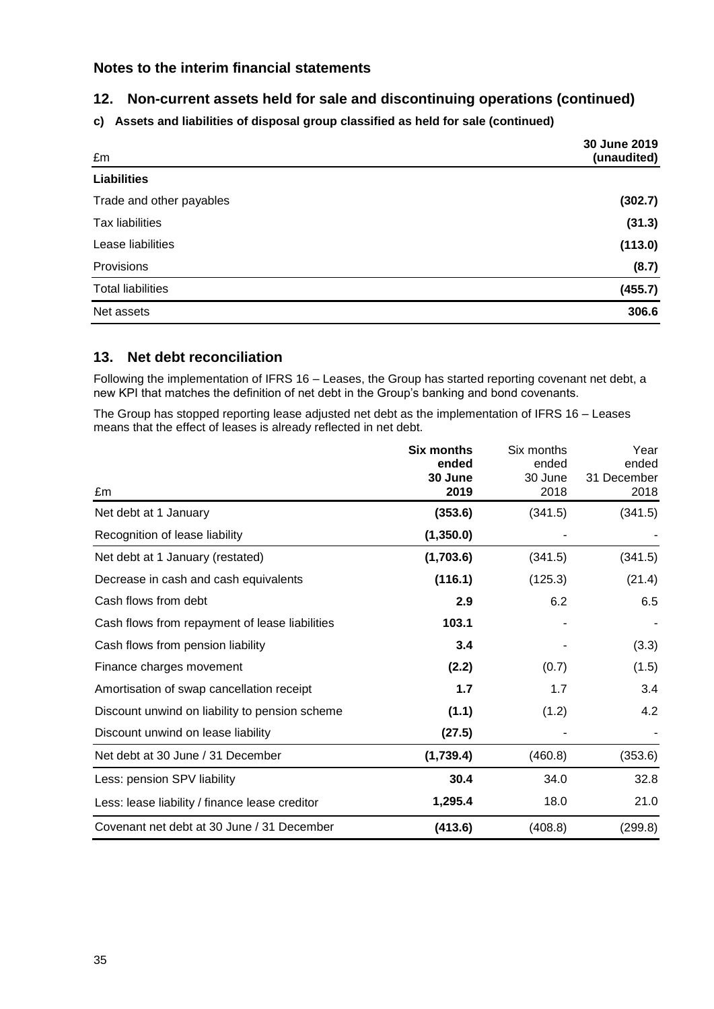## **12. Non-current assets held for sale and discontinuing operations (continued)**

**c) Assets and liabilities of disposal group classified as held for sale (continued)**

| £m                       | 30 June 2019<br>(unaudited) |
|--------------------------|-----------------------------|
| <b>Liabilities</b>       |                             |
| Trade and other payables | (302.7)                     |
| <b>Tax liabilities</b>   | (31.3)                      |
| Lease liabilities        | (113.0)                     |
| Provisions               | (8.7)                       |
| <b>Total liabilities</b> | (455.7)                     |
| Net assets               | 306.6                       |

#### **13. Net debt reconciliation**

Following the implementation of IFRS 16 – Leases, the Group has started reporting covenant net debt, a new KPI that matches the definition of net debt in the Group's banking and bond covenants.

The Group has stopped reporting lease adjusted net debt as the implementation of IFRS 16 – Leases means that the effect of leases is already reflected in net debt.

|                                                | <b>Six months</b><br>ended<br>30 June | Six months<br>ended<br>30 June | Year<br>ended<br>31 December |
|------------------------------------------------|---------------------------------------|--------------------------------|------------------------------|
| £m                                             | 2019                                  | 2018                           | 2018                         |
| Net debt at 1 January                          | (353.6)                               | (341.5)                        | (341.5)                      |
| Recognition of lease liability                 | (1,350.0)                             |                                |                              |
| Net debt at 1 January (restated)               | (1,703.6)                             | (341.5)                        | (341.5)                      |
| Decrease in cash and cash equivalents          | (116.1)                               | (125.3)                        | (21.4)                       |
| Cash flows from debt                           | 2.9                                   | 6.2                            | 6.5                          |
| Cash flows from repayment of lease liabilities | 103.1                                 |                                |                              |
| Cash flows from pension liability              | 3.4                                   |                                | (3.3)                        |
| Finance charges movement                       | (2.2)                                 | (0.7)                          | (1.5)                        |
| Amortisation of swap cancellation receipt      | 1.7                                   | 1.7                            | 3.4                          |
| Discount unwind on liability to pension scheme | (1.1)                                 | (1.2)                          | 4.2                          |
| Discount unwind on lease liability             | (27.5)                                |                                |                              |
| Net debt at 30 June / 31 December              | (1,739.4)                             | (460.8)                        | (353.6)                      |
| Less: pension SPV liability                    | 30.4                                  | 34.0                           | 32.8                         |
| Less: lease liability / finance lease creditor | 1,295.4                               | 18.0                           | 21.0                         |
| Covenant net debt at 30 June / 31 December     | (413.6)                               | (408.8)                        | (299.8)                      |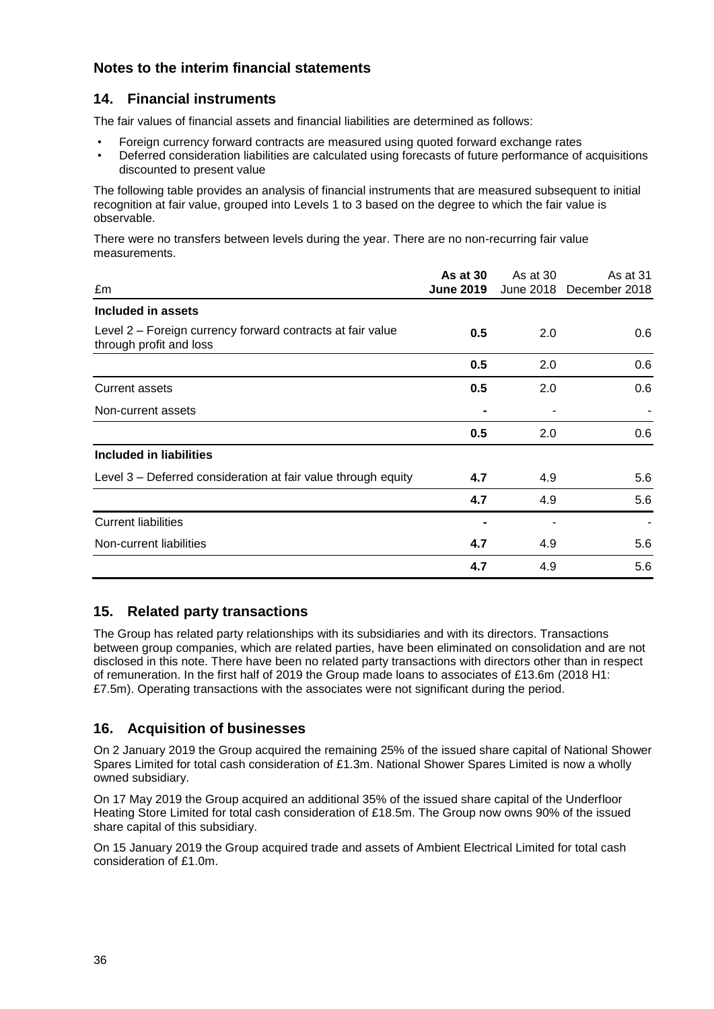## **14. Financial instruments**

The fair values of financial assets and financial liabilities are determined as follows:

- Foreign currency forward contracts are measured using quoted forward exchange rates
- Deferred consideration liabilities are calculated using forecasts of future performance of acquisitions discounted to present value

The following table provides an analysis of financial instruments that are measured subsequent to initial recognition at fair value, grouped into Levels 1 to 3 based on the degree to which the fair value is observable.

There were no transfers between levels during the year. There are no non-recurring fair value measurements.

| £m                                                                                    | <b>As at 30</b><br><b>June 2019</b> | As at 30 | As at 31<br>June 2018 December 2018 |
|---------------------------------------------------------------------------------------|-------------------------------------|----------|-------------------------------------|
| Included in assets                                                                    |                                     |          |                                     |
| Level 2 – Foreign currency forward contracts at fair value<br>through profit and loss | 0.5                                 | 2.0      | 0.6                                 |
|                                                                                       | 0.5                                 | 2.0      | 0.6                                 |
| <b>Current assets</b>                                                                 | 0.5                                 | 2.0      | 0.6                                 |
| Non-current assets                                                                    |                                     |          |                                     |
|                                                                                       | 0.5                                 | 2.0      | 0.6                                 |
| Included in liabilities                                                               |                                     |          |                                     |
| Level 3 – Deferred consideration at fair value through equity                         | 4.7                                 | 4.9      | 5.6                                 |
|                                                                                       | 4.7                                 | 4.9      | 5.6                                 |
| <b>Current liabilities</b>                                                            |                                     |          |                                     |
| Non-current liabilities                                                               | 4.7                                 | 4.9      | 5.6                                 |
|                                                                                       | 4.7                                 | 4.9      | 5.6                                 |

#### **15. Related party transactions**

The Group has related party relationships with its subsidiaries and with its directors. Transactions between group companies, which are related parties, have been eliminated on consolidation and are not disclosed in this note. There have been no related party transactions with directors other than in respect of remuneration. In the first half of 2019 the Group made loans to associates of £13.6m (2018 H1: £7.5m). Operating transactions with the associates were not significant during the period.

#### **16. Acquisition of businesses**

On 2 January 2019 the Group acquired the remaining 25% of the issued share capital of National Shower Spares Limited for total cash consideration of £1.3m. National Shower Spares Limited is now a wholly owned subsidiary.

On 17 May 2019 the Group acquired an additional 35% of the issued share capital of the Underfloor Heating Store Limited for total cash consideration of £18.5m. The Group now owns 90% of the issued share capital of this subsidiary.

On 15 January 2019 the Group acquired trade and assets of Ambient Electrical Limited for total cash consideration of £1.0m.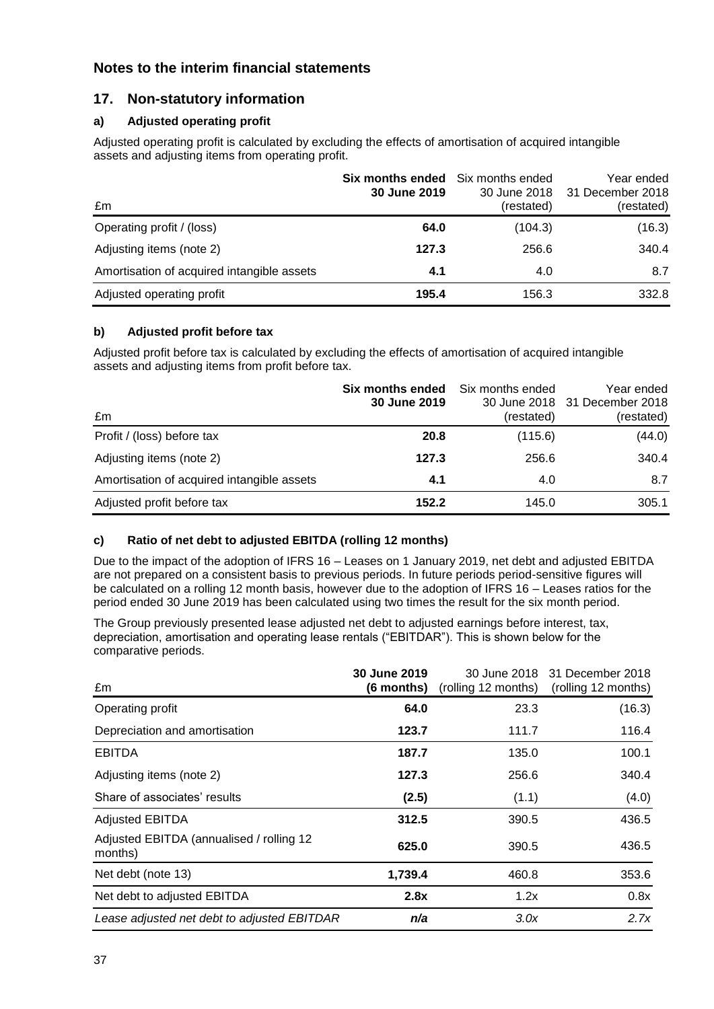## **17. Non-statutory information**

#### **a) Adjusted operating profit**

Adjusted operating profit is calculated by excluding the effects of amortisation of acquired intangible assets and adjusting items from operating profit.

| £m                                         | Six months ended<br>30 June 2019 | Six months ended<br>30 June 2018<br>(restated) | Year ended<br>31 December 2018<br>(restated) |
|--------------------------------------------|----------------------------------|------------------------------------------------|----------------------------------------------|
| Operating profit / (loss)                  | 64.0                             | (104.3)                                        | (16.3)                                       |
| Adjusting items (note 2)                   | 127.3                            | 256.6                                          | 340.4                                        |
| Amortisation of acquired intangible assets | 4.1                              | 4.0                                            | 8.7                                          |
| Adjusted operating profit                  | 195.4                            | 156.3                                          | 332.8                                        |

#### **b) Adjusted profit before tax**

Adjusted profit before tax is calculated by excluding the effects of amortisation of acquired intangible assets and adjusting items from profit before tax.

| £m                                         | Six months ended<br>30 June 2019 | Six months ended<br>(restated) | Year ended<br>30 June 2018 31 December 2018<br>(restated) |
|--------------------------------------------|----------------------------------|--------------------------------|-----------------------------------------------------------|
| Profit / (loss) before tax                 | 20.8                             | (115.6)                        | (44.0)                                                    |
| Adjusting items (note 2)                   | 127.3                            | 256.6                          | 340.4                                                     |
| Amortisation of acquired intangible assets | 4.1                              | 4.0                            | 8.7                                                       |
| Adjusted profit before tax                 | 152.2                            | 145.0                          | 305.1                                                     |

#### **c) Ratio of net debt to adjusted EBITDA (rolling 12 months)**

Due to the impact of the adoption of IFRS 16 – Leases on 1 January 2019, net debt and adjusted EBITDA are not prepared on a consistent basis to previous periods. In future periods period-sensitive figures will be calculated on a rolling 12 month basis, however due to the adoption of IFRS 16 – Leases ratios for the period ended 30 June 2019 has been calculated using two times the result for the six month period.

The Group previously presented lease adjusted net debt to adjusted earnings before interest, tax, depreciation, amortisation and operating lease rentals ("EBITDAR"). This is shown below for the comparative periods.

| £m                                                  | 30 June 2019<br>(6 months) |       | 30 June 2018 31 December 2018<br>(rolling 12 months) (rolling 12 months) |
|-----------------------------------------------------|----------------------------|-------|--------------------------------------------------------------------------|
| Operating profit                                    | 64.0                       | 23.3  | (16.3)                                                                   |
| Depreciation and amortisation                       | 123.7                      | 111.7 | 116.4                                                                    |
| <b>EBITDA</b>                                       | 187.7                      | 135.0 | 100.1                                                                    |
| Adjusting items (note 2)                            | 127.3                      | 256.6 | 340.4                                                                    |
| Share of associates' results                        | (2.5)                      | (1.1) | (4.0)                                                                    |
| <b>Adjusted EBITDA</b>                              | 312.5                      | 390.5 | 436.5                                                                    |
| Adjusted EBITDA (annualised / rolling 12<br>months) | 625.0                      | 390.5 | 436.5                                                                    |
| Net debt (note 13)                                  | 1,739.4                    | 460.8 | 353.6                                                                    |
| Net debt to adjusted EBITDA                         | 2.8x                       | 1.2x  | 0.8x                                                                     |
| Lease adjusted net debt to adjusted EBITDAR         | n/a                        | 3.0x  | 2.7x                                                                     |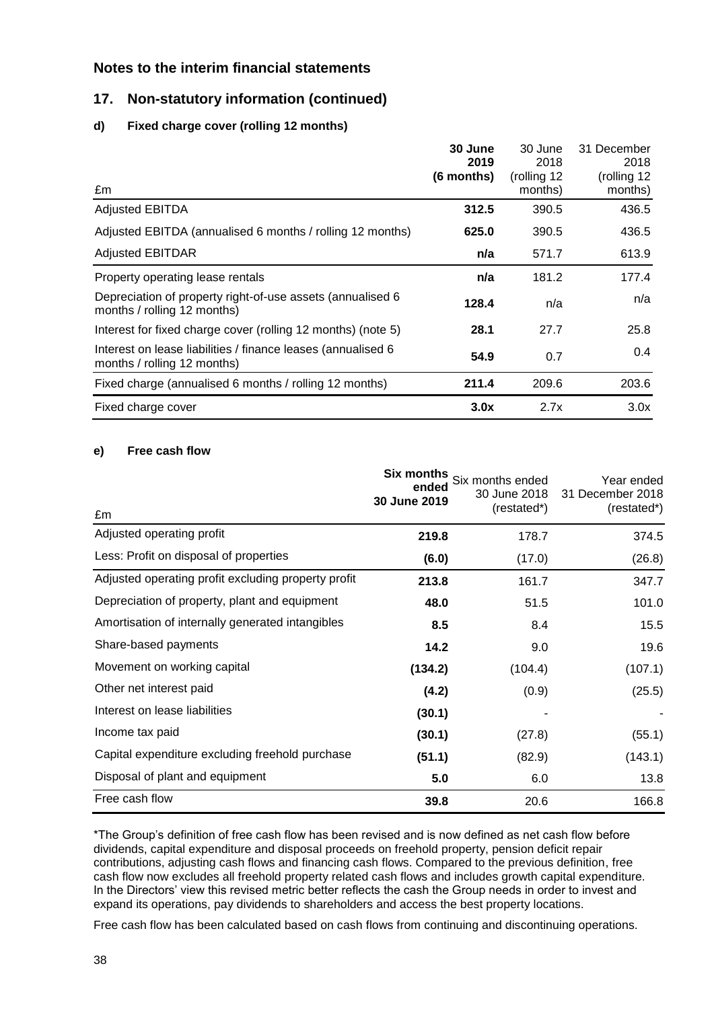## **17. Non-statutory information (continued)**

#### **d) Fixed charge cover (rolling 12 months)**

| £m                                                                                           | 30 June<br>2019<br>(6 months) | 30 June<br>2018<br>(rolling 12<br>months) | 31 December<br>2018<br>(rolling 12<br>months) |
|----------------------------------------------------------------------------------------------|-------------------------------|-------------------------------------------|-----------------------------------------------|
| <b>Adjusted EBITDA</b>                                                                       | 312.5                         | 390.5                                     | 436.5                                         |
| Adjusted EBITDA (annualised 6 months / rolling 12 months)                                    | 625.0                         | 390.5                                     | 436.5                                         |
| <b>Adjusted EBITDAR</b>                                                                      | n/a                           | 571.7                                     | 613.9                                         |
| Property operating lease rentals                                                             | n/a                           | 181.2                                     | 177.4                                         |
| Depreciation of property right-of-use assets (annualised 6<br>months / rolling 12 months)    | 128.4                         | n/a                                       | n/a                                           |
| Interest for fixed charge cover (rolling 12 months) (note 5)                                 | 28.1                          | 27.7                                      | 25.8                                          |
| Interest on lease liabilities / finance leases (annualised 6)<br>months / rolling 12 months) | 54.9                          | 0.7                                       | 0.4                                           |
| Fixed charge (annualised 6 months / rolling 12 months)                                       | 211.4                         | 209.6                                     | 203.6                                         |
| Fixed charge cover                                                                           | 3.0x                          | 2.7x                                      | 3.0x                                          |

#### **e) Free cash flow**

|                                                     | Six months<br>ended<br>30 June 2019 | Six months ended<br>30 June 2018<br>(restated*) | Year ended<br>31 December 2018<br>(restated*) |
|-----------------------------------------------------|-------------------------------------|-------------------------------------------------|-----------------------------------------------|
| £m                                                  |                                     |                                                 |                                               |
| Adjusted operating profit                           | 219.8                               | 178.7                                           | 374.5                                         |
| Less: Profit on disposal of properties              | (6.0)                               | (17.0)                                          | (26.8)                                        |
| Adjusted operating profit excluding property profit | 213.8                               | 161.7                                           | 347.7                                         |
| Depreciation of property, plant and equipment       | 48.0                                | 51.5                                            | 101.0                                         |
| Amortisation of internally generated intangibles    | 8.5                                 | 8.4                                             | 15.5                                          |
| Share-based payments                                | 14.2                                | 9.0                                             | 19.6                                          |
| Movement on working capital                         | (134.2)                             | (104.4)                                         | (107.1)                                       |
| Other net interest paid                             | (4.2)                               | (0.9)                                           | (25.5)                                        |
| Interest on lease liabilities                       | (30.1)                              |                                                 |                                               |
| Income tax paid                                     | (30.1)                              | (27.8)                                          | (55.1)                                        |
| Capital expenditure excluding freehold purchase     | (51.1)                              | (82.9)                                          | (143.1)                                       |
| Disposal of plant and equipment                     | 5.0                                 | 6.0                                             | 13.8                                          |
| Free cash flow                                      | 39.8                                | 20.6                                            | 166.8                                         |

\*The Group's definition of free cash flow has been revised and is now defined as net cash flow before dividends, capital expenditure and disposal proceeds on freehold property, pension deficit repair contributions, adjusting cash flows and financing cash flows. Compared to the previous definition, free cash flow now excludes all freehold property related cash flows and includes growth capital expenditure. In the Directors' view this revised metric better reflects the cash the Group needs in order to invest and expand its operations, pay dividends to shareholders and access the best property locations.

Free cash flow has been calculated based on cash flows from continuing and discontinuing operations.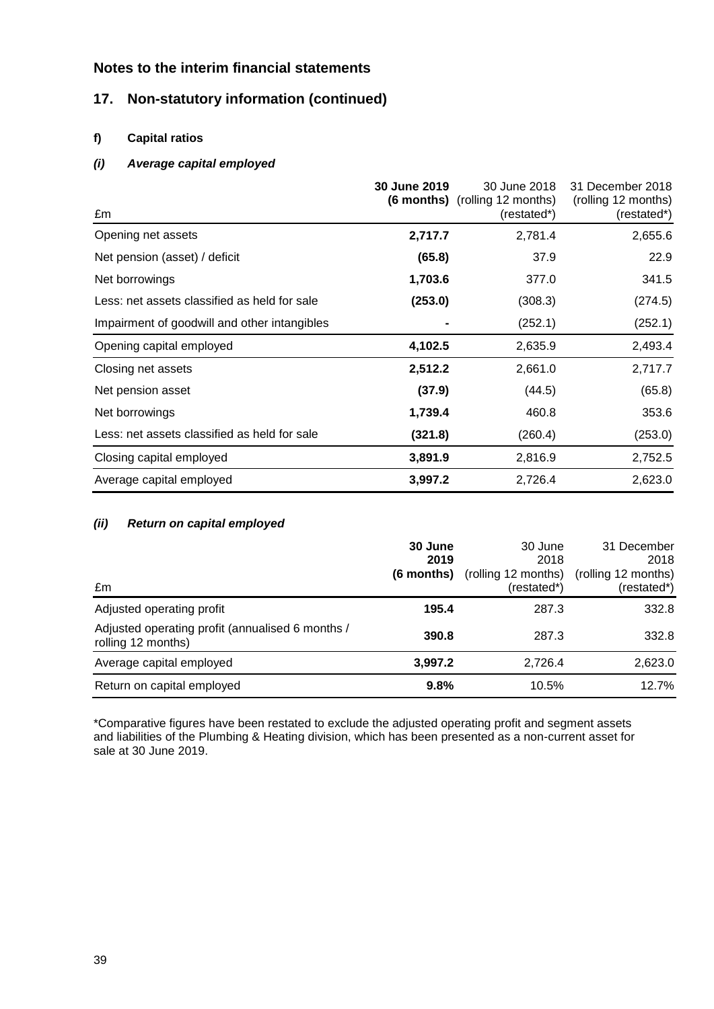## **17. Non-statutory information (continued)**

#### **f) Capital ratios**

#### *(i) Average capital employed*

| £m                                           | 30 June 2019 | 30 June 2018<br><b>(6 months)</b> (rolling 12 months)<br>(restated*) | 31 December 2018<br>(rolling 12 months)<br>(restated*) |
|----------------------------------------------|--------------|----------------------------------------------------------------------|--------------------------------------------------------|
| Opening net assets                           | 2,717.7      | 2,781.4                                                              | 2,655.6                                                |
| Net pension (asset) / deficit                | (65.8)       | 37.9                                                                 | 22.9                                                   |
| Net borrowings                               | 1,703.6      | 377.0                                                                | 341.5                                                  |
| Less: net assets classified as held for sale | (253.0)      | (308.3)                                                              | (274.5)                                                |
| Impairment of goodwill and other intangibles |              | (252.1)                                                              | (252.1)                                                |
| Opening capital employed                     | 4,102.5      | 2,635.9                                                              | 2,493.4                                                |
| Closing net assets                           | 2,512.2      | 2,661.0                                                              | 2,717.7                                                |
| Net pension asset                            | (37.9)       | (44.5)                                                               | (65.8)                                                 |
| Net borrowings                               | 1,739.4      | 460.8                                                                | 353.6                                                  |
| Less: net assets classified as held for sale | (321.8)      | (260.4)                                                              | (253.0)                                                |
| Closing capital employed                     | 3,891.9      | 2,816.9                                                              | 2,752.5                                                |
| Average capital employed                     | 3,997.2      | 2,726.4                                                              | 2,623.0                                                |

#### *(ii) Return on capital employed*

| £m                                                                     | 30 June<br>2019<br>(6 months) | 30 June<br>2018<br>(rolling 12 months)<br>(restated*) | 31 December<br>2018<br>(rolling 12 months)<br>(restated*) |
|------------------------------------------------------------------------|-------------------------------|-------------------------------------------------------|-----------------------------------------------------------|
| Adjusted operating profit                                              | 195.4                         | 287.3                                                 | 332.8                                                     |
| Adjusted operating profit (annualised 6 months /<br>rolling 12 months) | 390.8                         | 287.3                                                 | 332.8                                                     |
| Average capital employed                                               | 3,997.2                       | 2,726.4                                               | 2,623.0                                                   |
| Return on capital employed                                             | 9.8%                          | 10.5%                                                 | 12.7%                                                     |

\*Comparative figures have been restated to exclude the adjusted operating profit and segment assets and liabilities of the Plumbing & Heating division, which has been presented as a non-current asset for sale at 30 June 2019.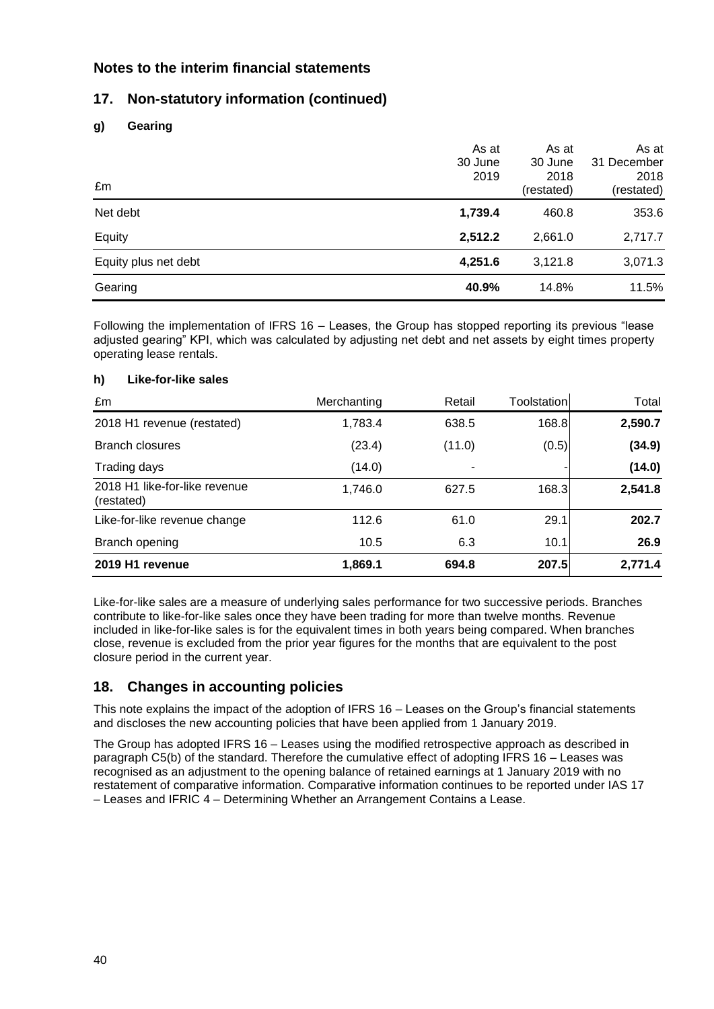## **17. Non-statutory information (continued)**

#### **g) Gearing**

| £m                   | As at<br>30 June<br>2019 | As at<br>30 June<br>2018<br>(restated) | As at<br>31 December<br>2018<br>(restated) |
|----------------------|--------------------------|----------------------------------------|--------------------------------------------|
| Net debt             | 1,739.4                  | 460.8                                  | 353.6                                      |
| Equity               | 2,512.2                  | 2,661.0                                | 2,717.7                                    |
| Equity plus net debt | 4,251.6                  | 3,121.8                                | 3,071.3                                    |
| Gearing              | 40.9%                    | 14.8%                                  | 11.5%                                      |

Following the implementation of IFRS 16 – Leases, the Group has stopped reporting its previous "lease adjusted gearing" KPI, which was calculated by adjusting net debt and net assets by eight times property operating lease rentals.

#### **h) Like-for-like sales**

| £m                                          | Merchanting | Retail | Toolstation | Total   |
|---------------------------------------------|-------------|--------|-------------|---------|
| 2018 H1 revenue (restated)                  | 1,783.4     | 638.5  | 168.8       | 2,590.7 |
| <b>Branch closures</b>                      | (23.4)      | (11.0) | (0.5)       | (34.9)  |
| Trading days                                | (14.0)      |        |             | (14.0)  |
| 2018 H1 like-for-like revenue<br>(restated) | 1,746.0     | 627.5  | 168.3       | 2,541.8 |
| Like-for-like revenue change                | 112.6       | 61.0   | 29.1        | 202.7   |
| Branch opening                              | 10.5        | 6.3    | 10.1        | 26.9    |
| 2019 H1 revenue                             | 1,869.1     | 694.8  | 207.5       | 2,771.4 |

Like-for-like sales are a measure of underlying sales performance for two successive periods. Branches contribute to like-for-like sales once they have been trading for more than twelve months. Revenue included in like-for-like sales is for the equivalent times in both years being compared. When branches close, revenue is excluded from the prior year figures for the months that are equivalent to the post closure period in the current year.

## **18. Changes in accounting policies**

This note explains the impact of the adoption of IFRS 16 – Leases on the Group's financial statements and discloses the new accounting policies that have been applied from 1 January 2019.

The Group has adopted IFRS 16 – Leases using the modified retrospective approach as described in paragraph C5(b) of the standard. Therefore the cumulative effect of adopting IFRS 16 – Leases was recognised as an adjustment to the opening balance of retained earnings at 1 January 2019 with no restatement of comparative information. Comparative information continues to be reported under IAS 17 – Leases and IFRIC 4 – Determining Whether an Arrangement Contains a Lease.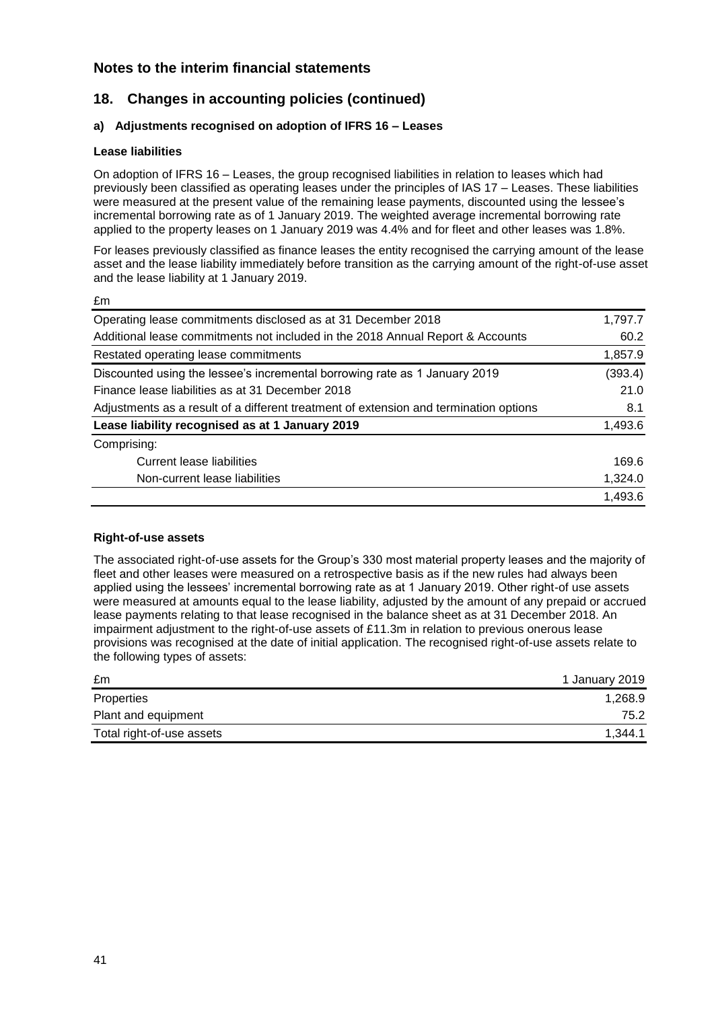## **18. Changes in accounting policies (continued)**

#### **a) Adjustments recognised on adoption of IFRS 16 – Leases**

#### **Lease liabilities**

£m

On adoption of IFRS 16 – Leases, the group recognised liabilities in relation to leases which had previously been classified as operating leases under the principles of IAS 17 – Leases. These liabilities were measured at the present value of the remaining lease payments, discounted using the lessee's incremental borrowing rate as of 1 January 2019. The weighted average incremental borrowing rate applied to the property leases on 1 January 2019 was 4.4% and for fleet and other leases was 1.8%.

For leases previously classified as finance leases the entity recognised the carrying amount of the lease asset and the lease liability immediately before transition as the carrying amount of the right-of-use asset and the lease liability at 1 January 2019.

| Operating lease commitments disclosed as at 31 December 2018                          | 1,797.7 |
|---------------------------------------------------------------------------------------|---------|
| Additional lease commitments not included in the 2018 Annual Report & Accounts        | 60.2    |
| Restated operating lease commitments                                                  | 1,857.9 |
| Discounted using the lessee's incremental borrowing rate as 1 January 2019            | (393.4) |
| Finance lease liabilities as at 31 December 2018                                      | 21.0    |
| Adjustments as a result of a different treatment of extension and termination options | 8.1     |
| Lease liability recognised as at 1 January 2019                                       | 1,493.6 |
| Comprising:                                                                           |         |
| Current lease liabilities                                                             | 169.6   |
| Non-current lease liabilities                                                         | 1,324.0 |
|                                                                                       | 1,493.6 |
|                                                                                       |         |

#### **Right-of-use assets**

The associated right-of-use assets for the Group's 330 most material property leases and the majority of fleet and other leases were measured on a retrospective basis as if the new rules had always been applied using the lessees' incremental borrowing rate as at 1 January 2019. Other right-of use assets were measured at amounts equal to the lease liability, adjusted by the amount of any prepaid or accrued lease payments relating to that lease recognised in the balance sheet as at 31 December 2018. An impairment adjustment to the right-of-use assets of £11.3m in relation to previous onerous lease provisions was recognised at the date of initial application. The recognised right-of-use assets relate to the following types of assets:

| £m                        | 1 January 2019 |
|---------------------------|----------------|
| Properties                | 1,268.9        |
| Plant and equipment       | 75.2           |
| Total right-of-use assets | 1.344.1        |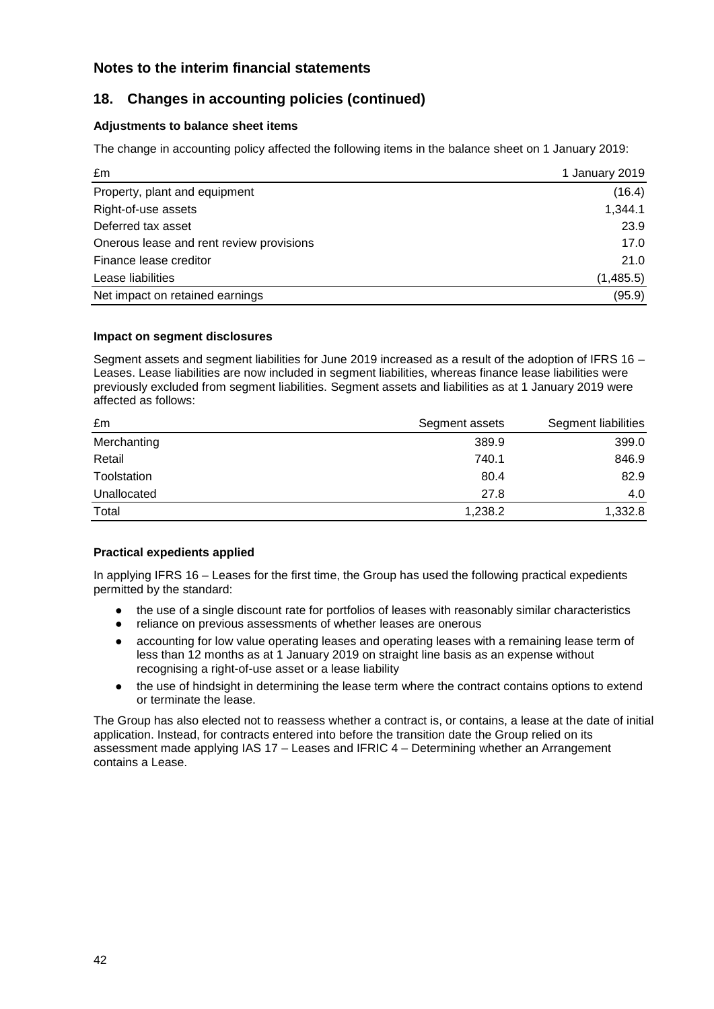## **18. Changes in accounting policies (continued)**

#### **Adjustments to balance sheet items**

The change in accounting policy affected the following items in the balance sheet on 1 January 2019:

| £m                                       | 1 January 2019 |
|------------------------------------------|----------------|
| Property, plant and equipment            | (16.4)         |
| Right-of-use assets                      | 1,344.1        |
| Deferred tax asset                       | 23.9           |
| Onerous lease and rent review provisions | 17.0           |
| Finance lease creditor                   | 21.0           |
| Lease liabilities                        | (1,485.5)      |
| Net impact on retained earnings          | (95.9)         |

#### **Impact on segment disclosures**

Segment assets and segment liabilities for June 2019 increased as a result of the adoption of IFRS 16 – Leases. Lease liabilities are now included in segment liabilities, whereas finance lease liabilities were previously excluded from segment liabilities. Segment assets and liabilities as at 1 January 2019 were affected as follows:

| £m          | Segment assets | Segment liabilities |
|-------------|----------------|---------------------|
| Merchanting | 389.9          | 399.0               |
| Retail      | 740.1          | 846.9               |
| Toolstation | 80.4           | 82.9                |
| Unallocated | 27.8           | 4.0                 |
| Total       | 1,238.2        | 1,332.8             |

#### **Practical expedients applied**

In applying IFRS 16 – Leases for the first time, the Group has used the following practical expedients permitted by the standard:

- the use of a single discount rate for portfolios of leases with reasonably similar characteristics
- reliance on previous assessments of whether leases are onerous
- accounting for low value operating leases and operating leases with a remaining lease term of less than 12 months as at 1 January 2019 on straight line basis as an expense without recognising a right-of-use asset or a lease liability
- the use of hindsight in determining the lease term where the contract contains options to extend or terminate the lease.

The Group has also elected not to reassess whether a contract is, or contains, a lease at the date of initial application. Instead, for contracts entered into before the transition date the Group relied on its assessment made applying IAS 17 – Leases and IFRIC 4 – Determining whether an Arrangement contains a Lease.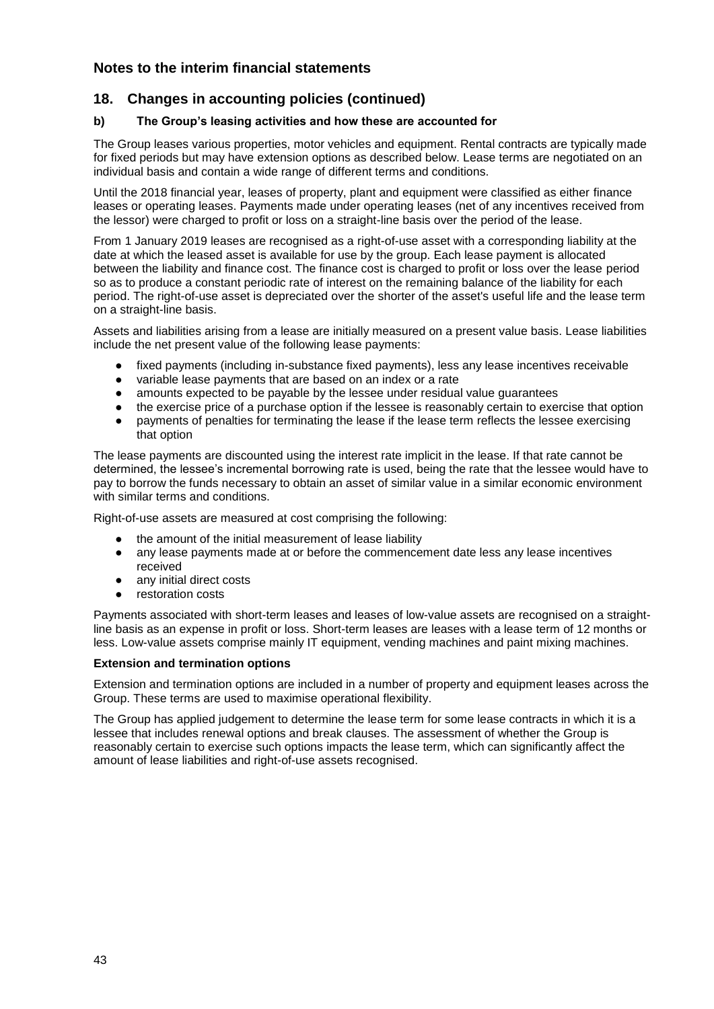## **18. Changes in accounting policies (continued)**

#### **b) The Group's leasing activities and how these are accounted for**

The Group leases various properties, motor vehicles and equipment. Rental contracts are typically made for fixed periods but may have extension options as described below. Lease terms are negotiated on an individual basis and contain a wide range of different terms and conditions.

Until the 2018 financial year, leases of property, plant and equipment were classified as either finance leases or operating leases. Payments made under operating leases (net of any incentives received from the lessor) were charged to profit or loss on a straight-line basis over the period of the lease.

From 1 January 2019 leases are recognised as a right-of-use asset with a corresponding liability at the date at which the leased asset is available for use by the group. Each lease payment is allocated between the liability and finance cost. The finance cost is charged to profit or loss over the lease period so as to produce a constant periodic rate of interest on the remaining balance of the liability for each period. The right-of-use asset is depreciated over the shorter of the asset's useful life and the lease term on a straight-line basis.

Assets and liabilities arising from a lease are initially measured on a present value basis. Lease liabilities include the net present value of the following lease payments:

- fixed payments (including in-substance fixed payments), less any lease incentives receivable
- variable lease payments that are based on an index or a rate
- amounts expected to be payable by the lessee under residual value guarantees
- the exercise price of a purchase option if the lessee is reasonably certain to exercise that option
- payments of penalties for terminating the lease if the lease term reflects the lessee exercising that option

The lease payments are discounted using the interest rate implicit in the lease. If that rate cannot be determined, the lessee's incremental borrowing rate is used, being the rate that the lessee would have to pay to borrow the funds necessary to obtain an asset of similar value in a similar economic environment with similar terms and conditions.

Right-of-use assets are measured at cost comprising the following:

- the amount of the initial measurement of lease liability
- any lease payments made at or before the commencement date less any lease incentives received
- any initial direct costs
- restoration costs

Payments associated with short-term leases and leases of low-value assets are recognised on a straightline basis as an expense in profit or loss. Short-term leases are leases with a lease term of 12 months or less. Low-value assets comprise mainly IT equipment, vending machines and paint mixing machines.

#### **Extension and termination options**

Extension and termination options are included in a number of property and equipment leases across the Group. These terms are used to maximise operational flexibility.

The Group has applied judgement to determine the lease term for some lease contracts in which it is a lessee that includes renewal options and break clauses. The assessment of whether the Group is reasonably certain to exercise such options impacts the lease term, which can significantly affect the amount of lease liabilities and right-of-use assets recognised.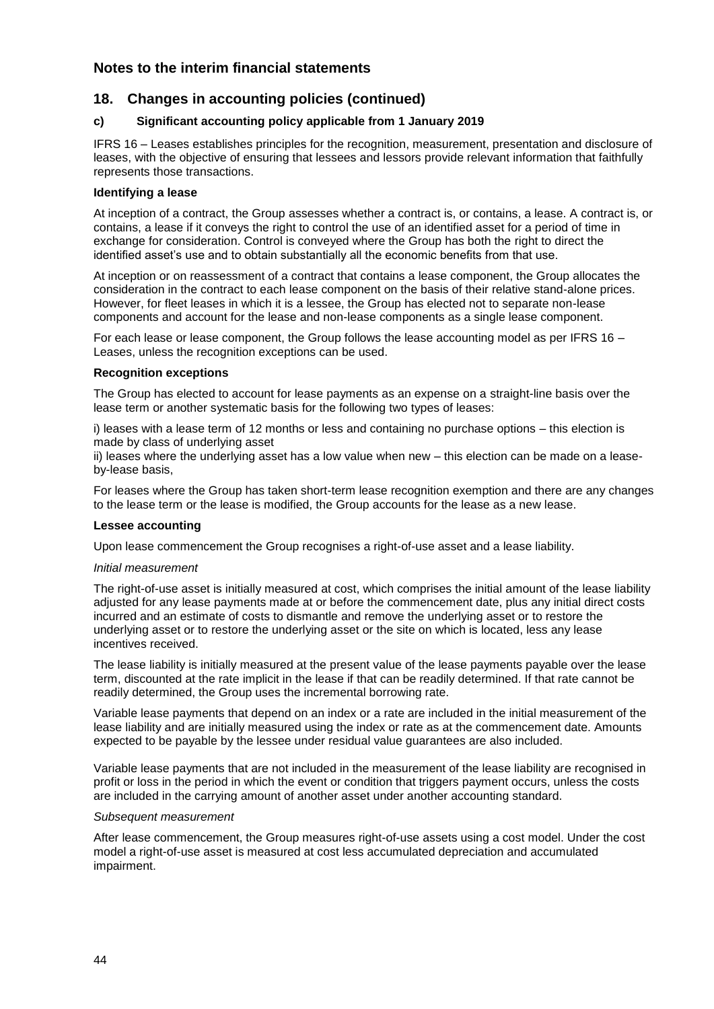#### **18. Changes in accounting policies (continued)**

#### **c) Significant accounting policy applicable from 1 January 2019**

IFRS 16 – Leases establishes principles for the recognition, measurement, presentation and disclosure of leases, with the objective of ensuring that lessees and lessors provide relevant information that faithfully represents those transactions.

#### **Identifying a lease**

At inception of a contract, the Group assesses whether a contract is, or contains, a lease. A contract is, or contains, a lease if it conveys the right to control the use of an identified asset for a period of time in exchange for consideration. Control is conveyed where the Group has both the right to direct the identified asset's use and to obtain substantially all the economic benefits from that use.

At inception or on reassessment of a contract that contains a lease component, the Group allocates the consideration in the contract to each lease component on the basis of their relative stand-alone prices. However, for fleet leases in which it is a lessee, the Group has elected not to separate non-lease components and account for the lease and non-lease components as a single lease component.

For each lease or lease component, the Group follows the lease accounting model as per IFRS 16 – Leases, unless the recognition exceptions can be used.

#### **Recognition exceptions**

The Group has elected to account for lease payments as an expense on a straight-line basis over the lease term or another systematic basis for the following two types of leases:

i) leases with a lease term of 12 months or less and containing no purchase options – this election is made by class of underlying asset

ii) leases where the underlying asset has a low value when new – this election can be made on a leaseby-lease basis,

For leases where the Group has taken short-term lease recognition exemption and there are any changes to the lease term or the lease is modified, the Group accounts for the lease as a new lease.

#### **Lessee accounting**

Upon lease commencement the Group recognises a right-of-use asset and a lease liability.

#### *Initial measurement*

The right-of-use asset is initially measured at cost, which comprises the initial amount of the lease liability adjusted for any lease payments made at or before the commencement date, plus any initial direct costs incurred and an estimate of costs to dismantle and remove the underlying asset or to restore the underlying asset or to restore the underlying asset or the site on which is located, less any lease incentives received.

The lease liability is initially measured at the present value of the lease payments payable over the lease term, discounted at the rate implicit in the lease if that can be readily determined. If that rate cannot be readily determined, the Group uses the incremental borrowing rate.

Variable lease payments that depend on an index or a rate are included in the initial measurement of the lease liability and are initially measured using the index or rate as at the commencement date. Amounts expected to be payable by the lessee under residual value guarantees are also included.

Variable lease payments that are not included in the measurement of the lease liability are recognised in profit or loss in the period in which the event or condition that triggers payment occurs, unless the costs are included in the carrying amount of another asset under another accounting standard.

#### *Subsequent measurement*

After lease commencement, the Group measures right-of-use assets using a cost model. Under the cost model a right-of-use asset is measured at cost less accumulated depreciation and accumulated impairment.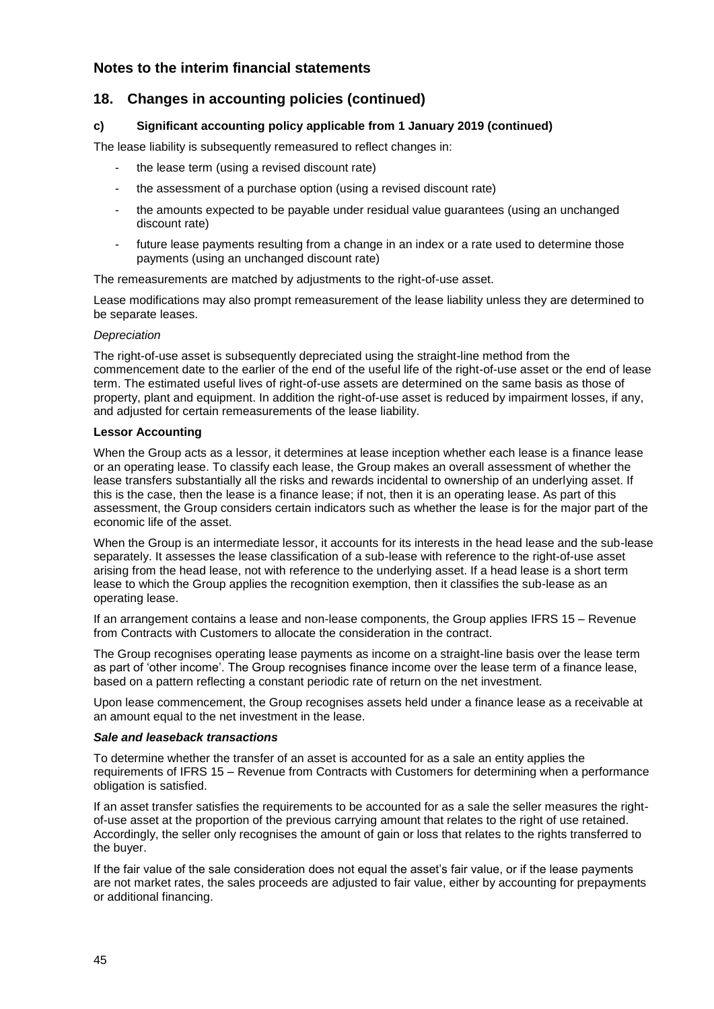### **18. Changes in accounting policies (continued)**

#### **c) Significant accounting policy applicable from 1 January 2019 (continued)**

The lease liability is subsequently remeasured to reflect changes in:

- the lease term (using a revised discount rate)
- the assessment of a purchase option (using a revised discount rate)
- the amounts expected to be payable under residual value guarantees (using an unchanged discount rate)
- future lease payments resulting from a change in an index or a rate used to determine those payments (using an unchanged discount rate)

The remeasurements are matched by adjustments to the right-of-use asset.

Lease modifications may also prompt remeasurement of the lease liability unless they are determined to be separate leases.

#### *Depreciation*

The right-of-use asset is subsequently depreciated using the straight-line method from the commencement date to the earlier of the end of the useful life of the right-of-use asset or the end of lease term. The estimated useful lives of right-of-use assets are determined on the same basis as those of property, plant and equipment. In addition the right-of-use asset is reduced by impairment losses, if any, and adjusted for certain remeasurements of the lease liability.

#### **Lessor Accounting**

When the Group acts as a lessor, it determines at lease inception whether each lease is a finance lease or an operating lease. To classify each lease, the Group makes an overall assessment of whether the lease transfers substantially all the risks and rewards incidental to ownership of an underlying asset. If this is the case, then the lease is a finance lease; if not, then it is an operating lease. As part of this assessment, the Group considers certain indicators such as whether the lease is for the major part of the economic life of the asset.

When the Group is an intermediate lessor, it accounts for its interests in the head lease and the sub-lease separately. It assesses the lease classification of a sub-lease with reference to the right-of-use asset arising from the head lease, not with reference to the underlying asset. If a head lease is a short term lease to which the Group applies the recognition exemption, then it classifies the sub-lease as an operating lease.

If an arrangement contains a lease and non-lease components, the Group applies IFRS 15 – Revenue from Contracts with Customers to allocate the consideration in the contract.

The Group recognises operating lease payments as income on a straight-line basis over the lease term as part of 'other income'. The Group recognises finance income over the lease term of a finance lease, based on a pattern reflecting a constant periodic rate of return on the net investment.

Upon lease commencement, the Group recognises assets held under a finance lease as a receivable at an amount equal to the net investment in the lease.

#### *Sale and leaseback transactions*

To determine whether the transfer of an asset is accounted for as a sale an entity applies the requirements of IFRS 15 – Revenue from Contracts with Customers for determining when a performance obligation is satisfied.

If an asset transfer satisfies the requirements to be accounted for as a sale the seller measures the rightof-use asset at the proportion of the previous carrying amount that relates to the right of use retained. Accordingly, the seller only recognises the amount of gain or loss that relates to the rights transferred to the buyer.

If the fair value of the sale consideration does not equal the asset's fair value, or if the lease payments are not market rates, the sales proceeds are adjusted to fair value, either by accounting for prepayments or additional financing.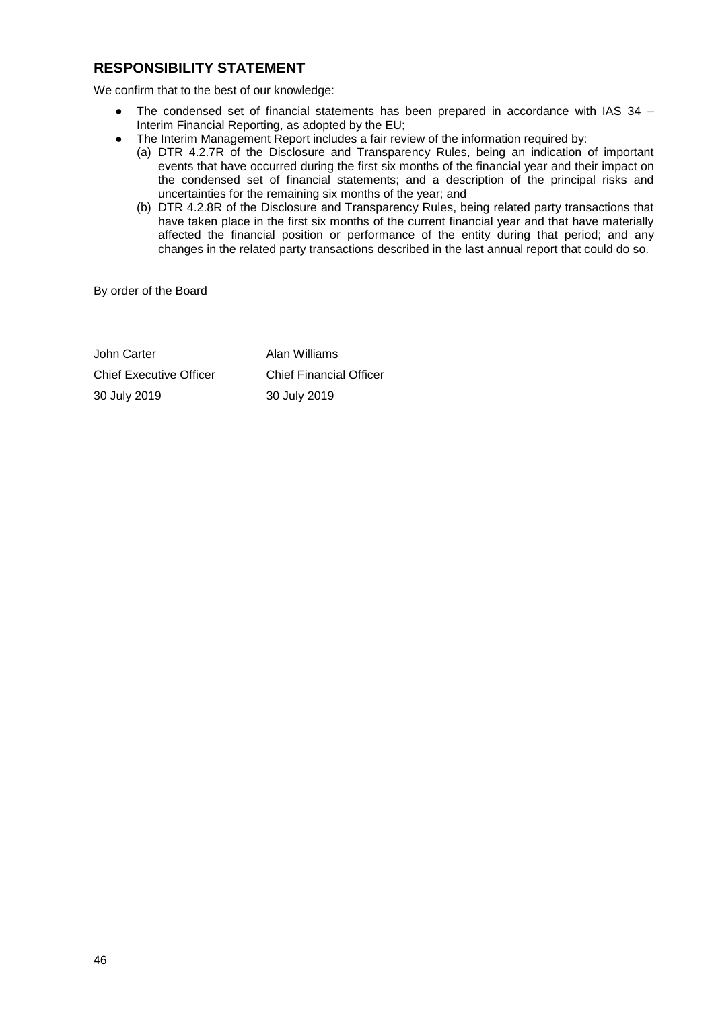## **RESPONSIBILITY STATEMENT**

We confirm that to the best of our knowledge:

- The condensed set of financial statements has been prepared in accordance with IAS 34 Interim Financial Reporting, as adopted by the EU;
- The Interim Management Report includes a fair review of the information required by:
	- (a) DTR 4.2.7R of the Disclosure and Transparency Rules, being an indication of important events that have occurred during the first six months of the financial year and their impact on the condensed set of financial statements; and a description of the principal risks and uncertainties for the remaining six months of the year; and
	- (b) DTR 4.2.8R of the Disclosure and Transparency Rules, being related party transactions that have taken place in the first six months of the current financial year and that have materially affected the financial position or performance of the entity during that period; and any changes in the related party transactions described in the last annual report that could do so.

By order of the Board

John Carter **Alan Williams** Chief Executive Officer Chief Financial Officer 30 July 2019 30 July 2019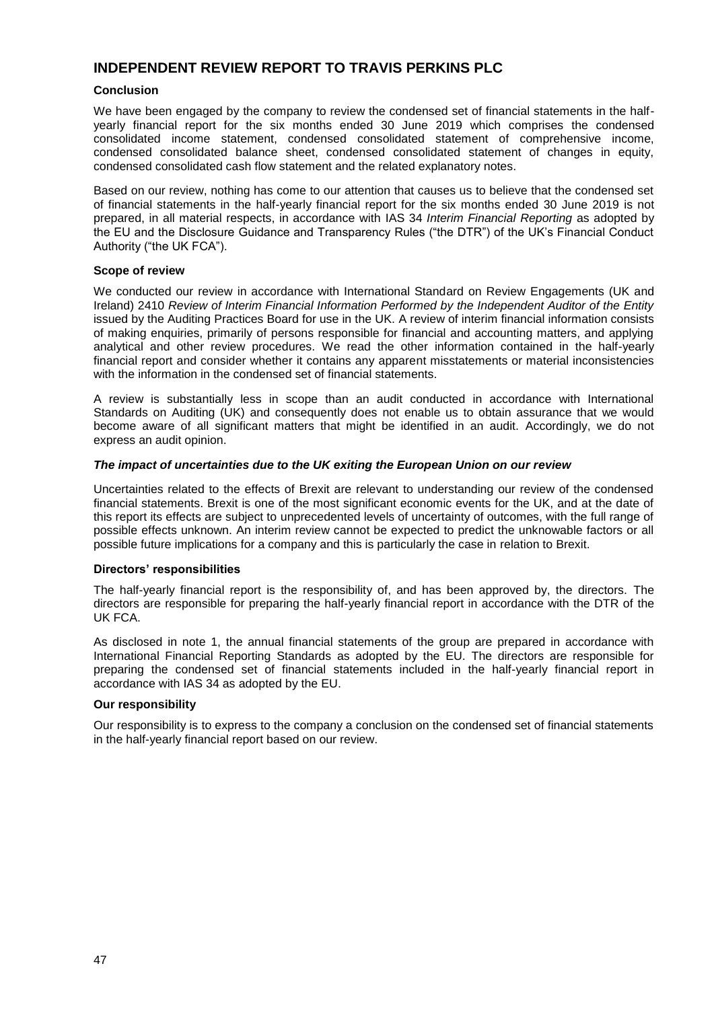#### **INDEPENDENT REVIEW REPORT TO TRAVIS PERKINS PLC**

#### **Conclusion**

We have been engaged by the company to review the condensed set of financial statements in the halfyearly financial report for the six months ended 30 June 2019 which comprises the condensed consolidated income statement, condensed consolidated statement of comprehensive income, condensed consolidated balance sheet, condensed consolidated statement of changes in equity, condensed consolidated cash flow statement and the related explanatory notes.

Based on our review, nothing has come to our attention that causes us to believe that the condensed set of financial statements in the half-yearly financial report for the six months ended 30 June 2019 is not prepared, in all material respects, in accordance with IAS 34 *Interim Financial Reporting* as adopted by the EU and the Disclosure Guidance and Transparency Rules ("the DTR") of the UK's Financial Conduct Authority ("the UK FCA").

#### **Scope of review**

We conducted our review in accordance with International Standard on Review Engagements (UK and Ireland) 2410 *Review of Interim Financial Information Performed by the Independent Auditor of the Entity*  issued by the Auditing Practices Board for use in the UK. A review of interim financial information consists of making enquiries, primarily of persons responsible for financial and accounting matters, and applying analytical and other review procedures. We read the other information contained in the half-yearly financial report and consider whether it contains any apparent misstatements or material inconsistencies with the information in the condensed set of financial statements.

A review is substantially less in scope than an audit conducted in accordance with International Standards on Auditing (UK) and consequently does not enable us to obtain assurance that we would become aware of all significant matters that might be identified in an audit. Accordingly, we do not express an audit opinion.

#### *The impact of uncertainties due to the UK exiting the European Union on our review*

Uncertainties related to the effects of Brexit are relevant to understanding our review of the condensed financial statements. Brexit is one of the most significant economic events for the UK, and at the date of this report its effects are subject to unprecedented levels of uncertainty of outcomes, with the full range of possible effects unknown. An interim review cannot be expected to predict the unknowable factors or all possible future implications for a company and this is particularly the case in relation to Brexit.

#### **Directors' responsibilities**

The half-yearly financial report is the responsibility of, and has been approved by, the directors. The directors are responsible for preparing the half-yearly financial report in accordance with the DTR of the UK FCA.

As disclosed in note 1, the annual financial statements of the group are prepared in accordance with International Financial Reporting Standards as adopted by the EU. The directors are responsible for preparing the condensed set of financial statements included in the half-yearly financial report in accordance with IAS 34 as adopted by the EU.

#### **Our responsibility**

Our responsibility is to express to the company a conclusion on the condensed set of financial statements in the half-yearly financial report based on our review.